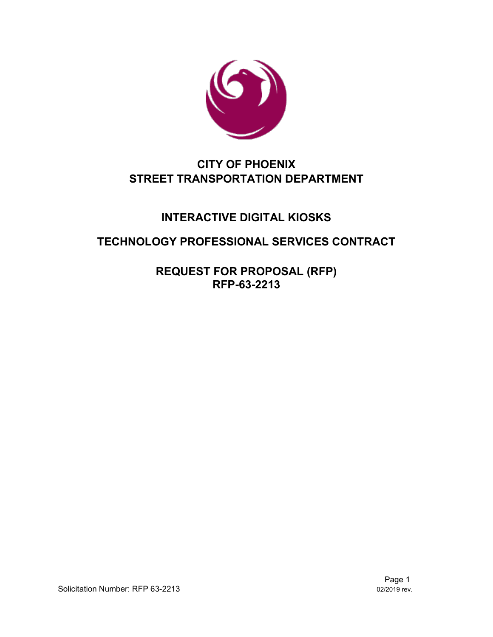

# **CITY OF PHOENIX STREET TRANSPORTATION DEPARTMENT**

# **INTERACTIVE DIGITAL KIOSKS**

# **TECHNOLOGY PROFESSIONAL SERVICES CONTRACT**

**REQUEST FOR PROPOSAL (RFP) RFP-63-2213**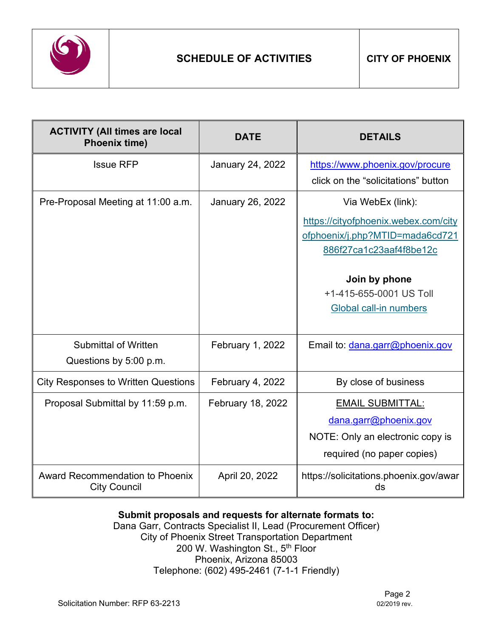

| <b>ACTIVITY (All times are local</b><br><b>Phoenix time)</b>  | <b>DATE</b>             | <b>DETAILS</b>                               |
|---------------------------------------------------------------|-------------------------|----------------------------------------------|
| <b>Issue RFP</b>                                              | <b>January 24, 2022</b> | https://www.phoenix.gov/procure              |
|                                                               |                         | click on the "solicitations" button          |
| Pre-Proposal Meeting at 11:00 a.m.                            | <b>January 26, 2022</b> | Via WebEx (link):                            |
|                                                               |                         | https://cityofphoenix.webex.com/city         |
|                                                               |                         | ofphoenix/j.php?MTID=mada6cd721              |
|                                                               |                         | 886f27ca1c23aaf4f8be12c                      |
|                                                               |                         | Join by phone                                |
|                                                               |                         | +1-415-655-0001 US Toll                      |
|                                                               |                         | Global call-in numbers                       |
|                                                               |                         |                                              |
| <b>Submittal of Written</b>                                   | <b>February 1, 2022</b> | Email to: dana.garr@phoenix.gov              |
| Questions by 5:00 p.m.                                        |                         |                                              |
| <b>City Responses to Written Questions</b>                    | February 4, 2022        | By close of business                         |
| Proposal Submittal by 11:59 p.m.                              | February 18, 2022       | <b>EMAIL SUBMITTAL:</b>                      |
|                                                               |                         | dana.garr@phoenix.gov                        |
|                                                               |                         | NOTE: Only an electronic copy is             |
|                                                               |                         | required (no paper copies)                   |
| <b>Award Recommendation to Phoenix</b><br><b>City Council</b> | April 20, 2022          | https://solicitations.phoenix.gov/awar<br>ds |

# **Submit proposals and requests for alternate formats to:**

Dana Garr, Contracts Specialist II, Lead (Procurement Officer) City of Phoenix Street Transportation Department 200 W. Washington St., 5th Floor Phoenix, Arizona 85003 Telephone: (602) 495-2461 (7-1-1 Friendly)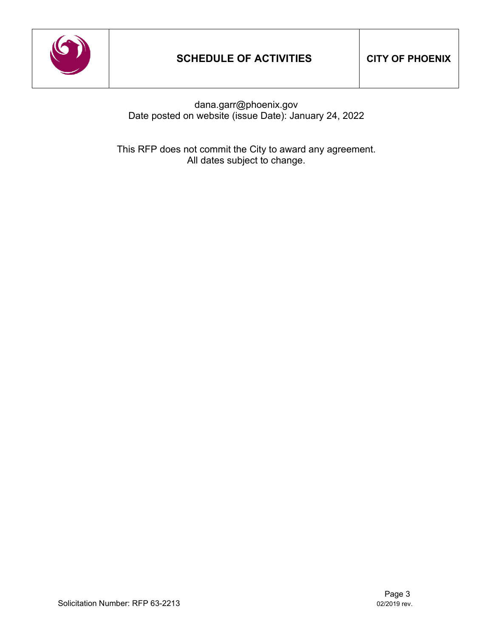

dana.garr@phoenix.gov Date posted on website (issue Date): January 24, 2022

This RFP does not commit the City to award any agreement. All dates subject to change.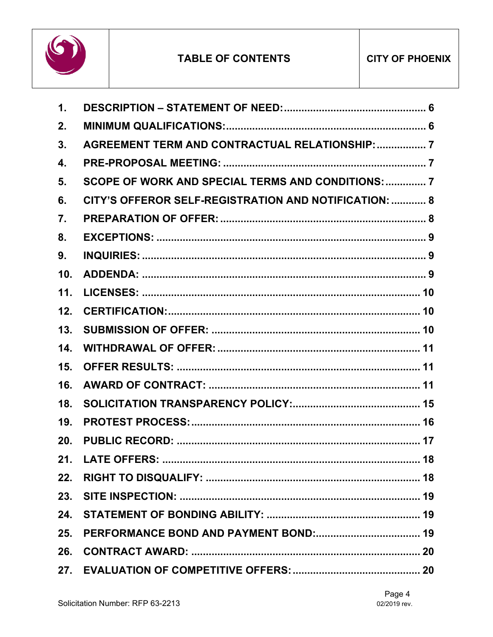

| $\mathbf{1}$ .   |                                                        |
|------------------|--------------------------------------------------------|
| 2.               |                                                        |
| 3.               | <b>AGREEMENT TERM AND CONTRACTUAL RELATIONSHIP:  7</b> |
| $\overline{4}$ . |                                                        |
| 5.               | SCOPE OF WORK AND SPECIAL TERMS AND CONDITIONS:  7     |
| 6.               | CITY'S OFFEROR SELF-REGISTRATION AND NOTIFICATION:  8  |
| 7.               |                                                        |
| 8.               |                                                        |
| 9.               |                                                        |
| 10.              |                                                        |
| 11.              |                                                        |
| 12.              |                                                        |
| 13.              |                                                        |
| 14.              |                                                        |
| 15.              |                                                        |
| 16.              |                                                        |
| 18.              |                                                        |
| 19.              |                                                        |
| 20.              |                                                        |
| 21.              | <b>LATE OFFERS:</b><br>18                              |
| 22.              |                                                        |
|                  |                                                        |
|                  |                                                        |
| 25.              |                                                        |
|                  |                                                        |
|                  |                                                        |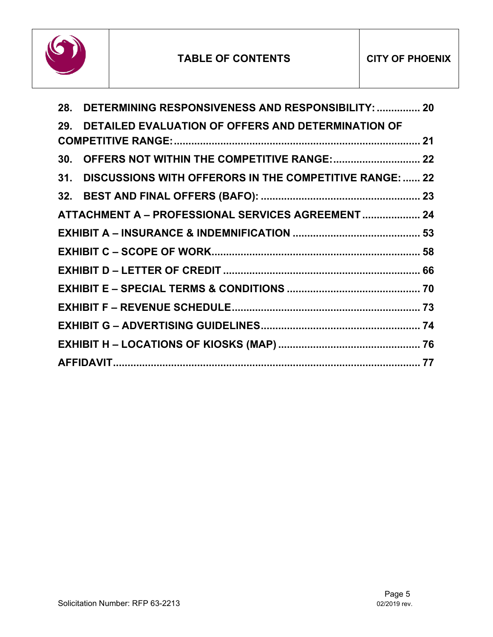

| 28. DETERMINING RESPONSIVENESS AND RESPONSIBILITY:  20      |  |
|-------------------------------------------------------------|--|
| 29. DETAILED EVALUATION OF OFFERS AND DETERMINATION OF      |  |
|                                                             |  |
|                                                             |  |
| 31. DISCUSSIONS WITH OFFERORS IN THE COMPETITIVE RANGE:  22 |  |
|                                                             |  |
| ATTACHMENT A - PROFESSIONAL SERVICES AGREEMENT  24          |  |
|                                                             |  |
|                                                             |  |
|                                                             |  |
|                                                             |  |
|                                                             |  |
|                                                             |  |
|                                                             |  |
|                                                             |  |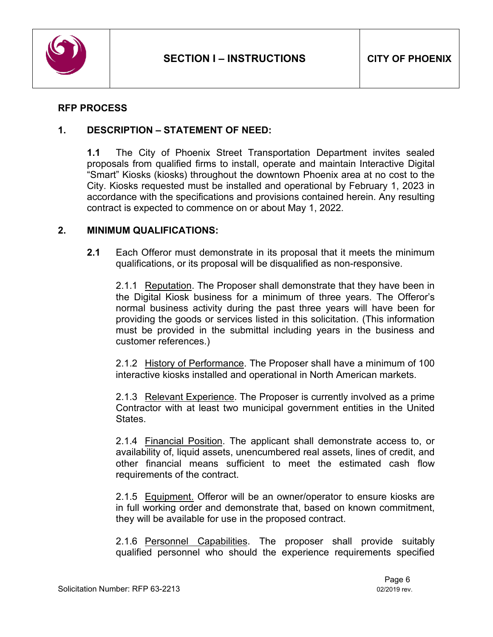

# **RFP PROCESS**

#### <span id="page-5-0"></span>**1. DESCRIPTION – STATEMENT OF NEED:**

**1.1** The City of Phoenix Street Transportation Department invites sealed proposals from qualified firms to install, operate and maintain Interactive Digital "Smart" Kiosks (kiosks) throughout the downtown Phoenix area at no cost to the City. Kiosks requested must be installed and operational by February 1, 2023 in accordance with the specifications and provisions contained herein. Any resulting contract is expected to commence on or about May 1, 2022.

#### <span id="page-5-1"></span>**2. MINIMUM QUALIFICATIONS:**

**2.1** Each Offeror must demonstrate in its proposal that it meets the minimum qualifications, or its proposal will be disqualified as non-responsive.

2.1.1 Reputation. The Proposer shall demonstrate that they have been in the Digital Kiosk business for a minimum of three years. The Offeror's normal business activity during the past three years will have been for providing the goods or services listed in this solicitation. (This information must be provided in the submittal including years in the business and customer references.)

2.1.2 History of Performance. The Proposer shall have a minimum of 100 interactive kiosks installed and operational in North American markets.

2.1.3 Relevant Experience. The Proposer is currently involved as a prime Contractor with at least two municipal government entities in the United States.

2.1.4 Financial Position. The applicant shall demonstrate access to, or availability of, liquid assets, unencumbered real assets, lines of credit, and other financial means sufficient to meet the estimated cash flow requirements of the contract.

2.1.5 Equipment. Offeror will be an owner/operator to ensure kiosks are in full working order and demonstrate that, based on known commitment, they will be available for use in the proposed contract.

2.1.6 Personnel Capabilities. The proposer shall provide suitably qualified personnel who should the experience requirements specified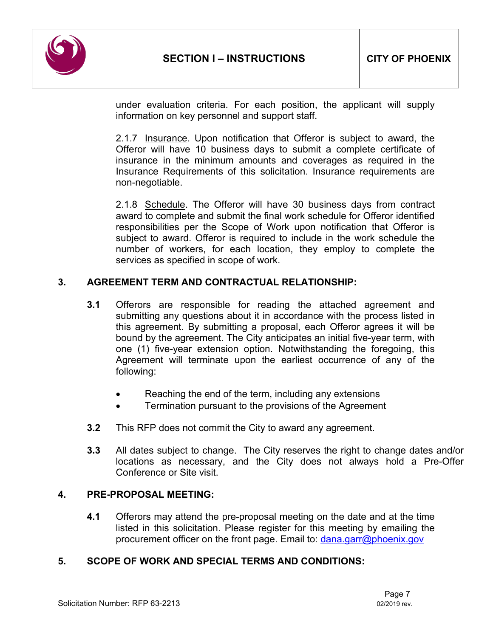

under evaluation criteria. For each position, the applicant will supply information on key personnel and support staff.

2.1.7 Insurance. Upon notification that Offeror is subject to award, the Offeror will have 10 business days to submit a complete certificate of insurance in the minimum amounts and coverages as required in the Insurance Requirements of this solicitation. Insurance requirements are non-negotiable.

2.1.8 Schedule. The Offeror will have 30 business days from contract award to complete and submit the final work schedule for Offeror identified responsibilities per the Scope of Work upon notification that Offeror is subject to award. Offeror is required to include in the work schedule the number of workers, for each location, they employ to complete the services as specified in scope of work.

# <span id="page-6-0"></span>**3. AGREEMENT TERM AND CONTRACTUAL RELATIONSHIP:**

- **3.1** Offerors are responsible for reading the attached agreement and submitting any questions about it in accordance with the process listed in this agreement. By submitting a proposal, each Offeror agrees it will be bound by the agreement. The City anticipates an initial five-year term, with one (1) five-year extension option. Notwithstanding the foregoing, this Agreement will terminate upon the earliest occurrence of any of the following:
	- Reaching the end of the term, including any extensions
	- Termination pursuant to the provisions of the Agreement
- **3.2** This RFP does not commit the City to award any agreement.
- **3.3** All dates subject to change. The City reserves the right to change dates and/or locations as necessary, and the City does not always hold a Pre-Offer Conference or Site visit.

#### <span id="page-6-1"></span>**4. PRE-PROPOSAL MEETING:**

**4.1** Offerors may attend the pre-proposal meeting on the date and at the time listed in this solicitation. Please register for this meeting by emailing the procurement officer on the front page. Email to: [dana.garr@phoenix.gov](mailto:dana.garr@phoenix.gov)

#### <span id="page-6-2"></span>**5. SCOPE OF WORK AND SPECIAL TERMS AND CONDITIONS:**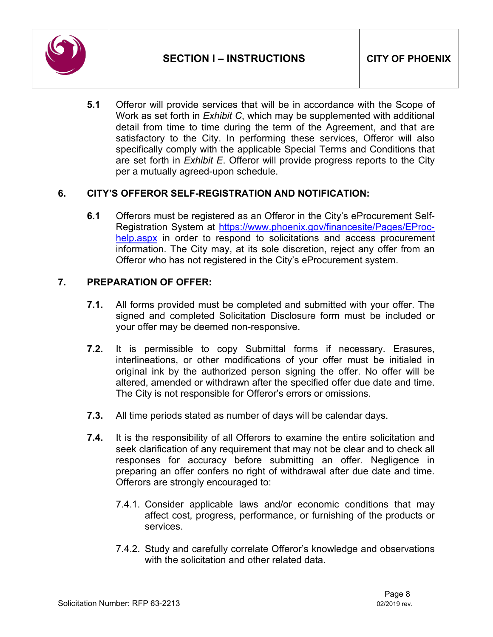

**5.1** Offeror will provide services that will be in accordance with the Scope of Work as set forth in *Exhibit C*, which may be supplemented with additional detail from time to time during the term of the Agreement, and that are satisfactory to the City. In performing these services, Offeror will also specifically comply with the applicable Special Terms and Conditions that are set forth in *Exhibit E*. Offeror will provide progress reports to the City per a mutually agreed-upon schedule.

# <span id="page-7-0"></span>**6. CITY'S OFFEROR SELF-REGISTRATION AND NOTIFICATION:**

**6.1** Offerors must be registered as an Offeror in the City's eProcurement Self-Registration System at [https://www.phoenix.gov/financesite/Pages/EProc](https://www.phoenix.gov/financesite/Pages/EProc-help.aspx)[help.aspx](https://www.phoenix.gov/financesite/Pages/EProc-help.aspx) in order to respond to solicitations and access procurement information. The City may, at its sole discretion, reject any offer from an Offeror who has not registered in the City's eProcurement system.

# <span id="page-7-1"></span>**7. PREPARATION OF OFFER:**

- **7.1.** All forms provided must be completed and submitted with your offer. The signed and completed Solicitation Disclosure form must be included or your offer may be deemed non-responsive.
- **7.2.** It is permissible to copy Submittal forms if necessary. Erasures, interlineations, or other modifications of your offer must be initialed in original ink by the authorized person signing the offer. No offer will be altered, amended or withdrawn after the specified offer due date and time. The City is not responsible for Offeror's errors or omissions.
- **7.3.** All time periods stated as number of days will be calendar days.
- **7.4.** It is the responsibility of all Offerors to examine the entire solicitation and seek clarification of any requirement that may not be clear and to check all responses for accuracy before submitting an offer. Negligence in preparing an offer confers no right of withdrawal after due date and time. Offerors are strongly encouraged to:
	- 7.4.1. Consider applicable laws and/or economic conditions that may affect cost, progress, performance, or furnishing of the products or services.
	- 7.4.2. Study and carefully correlate Offeror's knowledge and observations with the solicitation and other related data.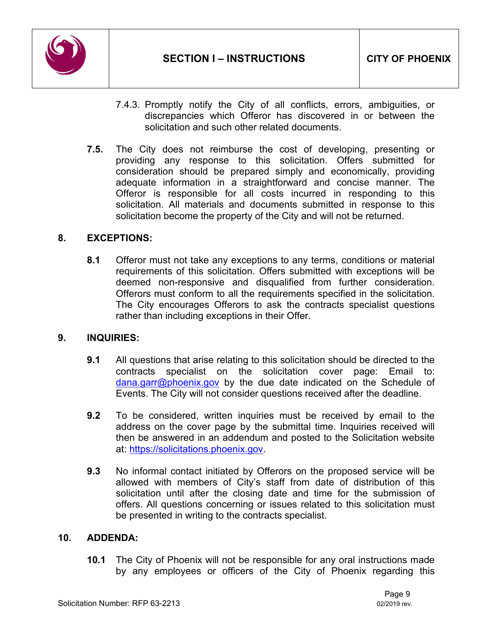

- 7.4.3. Promptly notify the City of all conflicts, errors, ambiguities, or discrepancies which Offeror has discovered in or between the solicitation and such other related documents.
- **7.5.** The City does not reimburse the cost of developing, presenting or providing any response to this solicitation. Offers submitted for consideration should be prepared simply and economically, providing adequate information in a straightforward and concise manner. The Offeror is responsible for all costs incurred in responding to this solicitation. All materials and documents submitted in response to this solicitation become the property of the City and will not be returned.

# <span id="page-8-0"></span>**8. EXCEPTIONS:**

**8.1** Offeror must not take any exceptions to any terms, conditions or material requirements of this solicitation. Offers submitted with exceptions will be deemed non-responsive and disqualified from further consideration. Offerors must conform to all the requirements specified in the solicitation. The City encourages Offerors to ask the contracts specialist questions rather than including exceptions in their Offer.

#### <span id="page-8-1"></span>**9. INQUIRIES:**

- **9.1** All questions that arise relating to this solicitation should be directed to the contracts specialist on the solicitation cover page: Email to: [dana.garr@phoenix.gov](mailto:dana.garr@phoenix.gov) by the due date indicated on the Schedule of Events. The City will not consider questions received after the deadline.
- **9.2** To be considered, written inquiries must be received by email to the address on the cover page by the submittal time. Inquiries received will then be answered in an addendum and posted to the Solicitation website at: [https://solicitations.phoenix.gov.](https://solicitations.phoenix.gov/)
- **9.3** No informal contact initiated by Offerors on the proposed service will be allowed with members of City's staff from date of distribution of this solicitation until after the closing date and time for the submission of offers. All questions concerning or issues related to this solicitation must be presented in writing to the contracts specialist.

#### <span id="page-8-2"></span>**10. ADDENDA:**

**10.1** The City of Phoenix will not be responsible for any oral instructions made by any employees or officers of the City of Phoenix regarding this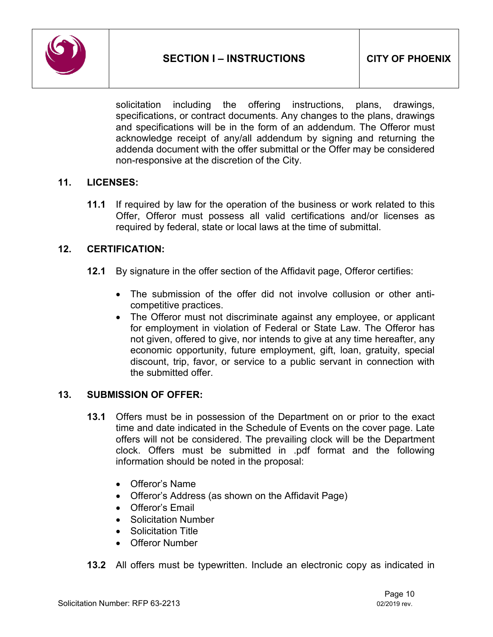

solicitation including the offering instructions, plans, drawings, specifications, or contract documents. Any changes to the plans, drawings and specifications will be in the form of an addendum. The Offeror must acknowledge receipt of any/all addendum by signing and returning the addenda document with the offer submittal or the Offer may be considered non-responsive at the discretion of the City.

#### <span id="page-9-0"></span>**11. LICENSES:**

**11.1** If required by law for the operation of the business or work related to this Offer, Offeror must possess all valid certifications and/or licenses as required by federal, state or local laws at the time of submittal.

# <span id="page-9-1"></span>**12. CERTIFICATION:**

- **12.1** By signature in the offer section of the Affidavit page, Offeror certifies:
	- The submission of the offer did not involve collusion or other anticompetitive practices.
	- The Offeror must not discriminate against any employee, or applicant for employment in violation of Federal or State Law. The Offeror has not given, offered to give, nor intends to give at any time hereafter, any economic opportunity, future employment, gift, loan, gratuity, special discount, trip, favor, or service to a public servant in connection with the submitted offer.

#### <span id="page-9-2"></span>**13. SUBMISSION OF OFFER:**

- **13.1** Offers must be in possession of the Department on or prior to the exact time and date indicated in the Schedule of Events on the cover page. Late offers will not be considered. The prevailing clock will be the Department clock. Offers must be submitted in .pdf format and the following information should be noted in the proposal:
	- Offeror's Name
	- Offeror's Address (as shown on the Affidavit Page)
	- Offeror's Email
	- Solicitation Number
	- Solicitation Title
	- Offeror Number
- **13.2** All offers must be typewritten. Include an electronic copy as indicated in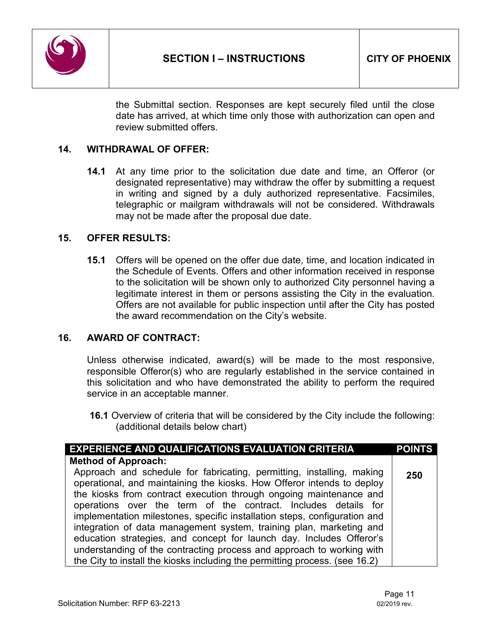

the Submittal section. Responses are kept securely filed until the close date has arrived, at which time only those with authorization can open and review submitted offers.

#### <span id="page-10-0"></span>**14. WITHDRAWAL OF OFFER:**

**14.1** At any time prior to the solicitation due date and time, an Offeror (or designated representative) may withdraw the offer by submitting a request in writing and signed by a duly authorized representative. Facsimiles, telegraphic or mailgram withdrawals will not be considered. Withdrawals may not be made after the proposal due date.

#### <span id="page-10-1"></span>**15. OFFER RESULTS:**

**15.1** Offers will be opened on the offer due date, time, and location indicated in the Schedule of Events. Offers and other information received in response to the solicitation will be shown only to authorized City personnel having a legitimate interest in them or persons assisting the City in the evaluation. Offers are not available for public inspection until after the City has posted the award recommendation on the City's website.

#### <span id="page-10-2"></span>**16. AWARD OF CONTRACT:**

Unless otherwise indicated, award(s) will be made to the most responsive, responsible Offeror(s) who are regularly established in the service contained in this solicitation and who have demonstrated the ability to perform the required service in an acceptable manner.

**16.1** Overview of criteria that will be considered by the City include the following: (additional details below chart)

| <b>EXPERIENCE AND QUALIFICATIONS EVALUATION CRITERIA</b>                                                                                        | <b>POINTS</b> |
|-------------------------------------------------------------------------------------------------------------------------------------------------|---------------|
| <b>Method of Approach:</b>                                                                                                                      |               |
| Approach and schedule for fabricating, permitting, installing, making<br>operational, and maintaining the kiosks. How Offeror intends to deploy | 250           |
| the kiosks from contract execution through ongoing maintenance and                                                                              |               |
| operations over the term of the contract. Includes details for                                                                                  |               |
| implementation milestones, specific installation steps, configuration and                                                                       |               |
| integration of data management system, training plan, marketing and                                                                             |               |
| education strategies, and concept for launch day. Includes Offeror's                                                                            |               |
| understanding of the contracting process and approach to working with                                                                           |               |
| the City to install the kiosks including the permitting process. (see 16.2)                                                                     |               |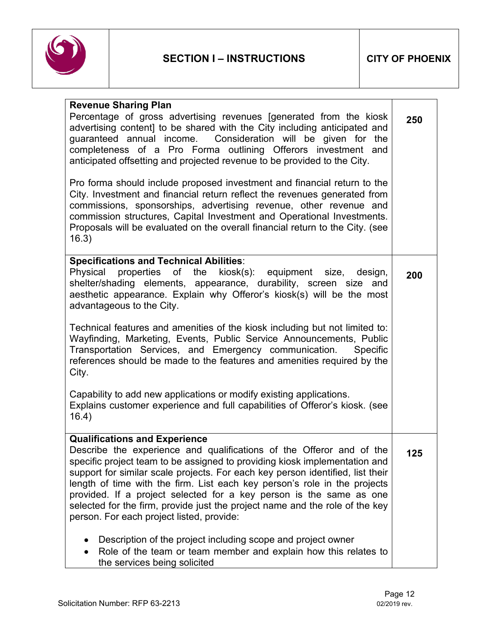

| <b>Revenue Sharing Plan</b>                                                                                                                                                                                                                                                                                                                                                                                                                                                                                                                                   |     |
|---------------------------------------------------------------------------------------------------------------------------------------------------------------------------------------------------------------------------------------------------------------------------------------------------------------------------------------------------------------------------------------------------------------------------------------------------------------------------------------------------------------------------------------------------------------|-----|
| Percentage of gross advertising revenues [generated from the kiosk<br>advertising content] to be shared with the City including anticipated and<br>guaranteed annual income. Consideration will be given for the<br>completeness of a Pro Forma outlining Offerors investment and<br>anticipated offsetting and projected revenue to be provided to the City.                                                                                                                                                                                                 | 250 |
| Pro forma should include proposed investment and financial return to the<br>City. Investment and financial return reflect the revenues generated from<br>commissions, sponsorships, advertising revenue, other revenue and<br>commission structures, Capital Investment and Operational Investments.<br>Proposals will be evaluated on the overall financial return to the City. (see<br>16.3)                                                                                                                                                                |     |
| <b>Specifications and Technical Abilities:</b><br>Physical properties of the kiosk(s): equipment size, design,<br>shelter/shading elements, appearance, durability, screen size<br>and<br>aesthetic appearance. Explain why Offeror's kiosk(s) will be the most<br>advantageous to the City.                                                                                                                                                                                                                                                                  | 200 |
| Technical features and amenities of the kiosk including but not limited to:<br>Wayfinding, Marketing, Events, Public Service Announcements, Public<br>Transportation Services, and Emergency communication.<br>Specific<br>references should be made to the features and amenities required by the<br>City.                                                                                                                                                                                                                                                   |     |
| Capability to add new applications or modify existing applications.<br>Explains customer experience and full capabilities of Offeror's kiosk. (see<br>16.4)                                                                                                                                                                                                                                                                                                                                                                                                   |     |
| <b>Qualifications and Experience</b><br>Describe the experience and qualifications of the Offeror and of the<br>specific project team to be assigned to providing kiosk implementation and<br>support for similar scale projects. For each key person identified, list their<br>length of time with the firm. List each key person's role in the projects<br>provided. If a project selected for a key person is the same as one<br>selected for the firm, provide just the project name and the role of the key<br>person. For each project listed, provide: | 125 |
| Description of the project including scope and project owner<br>Role of the team or team member and explain how this relates to<br>the services being solicited                                                                                                                                                                                                                                                                                                                                                                                               |     |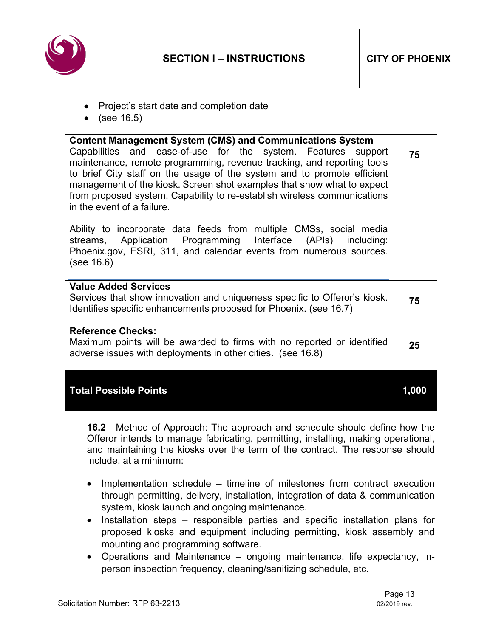

| Project's start date and completion date<br>(see 16.5)                                                                                                                                                                                                                                                                                                                                                                                                                                                                                           |       |
|--------------------------------------------------------------------------------------------------------------------------------------------------------------------------------------------------------------------------------------------------------------------------------------------------------------------------------------------------------------------------------------------------------------------------------------------------------------------------------------------------------------------------------------------------|-------|
| <b>Content Management System (CMS) and Communications System</b><br>Capabilities and ease-of-use for the system. Features support<br>maintenance, remote programming, revenue tracking, and reporting tools<br>to brief City staff on the usage of the system and to promote efficient<br>management of the kiosk. Screen shot examples that show what to expect<br>from proposed system. Capability to re-establish wireless communications<br>in the event of a failure.<br>Ability to incorporate data feeds from multiple CMSs, social media | 75    |
| Application Programming Interface (APIs) including:<br>streams,<br>Phoenix.gov, ESRI, 311, and calendar events from numerous sources.<br>(see 16.6)                                                                                                                                                                                                                                                                                                                                                                                              |       |
| <b>Value Added Services</b><br>Services that show innovation and uniqueness specific to Offeror's kiosk.<br>Identifies specific enhancements proposed for Phoenix. (see 16.7)                                                                                                                                                                                                                                                                                                                                                                    | 75    |
| <b>Reference Checks:</b><br>Maximum points will be awarded to firms with no reported or identified<br>adverse issues with deployments in other cities. (see 16.8)                                                                                                                                                                                                                                                                                                                                                                                | 25    |
| <b>Total Possible Points</b>                                                                                                                                                                                                                                                                                                                                                                                                                                                                                                                     | 1.000 |

**16.2** Method of Approach: The approach and schedule should define how the Offeror intends to manage fabricating, permitting, installing, making operational, and maintaining the kiosks over the term of the contract. The response should include, at a minimum:

- Implementation schedule timeline of milestones from contract execution through permitting, delivery, installation, integration of data & communication system, kiosk launch and ongoing maintenance.
- Installation steps responsible parties and specific installation plans for proposed kiosks and equipment including permitting, kiosk assembly and mounting and programming software.
- Operations and Maintenance ongoing maintenance, life expectancy, inperson inspection frequency, cleaning/sanitizing schedule, etc.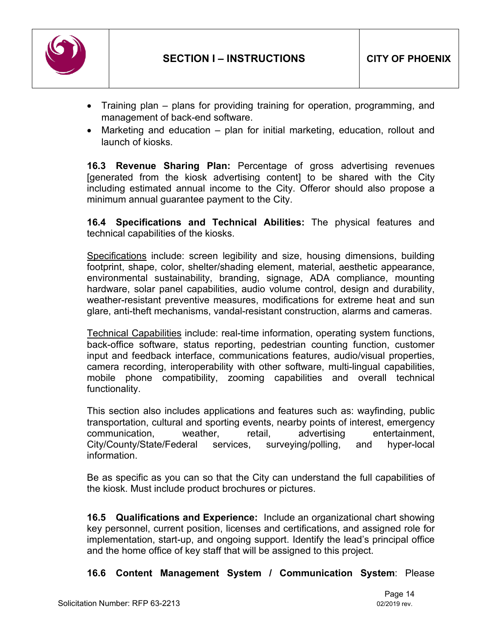

- Training plan plans for providing training for operation, programming, and management of back-end software.
- Marketing and education plan for initial marketing, education, rollout and launch of kiosks.

**16.3 Revenue Sharing Plan:** Percentage of gross advertising revenues [generated from the kiosk advertising content] to be shared with the City including estimated annual income to the City. Offeror should also propose a minimum annual guarantee payment to the City.

**16.4 Specifications and Technical Abilities:** The physical features and technical capabilities of the kiosks.

Specifications include: screen legibility and size, housing dimensions, building footprint, shape, color, shelter/shading element, material, aesthetic appearance, environmental sustainability, branding, signage, ADA compliance, mounting hardware, solar panel capabilities, audio volume control, design and durability, weather-resistant preventive measures, modifications for extreme heat and sun glare, anti-theft mechanisms, vandal-resistant construction, alarms and cameras.

Technical Capabilities include: real-time information, operating system functions, back-office software, status reporting, pedestrian counting function, customer input and feedback interface, communications features, audio/visual properties, camera recording, interoperability with other software, multi-lingual capabilities, mobile phone compatibility, zooming capabilities and overall technical functionality.

This section also includes applications and features such as: wayfinding, public transportation, cultural and sporting events, nearby points of interest, emergency communication, weather, retail, advertising entertainment, City/County/State/Federal services, surveying/polling, and hyper-local information.

Be as specific as you can so that the City can understand the full capabilities of the kiosk. Must include product brochures or pictures.

**16.5 Qualifications and Experience:** Include an organizational chart showing key personnel, current position, licenses and certifications, and assigned role for implementation, start-up, and ongoing support. Identify the lead's principal office and the home office of key staff that will be assigned to this project.

**16.6 Content Management System / Communication System**: Please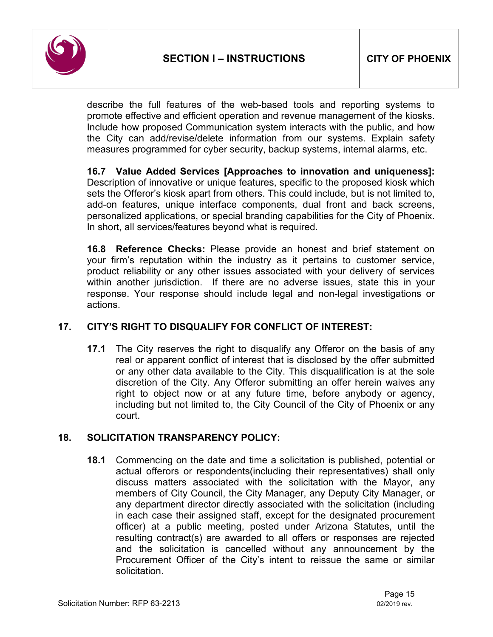

describe the full features of the web-based tools and reporting systems to promote effective and efficient operation and revenue management of the kiosks. Include how proposed Communication system interacts with the public, and how the City can add/revise/delete information from our systems. Explain safety measures programmed for cyber security, backup systems, internal alarms, etc.

**16.7 Value Added Services [Approaches to innovation and uniqueness]:**  Description of innovative or unique features, specific to the proposed kiosk which sets the Offeror's kiosk apart from others. This could include, but is not limited to, add-on features, unique interface components, dual front and back screens, personalized applications, or special branding capabilities for the City of Phoenix. In short, all services/features beyond what is required.

**16.8 Reference Checks:** Please provide an honest and brief statement on your firm's reputation within the industry as it pertains to customer service, product reliability or any other issues associated with your delivery of services within another jurisdiction. If there are no adverse issues, state this in your response. Your response should include legal and non-legal investigations or actions.

# **17. CITY'S RIGHT TO DISQUALIFY FOR CONFLICT OF INTEREST:**

**17.1** The City reserves the right to disqualify any Offeror on the basis of any real or apparent conflict of interest that is disclosed by the offer submitted or any other data available to the City. This disqualification is at the sole discretion of the City. Any Offeror submitting an offer herein waives any right to object now or at any future time, before anybody or agency, including but not limited to, the City Council of the City of Phoenix or any court.

# <span id="page-14-0"></span>**18. SOLICITATION TRANSPARENCY POLICY:**

**18.1** Commencing on the date and time a solicitation is published, potential or actual offerors or respondents(including their representatives) shall only discuss matters associated with the solicitation with the Mayor, any members of City Council, the City Manager, any Deputy City Manager, or any department director directly associated with the solicitation (including in each case their assigned staff, except for the designated procurement officer) at a public meeting, posted under Arizona Statutes, until the resulting contract(s) are awarded to all offers or responses are rejected and the solicitation is cancelled without any announcement by the Procurement Officer of the City's intent to reissue the same or similar solicitation.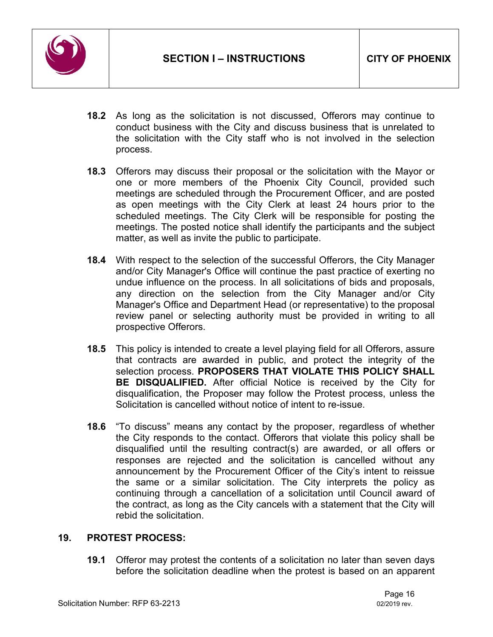

- **18.2** As long as the solicitation is not discussed, Offerors may continue to conduct business with the City and discuss business that is unrelated to the solicitation with the City staff who is not involved in the selection process.
- **18.3** Offerors may discuss their proposal or the solicitation with the Mayor or one or more members of the Phoenix City Council, provided such meetings are scheduled through the Procurement Officer, and are posted as open meetings with the City Clerk at least 24 hours prior to the scheduled meetings. The City Clerk will be responsible for posting the meetings. The posted notice shall identify the participants and the subject matter, as well as invite the public to participate.
- **18.4** With respect to the selection of the successful Offerors, the City Manager and/or City Manager's Office will continue the past practice of exerting no undue influence on the process. In all solicitations of bids and proposals, any direction on the selection from the City Manager and/or City Manager's Office and Department Head (or representative) to the proposal review panel or selecting authority must be provided in writing to all prospective Offerors.
- **18.5** This policy is intended to create a level playing field for all Offerors, assure that contracts are awarded in public, and protect the integrity of the selection process. **PROPOSERS THAT VIOLATE THIS POLICY SHALL BE DISQUALIFIED.** After official Notice is received by the City for disqualification, the Proposer may follow the Protest process, unless the Solicitation is cancelled without notice of intent to re-issue.
- **18.6** "To discuss" means any contact by the proposer, regardless of whether the City responds to the contact. Offerors that violate this policy shall be disqualified until the resulting contract(s) are awarded, or all offers or responses are rejected and the solicitation is cancelled without any announcement by the Procurement Officer of the City's intent to reissue the same or a similar solicitation. The City interprets the policy as continuing through a cancellation of a solicitation until Council award of the contract, as long as the City cancels with a statement that the City will rebid the solicitation.

#### <span id="page-15-0"></span>**19. PROTEST PROCESS:**

**19.1** Offeror may protest the contents of a solicitation no later than seven days before the solicitation deadline when the protest is based on an apparent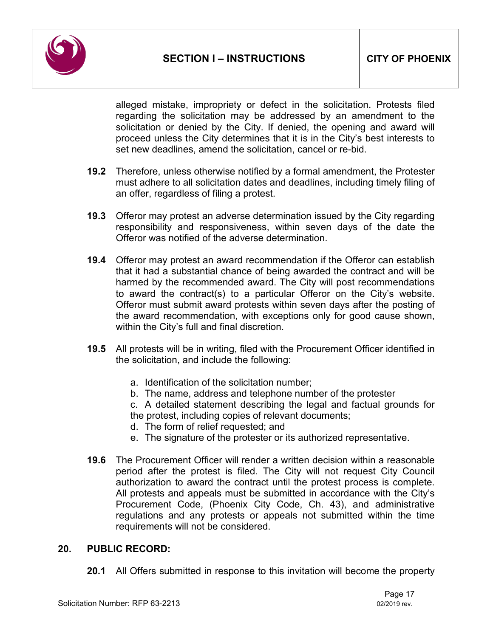

alleged mistake, impropriety or defect in the solicitation. Protests filed regarding the solicitation may be addressed by an amendment to the solicitation or denied by the City. If denied, the opening and award will proceed unless the City determines that it is in the City's best interests to set new deadlines, amend the solicitation, cancel or re-bid.

- **19.2** Therefore, unless otherwise notified by a formal amendment, the Protester must adhere to all solicitation dates and deadlines, including timely filing of an offer, regardless of filing a protest.
- **19.3** Offeror may protest an adverse determination issued by the City regarding responsibility and responsiveness, within seven days of the date the Offeror was notified of the adverse determination.
- **19.4** Offeror may protest an award recommendation if the Offeror can establish that it had a substantial chance of being awarded the contract and will be harmed by the recommended award. The City will post recommendations to award the contract(s) to a particular Offeror on the City's website. Offeror must submit award protests within seven days after the posting of the award recommendation, with exceptions only for good cause shown, within the City's full and final discretion.
- **19.5** All protests will be in writing, filed with the Procurement Officer identified in the solicitation, and include the following:
	- a. Identification of the solicitation number;
	- b. The name, address and telephone number of the protester

c. A detailed statement describing the legal and factual grounds for the protest, including copies of relevant documents;

- d. The form of relief requested; and
- e. The signature of the protester or its authorized representative.
- **19.6** The Procurement Officer will render a written decision within a reasonable period after the protest is filed. The City will not request City Council authorization to award the contract until the protest process is complete. All protests and appeals must be submitted in accordance with the City's Procurement Code, (Phoenix City Code, Ch. 43), and administrative regulations and any protests or appeals not submitted within the time requirements will not be considered.

#### <span id="page-16-0"></span>**20. PUBLIC RECORD:**

**20.1** All Offers submitted in response to this invitation will become the property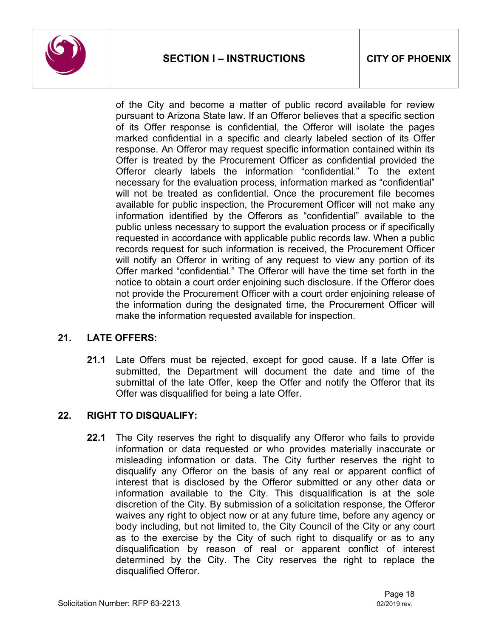

of the City and become a matter of public record available for review pursuant to Arizona State law. If an Offeror believes that a specific section of its Offer response is confidential, the Offeror will isolate the pages marked confidential in a specific and clearly labeled section of its Offer response. An Offeror may request specific information contained within its Offer is treated by the Procurement Officer as confidential provided the Offeror clearly labels the information "confidential." To the extent necessary for the evaluation process, information marked as "confidential" will not be treated as confidential. Once the procurement file becomes available for public inspection, the Procurement Officer will not make any information identified by the Offerors as "confidential" available to the public unless necessary to support the evaluation process or if specifically requested in accordance with applicable public records law. When a public records request for such information is received, the Procurement Officer will notify an Offeror in writing of any request to view any portion of its Offer marked "confidential." The Offeror will have the time set forth in the notice to obtain a court order enjoining such disclosure. If the Offeror does not provide the Procurement Officer with a court order enjoining release of the information during the designated time, the Procurement Officer will make the information requested available for inspection.

#### <span id="page-17-0"></span>**21. LATE OFFERS:**

**21.1** Late Offers must be rejected, except for good cause. If a late Offer is submitted, the Department will document the date and time of the submittal of the late Offer, keep the Offer and notify the Offeror that its Offer was disqualified for being a late Offer.

# <span id="page-17-1"></span>**22. RIGHT TO DISQUALIFY:**

**22.1** The City reserves the right to disqualify any Offeror who fails to provide information or data requested or who provides materially inaccurate or misleading information or data. The City further reserves the right to disqualify any Offeror on the basis of any real or apparent conflict of interest that is disclosed by the Offeror submitted or any other data or information available to the City. This disqualification is at the sole discretion of the City. By submission of a solicitation response, the Offeror waives any right to object now or at any future time, before any agency or body including, but not limited to, the City Council of the City or any court as to the exercise by the City of such right to disqualify or as to any disqualification by reason of real or apparent conflict of interest determined by the City. The City reserves the right to replace the disqualified Offeror.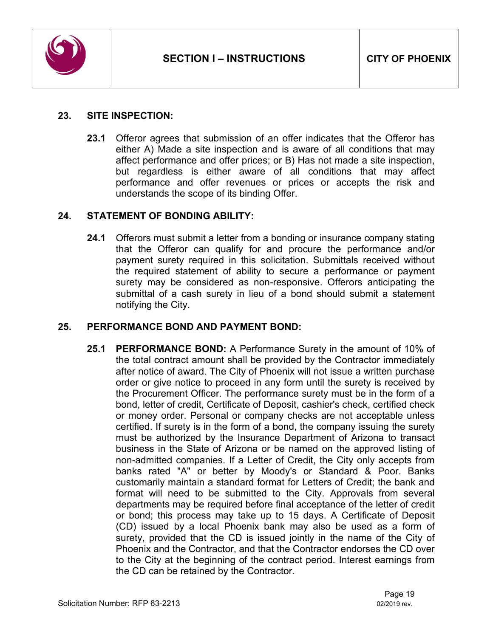

#### <span id="page-18-0"></span>**23. SITE INSPECTION:**

**23.1** Offeror agrees that submission of an offer indicates that the Offeror has either A) Made a site inspection and is aware of all conditions that may affect performance and offer prices; or B) Has not made a site inspection, but regardless is either aware of all conditions that may affect performance and offer revenues or prices or accepts the risk and understands the scope of its binding Offer.

#### <span id="page-18-1"></span>**24. STATEMENT OF BONDING ABILITY:**

**24.1** Offerors must submit a letter from a bonding or insurance company stating that the Offeror can qualify for and procure the performance and/or payment surety required in this solicitation. Submittals received without the required statement of ability to secure a performance or payment surety may be considered as non-responsive. Offerors anticipating the submittal of a cash surety in lieu of a bond should submit a statement notifying the City.

#### <span id="page-18-2"></span>**25. PERFORMANCE BOND AND PAYMENT BOND:**

**25.1 PERFORMANCE BOND:** A Performance Surety in the amount of 10% of the total contract amount shall be provided by the Contractor immediately after notice of award. The City of Phoenix will not issue a written purchase order or give notice to proceed in any form until the surety is received by the Procurement Officer. The performance surety must be in the form of a bond, letter of credit, Certificate of Deposit, cashier's check, certified check or money order. Personal or company checks are not acceptable unless certified. If surety is in the form of a bond, the company issuing the surety must be authorized by the Insurance Department of Arizona to transact business in the State of Arizona or be named on the approved listing of non-admitted companies. If a Letter of Credit, the City only accepts from banks rated "A" or better by Moody's or Standard & Poor. Banks customarily maintain a standard format for Letters of Credit; the bank and format will need to be submitted to the City. Approvals from several departments may be required before final acceptance of the letter of credit or bond; this process may take up to 15 days. A Certificate of Deposit (CD) issued by a local Phoenix bank may also be used as a form of surety, provided that the CD is issued jointly in the name of the City of Phoenix and the Contractor, and that the Contractor endorses the CD over to the City at the beginning of the contract period. Interest earnings from the CD can be retained by the Contractor.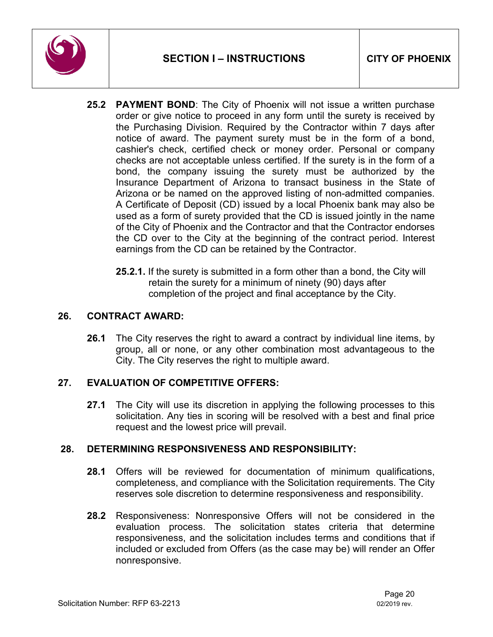

- **25.2 PAYMENT BOND**: The City of Phoenix will not issue a written purchase order or give notice to proceed in any form until the surety is received by the Purchasing Division. Required by the Contractor within 7 days after notice of award. The payment surety must be in the form of a bond, cashier's check, certified check or money order. Personal or company checks are not acceptable unless certified. If the surety is in the form of a bond, the company issuing the surety must be authorized by the Insurance Department of Arizona to transact business in the State of Arizona or be named on the approved listing of non-admitted companies. A Certificate of Deposit (CD) issued by a local Phoenix bank may also be used as a form of surety provided that the CD is issued jointly in the name of the City of Phoenix and the Contractor and that the Contractor endorses the CD over to the City at the beginning of the contract period. Interest earnings from the CD can be retained by the Contractor.
	- **25.2.1.** If the surety is submitted in a form other than a bond, the City will retain the surety for a minimum of ninety (90) days after completion of the project and final acceptance by the City.

# <span id="page-19-0"></span>**26. CONTRACT AWARD:**

**26.1** The City reserves the right to award a contract by individual line items, by group, all or none, or any other combination most advantageous to the City. The City reserves the right to multiple award.

#### <span id="page-19-1"></span>**27. EVALUATION OF COMPETITIVE OFFERS:**

**27.1** The City will use its discretion in applying the following processes to this solicitation. Any ties in scoring will be resolved with a best and final price request and the lowest price will prevail.

#### <span id="page-19-2"></span>**28. DETERMINING RESPONSIVENESS AND RESPONSIBILITY:**

- **28.1** Offers will be reviewed for documentation of minimum qualifications, completeness, and compliance with the Solicitation requirements. The City reserves sole discretion to determine responsiveness and responsibility.
- **28.2** Responsiveness: Nonresponsive Offers will not be considered in the evaluation process. The solicitation states criteria that determine responsiveness, and the solicitation includes terms and conditions that if included or excluded from Offers (as the case may be) will render an Offer nonresponsive.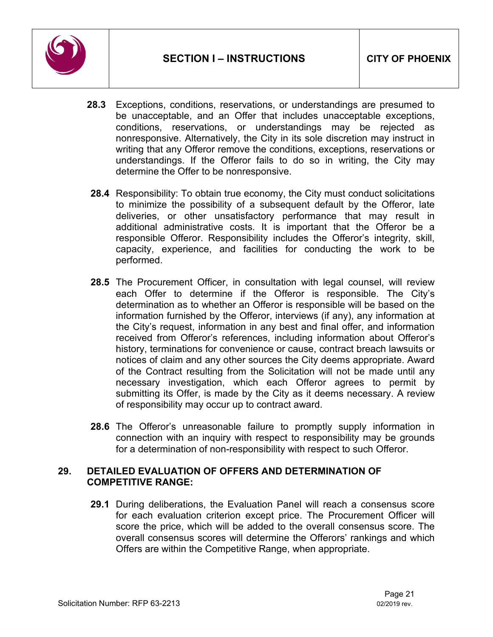

- **28.3** Exceptions, conditions, reservations, or understandings are presumed to be unacceptable, and an Offer that includes unacceptable exceptions, conditions, reservations, or understandings may be rejected as nonresponsive. Alternatively, the City in its sole discretion may instruct in writing that any Offeror remove the conditions, exceptions, reservations or understandings. If the Offeror fails to do so in writing, the City may determine the Offer to be nonresponsive.
- **28.4** Responsibility: To obtain true economy, the City must conduct solicitations to minimize the possibility of a subsequent default by the Offeror, late deliveries, or other unsatisfactory performance that may result in additional administrative costs. It is important that the Offeror be a responsible Offeror. Responsibility includes the Offeror's integrity, skill, capacity, experience, and facilities for conducting the work to be performed.
- **28.5** The Procurement Officer, in consultation with legal counsel, will review each Offer to determine if the Offeror is responsible. The City's determination as to whether an Offeror is responsible will be based on the information furnished by the Offeror, interviews (if any), any information at the City's request, information in any best and final offer, and information received from Offeror's references, including information about Offeror's history, terminations for convenience or cause, contract breach lawsuits or notices of claim and any other sources the City deems appropriate. Award of the Contract resulting from the Solicitation will not be made until any necessary investigation, which each Offeror agrees to permit by submitting its Offer, is made by the City as it deems necessary. A review of responsibility may occur up to contract award.
- **28.6** The Offeror's unreasonable failure to promptly supply information in connection with an inquiry with respect to responsibility may be grounds for a determination of non-responsibility with respect to such Offeror.

#### <span id="page-20-0"></span>**29. DETAILED EVALUATION OF OFFERS AND DETERMINATION OF COMPETITIVE RANGE:**

**29.1** During deliberations, the Evaluation Panel will reach a consensus score for each evaluation criterion except price. The Procurement Officer will score the price, which will be added to the overall consensus score. The overall consensus scores will determine the Offerors' rankings and which Offers are within the Competitive Range, when appropriate.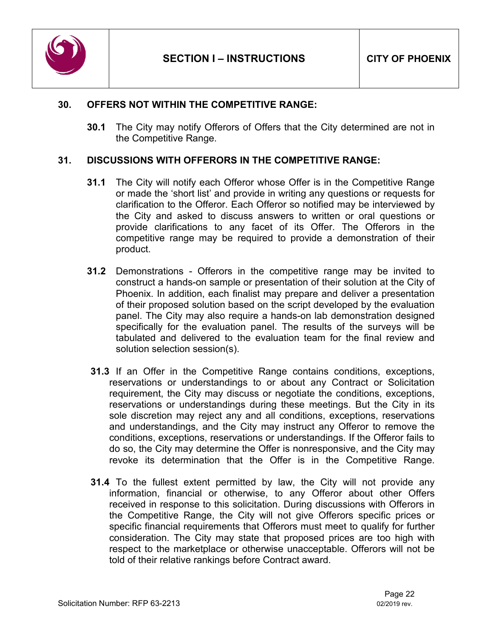

#### <span id="page-21-0"></span>**30. OFFERS NOT WITHIN THE COMPETITIVE RANGE:**

**30.1** The City may notify Offerors of Offers that the City determined are not in the Competitive Range.

#### <span id="page-21-1"></span>**31. DISCUSSIONS WITH OFFERORS IN THE COMPETITIVE RANGE:**

- **31.1** The City will notify each Offeror whose Offer is in the Competitive Range or made the 'short list' and provide in writing any questions or requests for clarification to the Offeror. Each Offeror so notified may be interviewed by the City and asked to discuss answers to written or oral questions or provide clarifications to any facet of its Offer. The Offerors in the competitive range may be required to provide a demonstration of their product.
- **31.2** Demonstrations Offerors in the competitive range may be invited to construct a hands-on sample or presentation of their solution at the City of Phoenix. In addition, each finalist may prepare and deliver a presentation of their proposed solution based on the script developed by the evaluation panel. The City may also require a hands-on lab demonstration designed specifically for the evaluation panel. The results of the surveys will be tabulated and delivered to the evaluation team for the final review and solution selection session(s).
- **31.3** If an Offer in the Competitive Range contains conditions, exceptions, reservations or understandings to or about any Contract or Solicitation requirement, the City may discuss or negotiate the conditions, exceptions, reservations or understandings during these meetings. But the City in its sole discretion may reject any and all conditions, exceptions, reservations and understandings, and the City may instruct any Offeror to remove the conditions, exceptions, reservations or understandings. If the Offeror fails to do so, the City may determine the Offer is nonresponsive, and the City may revoke its determination that the Offer is in the Competitive Range.
- **31.4** To the fullest extent permitted by law, the City will not provide any information, financial or otherwise, to any Offeror about other Offers received in response to this solicitation. During discussions with Offerors in the Competitive Range, the City will not give Offerors specific prices or specific financial requirements that Offerors must meet to qualify for further consideration. The City may state that proposed prices are too high with respect to the marketplace or otherwise unacceptable. Offerors will not be told of their relative rankings before Contract award.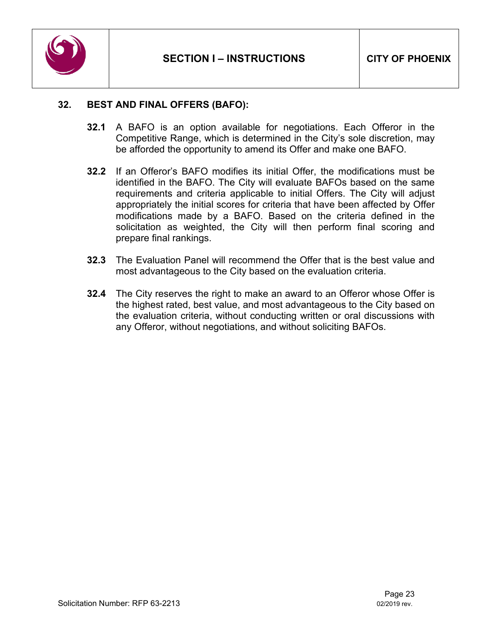

#### <span id="page-22-0"></span>**32. BEST AND FINAL OFFERS (BAFO):**

- **32.1** A BAFO is an option available for negotiations. Each Offeror in the Competitive Range, which is determined in the City's sole discretion, may be afforded the opportunity to amend its Offer and make one BAFO.
- **32.2** If an Offeror's BAFO modifies its initial Offer, the modifications must be identified in the BAFO. The City will evaluate BAFOs based on the same requirements and criteria applicable to initial Offers. The City will adjust appropriately the initial scores for criteria that have been affected by Offer modifications made by a BAFO. Based on the criteria defined in the solicitation as weighted, the City will then perform final scoring and prepare final rankings.
- **32.3** The Evaluation Panel will recommend the Offer that is the best value and most advantageous to the City based on the evaluation criteria.
- **32.4** The City reserves the right to make an award to an Offeror whose Offer is the highest rated, best value, and most advantageous to the City based on the evaluation criteria, without conducting written or oral discussions with any Offeror, without negotiations, and without soliciting BAFOs.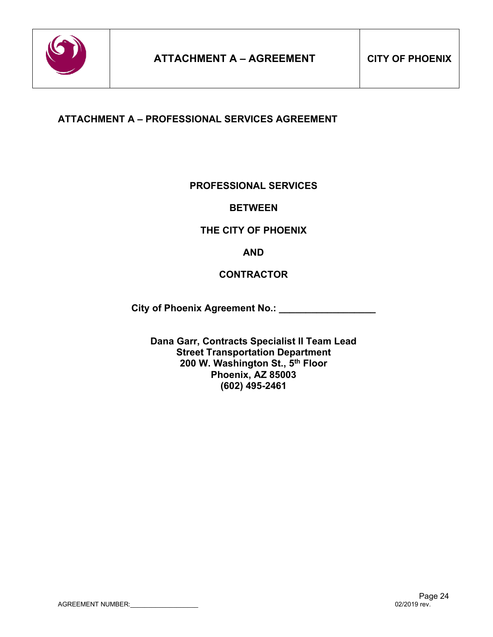

# <span id="page-23-0"></span>**ATTACHMENT A – PROFESSIONAL SERVICES AGREEMENT**

#### **PROFESSIONAL SERVICES**

#### **BETWEEN**

#### **THE CITY OF PHOENIX**

**AND**

#### **CONTRACTOR**

**City of Phoenix Agreement No.: \_\_\_\_\_\_\_\_\_\_\_\_\_\_\_\_\_\_**

**Dana Garr, Contracts Specialist II Team Lead Street Transportation Department 200 W. Washington St., 5th Floor Phoenix, AZ 85003 (602) 495-2461**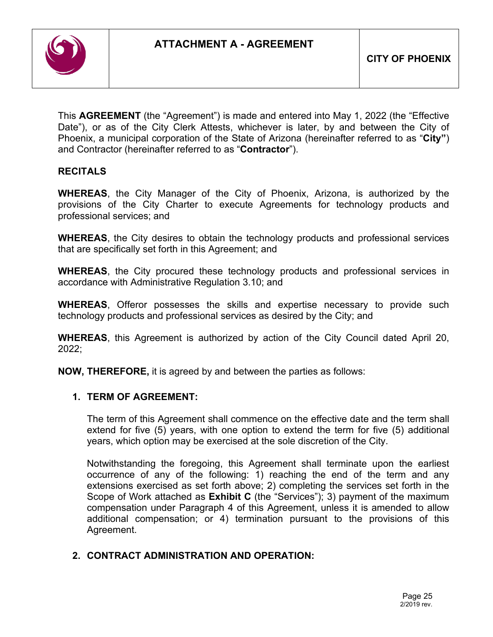

This **AGREEMENT** (the "Agreement") is made and entered into May 1, 2022 (the "Effective Date"), or as of the City Clerk Attests, whichever is later, by and between the City of Phoenix, a municipal corporation of the State of Arizona (hereinafter referred to as "**City"**) and Contractor (hereinafter referred to as "**Contractor**").

# **RECITALS**

**WHEREAS**, the City Manager of the City of Phoenix, Arizona, is authorized by the provisions of the City Charter to execute Agreements for technology products and professional services; and

**WHEREAS**, the City desires to obtain the technology products and professional services that are specifically set forth in this Agreement; and

**WHEREAS**, the City procured these technology products and professional services in accordance with Administrative Regulation 3.10; and

**WHEREAS**, Offeror possesses the skills and expertise necessary to provide such technology products and professional services as desired by the City; and

**WHEREAS**, this Agreement is authorized by action of the City Council dated April 20, 2022;

**NOW, THEREFORE,** it is agreed by and between the parties as follows:

#### **1. TERM OF AGREEMENT:**

The term of this Agreement shall commence on the effective date and the term shall extend for five (5) years, with one option to extend the term for five (5) additional years, which option may be exercised at the sole discretion of the City.

Notwithstanding the foregoing, this Agreement shall terminate upon the earliest occurrence of any of the following: 1) reaching the end of the term and any extensions exercised as set forth above; 2) completing the services set forth in the Scope of Work attached as **Exhibit C** (the "Services"); 3) payment of the maximum compensation under Paragraph 4 of this Agreement, unless it is amended to allow additional compensation; or 4) termination pursuant to the provisions of this Agreement.

# **2. CONTRACT ADMINISTRATION AND OPERATION:**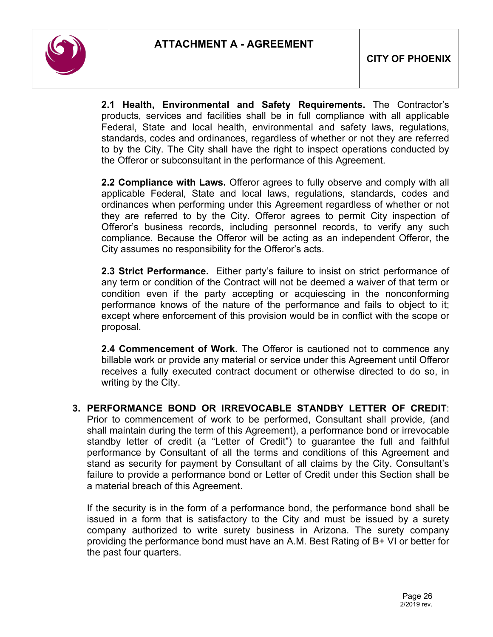

**2.1 Health, Environmental and Safety Requirements.** The Contractor's products, services and facilities shall be in full compliance with all applicable Federal, State and local health, environmental and safety laws, regulations, standards, codes and ordinances, regardless of whether or not they are referred to by the City. The City shall have the right to inspect operations conducted by the Offeror or subconsultant in the performance of this Agreement.

**2.2 Compliance with Laws.** Offeror agrees to fully observe and comply with all applicable Federal, State and local laws, regulations, standards, codes and ordinances when performing under this Agreement regardless of whether or not they are referred to by the City. Offeror agrees to permit City inspection of Offeror's business records, including personnel records, to verify any such compliance. Because the Offeror will be acting as an independent Offeror, the City assumes no responsibility for the Offeror's acts.

**2.3 Strict Performance.** Either party's failure to insist on strict performance of any term or condition of the Contract will not be deemed a waiver of that term or condition even if the party accepting or acquiescing in the nonconforming performance knows of the nature of the performance and fails to object to it; except where enforcement of this provision would be in conflict with the scope or proposal.

**2.4 Commencement of Work.** The Offeror is cautioned not to commence any billable work or provide any material or service under this Agreement until Offeror receives a fully executed contract document or otherwise directed to do so, in writing by the City.

**3. PERFORMANCE BOND OR IRREVOCABLE STANDBY LETTER OF CREDIT**: Prior to commencement of work to be performed, Consultant shall provide, (and shall maintain during the term of this Agreement), a performance bond or irrevocable standby letter of credit (a "Letter of Credit") to guarantee the full and faithful performance by Consultant of all the terms and conditions of this Agreement and stand as security for payment by Consultant of all claims by the City. Consultant's failure to provide a performance bond or Letter of Credit under this Section shall be a material breach of this Agreement.

If the security is in the form of a performance bond, the performance bond shall be issued in a form that is satisfactory to the City and must be issued by a surety company authorized to write surety business in Arizona. The surety company providing the performance bond must have an A.M. Best Rating of B+ VI or better for the past four quarters.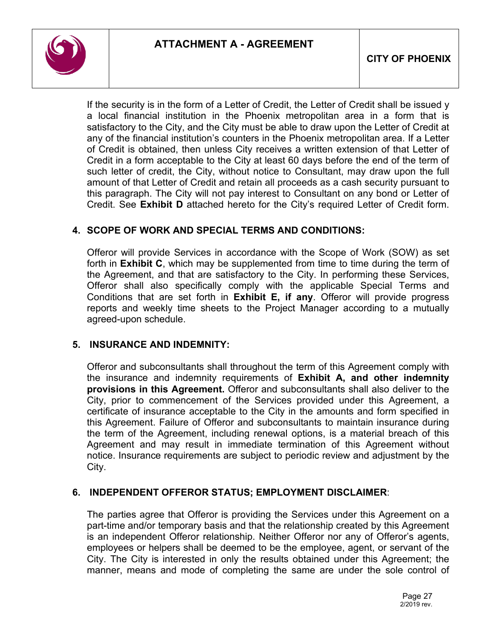

If the security is in the form of a Letter of Credit, the Letter of Credit shall be issued y a local financial institution in the Phoenix metropolitan area in a form that is satisfactory to the City, and the City must be able to draw upon the Letter of Credit at any of the financial institution's counters in the Phoenix metropolitan area. If a Letter of Credit is obtained, then unless City receives a written extension of that Letter of Credit in a form acceptable to the City at least 60 days before the end of the term of such letter of credit, the City, without notice to Consultant, may draw upon the full amount of that Letter of Credit and retain all proceeds as a cash security pursuant to this paragraph. The City will not pay interest to Consultant on any bond or Letter of Credit. See **Exhibit D** attached hereto for the City's required Letter of Credit form.

# **4. SCOPE OF WORK AND SPECIAL TERMS AND CONDITIONS:**

Offeror will provide Services in accordance with the Scope of Work (SOW) as set forth in **Exhibit C**, which may be supplemented from time to time during the term of the Agreement, and that are satisfactory to the City. In performing these Services, Offeror shall also specifically comply with the applicable Special Terms and Conditions that are set forth in **Exhibit E, if any**. Offeror will provide progress reports and weekly time sheets to the Project Manager according to a mutually agreed-upon schedule.

#### **5. INSURANCE AND INDEMNITY:**

Offeror and subconsultants shall throughout the term of this Agreement comply with the insurance and indemnity requirements of **Exhibit A, and other indemnity provisions in this Agreement.** Offeror and subconsultants shall also deliver to the City, prior to commencement of the Services provided under this Agreement, a certificate of insurance acceptable to the City in the amounts and form specified in this Agreement. Failure of Offeror and subconsultants to maintain insurance during the term of the Agreement, including renewal options, is a material breach of this Agreement and may result in immediate termination of this Agreement without notice. Insurance requirements are subject to periodic review and adjustment by the City.

#### **6. INDEPENDENT OFFEROR STATUS; EMPLOYMENT DISCLAIMER**:

The parties agree that Offeror is providing the Services under this Agreement on a part-time and/or temporary basis and that the relationship created by this Agreement is an independent Offeror relationship. Neither Offeror nor any of Offeror's agents, employees or helpers shall be deemed to be the employee, agent, or servant of the City. The City is interested in only the results obtained under this Agreement; the manner, means and mode of completing the same are under the sole control of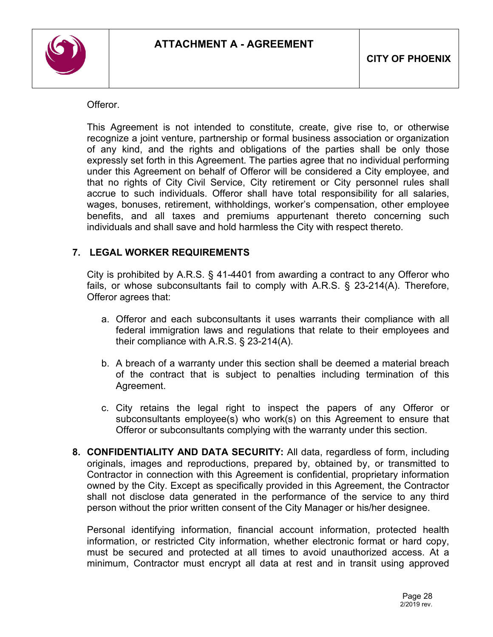

Offeror.

This Agreement is not intended to constitute, create, give rise to, or otherwise recognize a joint venture, partnership or formal business association or organization of any kind, and the rights and obligations of the parties shall be only those expressly set forth in this Agreement. The parties agree that no individual performing under this Agreement on behalf of Offeror will be considered a City employee, and that no rights of City Civil Service, City retirement or City personnel rules shall accrue to such individuals. Offeror shall have total responsibility for all salaries, wages, bonuses, retirement, withholdings, worker's compensation, other employee benefits, and all taxes and premiums appurtenant thereto concerning such individuals and shall save and hold harmless the City with respect thereto.

# **7. LEGAL WORKER REQUIREMENTS**

City is prohibited by A.R.S. § 41-4401 from awarding a contract to any Offeror who fails, or whose subconsultants fail to comply with A.R.S. § 23-214(A). Therefore, Offeror agrees that:

- a. Offeror and each subconsultants it uses warrants their compliance with all federal immigration laws and regulations that relate to their employees and their compliance with A.R.S. § 23-214(A).
- b. A breach of a warranty under this section shall be deemed a material breach of the contract that is subject to penalties including termination of this Agreement.
- c. City retains the legal right to inspect the papers of any Offeror or subconsultants employee(s) who work(s) on this Agreement to ensure that Offeror or subconsultants complying with the warranty under this section.
- **8. CONFIDENTIALITY AND DATA SECURITY:** All data, regardless of form, including originals, images and reproductions, prepared by, obtained by, or transmitted to Contractor in connection with this Agreement is confidential, proprietary information owned by the City. Except as specifically provided in this Agreement, the Contractor shall not disclose data generated in the performance of the service to any third person without the prior written consent of the City Manager or his/her designee.

Personal identifying information, financial account information, protected health information, or restricted City information, whether electronic format or hard copy, must be secured and protected at all times to avoid unauthorized access. At a minimum, Contractor must encrypt all data at rest and in transit using approved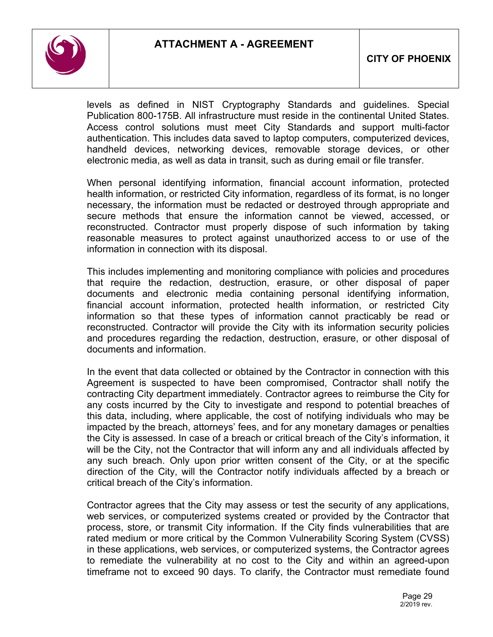

levels as defined in NIST Cryptography Standards and guidelines. Special Publication 800-175B. All infrastructure must reside in the continental United States. Access control solutions must meet City Standards and support multi-factor authentication. This includes data saved to laptop computers, computerized devices, handheld devices, networking devices, removable storage devices, or other electronic media, as well as data in transit, such as during email or file transfer.

When personal identifying information, financial account information, protected health information, or restricted City information, regardless of its format, is no longer necessary, the information must be redacted or destroyed through appropriate and secure methods that ensure the information cannot be viewed, accessed, or reconstructed. Contractor must properly dispose of such information by taking reasonable measures to protect against unauthorized access to or use of the information in connection with its disposal.

This includes implementing and monitoring compliance with policies and procedures that require the redaction, destruction, erasure, or other disposal of paper documents and electronic media containing personal identifying information, financial account information, protected health information, or restricted City information so that these types of information cannot practicably be read or reconstructed. Contractor will provide the City with its information security policies and procedures regarding the redaction, destruction, erasure, or other disposal of documents and information.

In the event that data collected or obtained by the Contractor in connection with this Agreement is suspected to have been compromised, Contractor shall notify the contracting City department immediately. Contractor agrees to reimburse the City for any costs incurred by the City to investigate and respond to potential breaches of this data, including, where applicable, the cost of notifying individuals who may be impacted by the breach, attorneys' fees, and for any monetary damages or penalties the City is assessed. In case of a breach or critical breach of the City's information, it will be the City, not the Contractor that will inform any and all individuals affected by any such breach. Only upon prior written consent of the City, or at the specific direction of the City, will the Contractor notify individuals affected by a breach or critical breach of the City's information.

Contractor agrees that the City may assess or test the security of any applications, web services, or computerized systems created or provided by the Contractor that process, store, or transmit City information. If the City finds vulnerabilities that are rated medium or more critical by the Common Vulnerability Scoring System (CVSS) in these applications, web services, or computerized systems, the Contractor agrees to remediate the vulnerability at no cost to the City and within an agreed-upon timeframe not to exceed 90 days. To clarify, the Contractor must remediate found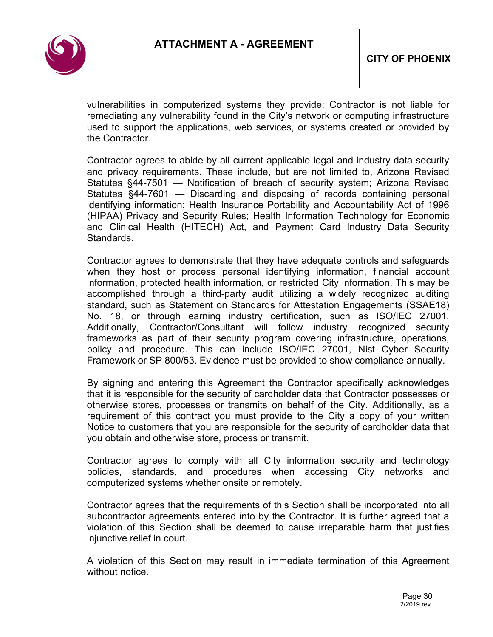

vulnerabilities in computerized systems they provide; Contractor is not liable for remediating any vulnerability found in the City's network or computing infrastructure used to support the applications, web services, or systems created or provided by the Contractor.

Contractor agrees to abide by all current applicable legal and industry data security and privacy requirements. These include, but are not limited to, Arizona Revised Statutes §44-7501 — Notification of breach of security system; Arizona Revised Statutes §44-7601 — Discarding and disposing of records containing personal identifying information; Health Insurance Portability and Accountability Act of 1996 (HIPAA) Privacy and Security Rules; Health Information Technology for Economic and Clinical Health (HITECH) Act, and Payment Card Industry Data Security Standards.

Contractor agrees to demonstrate that they have adequate controls and safeguards when they host or process personal identifying information, financial account information, protected health information, or restricted City information. This may be accomplished through a third-party audit utilizing a widely recognized auditing standard, such as Statement on Standards for Attestation Engagements (SSAE18) No. 18, or through earning industry certification, such as ISO/IEC 27001. Additionally, Contractor/Consultant will follow industry recognized security frameworks as part of their security program covering infrastructure, operations, policy and procedure. This can include ISO/IEC 27001, Nist Cyber Security Framework or SP 800/53. Evidence must be provided to show compliance annually.

By signing and entering this Agreement the Contractor specifically acknowledges that it is responsible for the security of cardholder data that Contractor possesses or otherwise stores, processes or transmits on behalf of the City. Additionally, as a requirement of this contract you must provide to the City a copy of your written Notice to customers that you are responsible for the security of cardholder data that you obtain and otherwise store, process or transmit.

Contractor agrees to comply with all City information security and technology policies, standards, and procedures when accessing City networks and computerized systems whether onsite or remotely.

Contractor agrees that the requirements of this Section shall be incorporated into all subcontractor agreements entered into by the Contractor. It is further agreed that a violation of this Section shall be deemed to cause irreparable harm that justifies injunctive relief in court.

A violation of this Section may result in immediate termination of this Agreement without notice.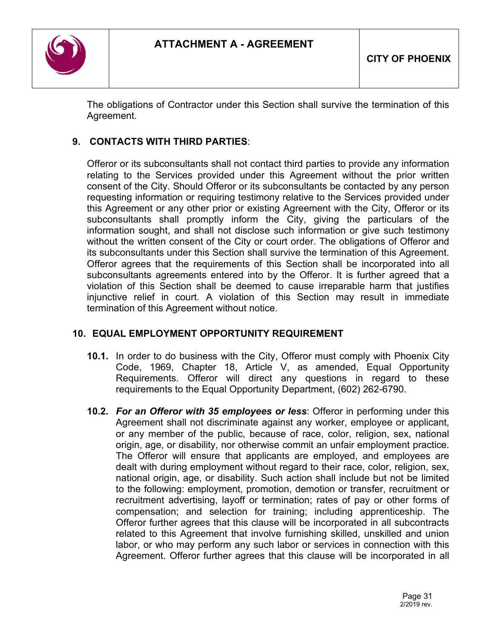

The obligations of Contractor under this Section shall survive the termination of this Agreement.

# **9. CONTACTS WITH THIRD PARTIES**:

Offeror or its subconsultants shall not contact third parties to provide any information relating to the Services provided under this Agreement without the prior written consent of the City. Should Offeror or its subconsultants be contacted by any person requesting information or requiring testimony relative to the Services provided under this Agreement or any other prior or existing Agreement with the City, Offeror or its subconsultants shall promptly inform the City, giving the particulars of the information sought, and shall not disclose such information or give such testimony without the written consent of the City or court order. The obligations of Offeror and its subconsultants under this Section shall survive the termination of this Agreement. Offeror agrees that the requirements of this Section shall be incorporated into all subconsultants agreements entered into by the Offeror. It is further agreed that a violation of this Section shall be deemed to cause irreparable harm that justifies injunctive relief in court. A violation of this Section may result in immediate termination of this Agreement without notice.

# **10. EQUAL EMPLOYMENT OPPORTUNITY REQUIREMENT**

- **10.1.** In order to do business with the City, Offeror must comply with Phoenix City Code, 1969, Chapter 18, Article V, as amended, Equal Opportunity Requirements. Offeror will direct any questions in regard to these requirements to the Equal Opportunity Department, (602) 262-6790.
- **10.2.** *For an Offeror with 35 employees or less*: Offeror in performing under this Agreement shall not discriminate against any worker, employee or applicant, or any member of the public, because of race, color, religion, sex, national origin, age, or disability, nor otherwise commit an unfair employment practice. The Offeror will ensure that applicants are employed, and employees are dealt with during employment without regard to their race, color, religion, sex, national origin, age, or disability. Such action shall include but not be limited to the following: employment, promotion, demotion or transfer, recruitment or recruitment advertising, layoff or termination; rates of pay or other forms of compensation; and selection for training; including apprenticeship. The Offeror further agrees that this clause will be incorporated in all subcontracts related to this Agreement that involve furnishing skilled, unskilled and union labor, or who may perform any such labor or services in connection with this Agreement. Offeror further agrees that this clause will be incorporated in all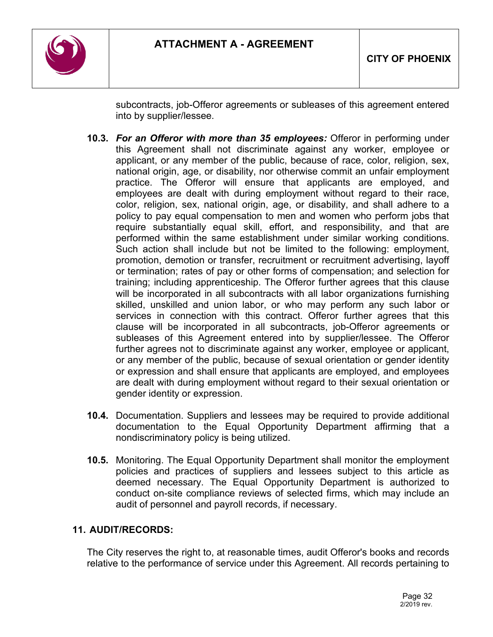

subcontracts, job-Offeror agreements or subleases of this agreement entered into by supplier/lessee.

- **10.3.** *For an Offeror with more than 35 employees:* Offeror in performing under this Agreement shall not discriminate against any worker, employee or applicant, or any member of the public, because of race, color, religion, sex, national origin, age, or disability, nor otherwise commit an unfair employment practice. The Offeror will ensure that applicants are employed, and employees are dealt with during employment without regard to their race, color, religion, sex, national origin, age, or disability, and shall adhere to a policy to pay equal compensation to men and women who perform jobs that require substantially equal skill, effort, and responsibility, and that are performed within the same establishment under similar working conditions. Such action shall include but not be limited to the following: employment, promotion, demotion or transfer, recruitment or recruitment advertising, layoff or termination; rates of pay or other forms of compensation; and selection for training; including apprenticeship. The Offeror further agrees that this clause will be incorporated in all subcontracts with all labor organizations furnishing skilled, unskilled and union labor, or who may perform any such labor or services in connection with this contract. Offeror further agrees that this clause will be incorporated in all subcontracts, job-Offeror agreements or subleases of this Agreement entered into by supplier/lessee. The Offeror further agrees not to discriminate against any worker, employee or applicant, or any member of the public, because of sexual orientation or gender identity or expression and shall ensure that applicants are employed, and employees are dealt with during employment without regard to their sexual orientation or gender identity or expression.
- **10.4.** Documentation. Suppliers and lessees may be required to provide additional documentation to the Equal Opportunity Department affirming that a nondiscriminatory policy is being utilized.
- **10.5.** Monitoring. The Equal Opportunity Department shall monitor the employment policies and practices of suppliers and lessees subject to this article as deemed necessary. The Equal Opportunity Department is authorized to conduct on-site compliance reviews of selected firms, which may include an audit of personnel and payroll records, if necessary.

# **11. AUDIT/RECORDS:**

The City reserves the right to, at reasonable times, audit Offeror's books and records relative to the performance of service under this Agreement. All records pertaining to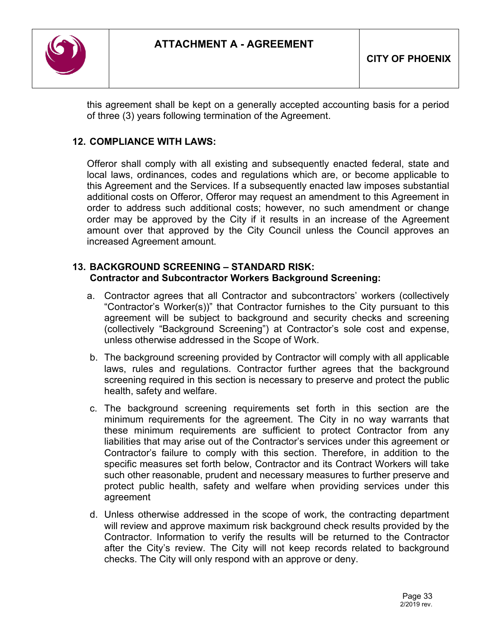

this agreement shall be kept on a generally accepted accounting basis for a period of three (3) years following termination of the Agreement.

# **12. COMPLIANCE WITH LAWS:**

Offeror shall comply with all existing and subsequently enacted federal, state and local laws, ordinances, codes and regulations which are, or become applicable to this Agreement and the Services. If a subsequently enacted law imposes substantial additional costs on Offeror, Offeror may request an amendment to this Agreement in order to address such additional costs; however, no such amendment or change order may be approved by the City if it results in an increase of the Agreement amount over that approved by the City Council unless the Council approves an increased Agreement amount.

# **13. BACKGROUND SCREENING – STANDARD RISK: Contractor and Subcontractor Workers Background Screening:**

- a. Contractor agrees that all Contractor and subcontractors' workers (collectively "Contractor's Worker(s))" that Contractor furnishes to the City pursuant to this agreement will be subject to background and security checks and screening (collectively "Background Screening") at Contractor's sole cost and expense, unless otherwise addressed in the Scope of Work.
- b. The background screening provided by Contractor will comply with all applicable laws, rules and regulations. Contractor further agrees that the background screening required in this section is necessary to preserve and protect the public health, safety and welfare.
- c. The background screening requirements set forth in this section are the minimum requirements for the agreement. The City in no way warrants that these minimum requirements are sufficient to protect Contractor from any liabilities that may arise out of the Contractor's services under this agreement or Contractor's failure to comply with this section. Therefore, in addition to the specific measures set forth below, Contractor and its Contract Workers will take such other reasonable, prudent and necessary measures to further preserve and protect public health, safety and welfare when providing services under this agreement
- d. Unless otherwise addressed in the scope of work, the contracting department will review and approve maximum risk background check results provided by the Contractor. Information to verify the results will be returned to the Contractor after the City's review. The City will not keep records related to background checks. The City will only respond with an approve or deny.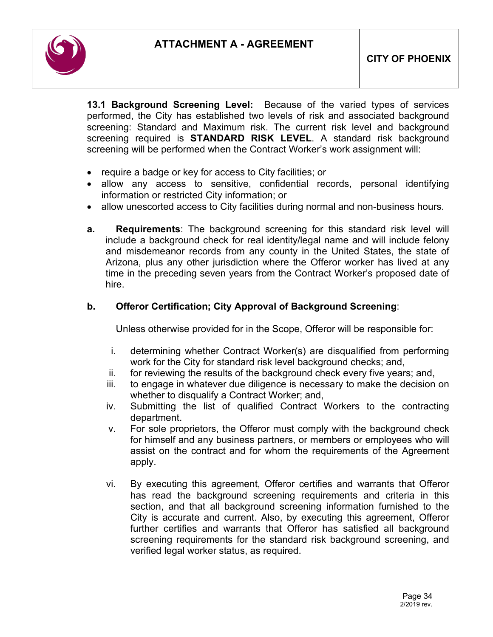

**13.1 Background Screening Level:** Because of the varied types of services performed, the City has established two levels of risk and associated background screening: Standard and Maximum risk. The current risk level and background screening required is **STANDARD RISK LEVEL**. A standard risk background screening will be performed when the Contract Worker's work assignment will:

- require a badge or key for access to City facilities; or
- allow any access to sensitive, confidential records, personal identifying information or restricted City information; or
- allow unescorted access to City facilities during normal and non-business hours.
- **a. Requirements**: The background screening for this standard risk level will include a background check for real identity/legal name and will include felony and misdemeanor records from any county in the United States, the state of Arizona, plus any other jurisdiction where the Offeror worker has lived at any time in the preceding seven years from the Contract Worker's proposed date of hire.

# **b. Offeror Certification; City Approval of Background Screening**:

Unless otherwise provided for in the Scope, Offeror will be responsible for:

- i. determining whether Contract Worker(s) are disqualified from performing work for the City for standard risk level background checks; and,
- ii. for reviewing the results of the background check every five years; and,
- iii. to engage in whatever due diligence is necessary to make the decision on whether to disqualify a Contract Worker; and,
- iv. Submitting the list of qualified Contract Workers to the contracting department.
- v. For sole proprietors, the Offeror must comply with the background check for himself and any business partners, or members or employees who will assist on the contract and for whom the requirements of the Agreement apply.
- vi. By executing this agreement, Offeror certifies and warrants that Offeror has read the background screening requirements and criteria in this section, and that all background screening information furnished to the City is accurate and current. Also, by executing this agreement, Offeror further certifies and warrants that Offeror has satisfied all background screening requirements for the standard risk background screening, and verified legal worker status, as required.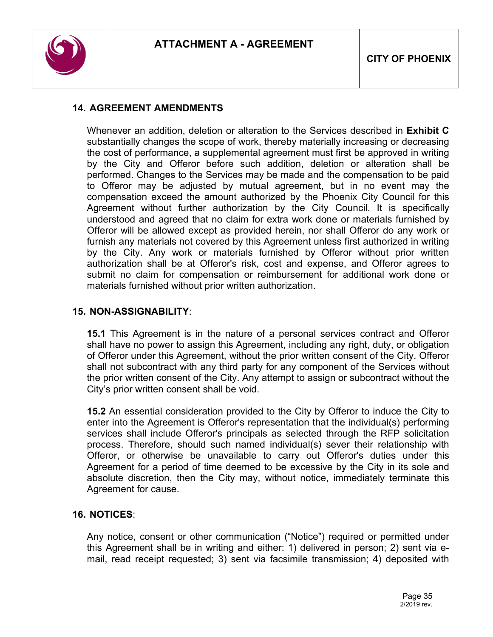

# **14. AGREEMENT AMENDMENTS**

Whenever an addition, deletion or alteration to the Services described in **Exhibit C** substantially changes the scope of work, thereby materially increasing or decreasing the cost of performance, a supplemental agreement must first be approved in writing by the City and Offeror before such addition, deletion or alteration shall be performed. Changes to the Services may be made and the compensation to be paid to Offeror may be adjusted by mutual agreement, but in no event may the compensation exceed the amount authorized by the Phoenix City Council for this Agreement without further authorization by the City Council. It is specifically understood and agreed that no claim for extra work done or materials furnished by Offeror will be allowed except as provided herein, nor shall Offeror do any work or furnish any materials not covered by this Agreement unless first authorized in writing by the City. Any work or materials furnished by Offeror without prior written authorization shall be at Offeror's risk, cost and expense, and Offeror agrees to submit no claim for compensation or reimbursement for additional work done or materials furnished without prior written authorization.

#### **15. NON-ASSIGNABILITY**:

**15.1** This Agreement is in the nature of a personal services contract and Offeror shall have no power to assign this Agreement, including any right, duty, or obligation of Offeror under this Agreement, without the prior written consent of the City. Offeror shall not subcontract with any third party for any component of the Services without the prior written consent of the City. Any attempt to assign or subcontract without the City's prior written consent shall be void.

**15.2** An essential consideration provided to the City by Offeror to induce the City to enter into the Agreement is Offeror's representation that the individual(s) performing services shall include Offeror's principals as selected through the RFP solicitation process. Therefore, should such named individual(s) sever their relationship with Offeror, or otherwise be unavailable to carry out Offeror's duties under this Agreement for a period of time deemed to be excessive by the City in its sole and absolute discretion, then the City may, without notice, immediately terminate this Agreement for cause.

#### **16. NOTICES**:

Any notice, consent or other communication ("Notice") required or permitted under this Agreement shall be in writing and either: 1) delivered in person; 2) sent via email, read receipt requested; 3) sent via facsimile transmission; 4) deposited with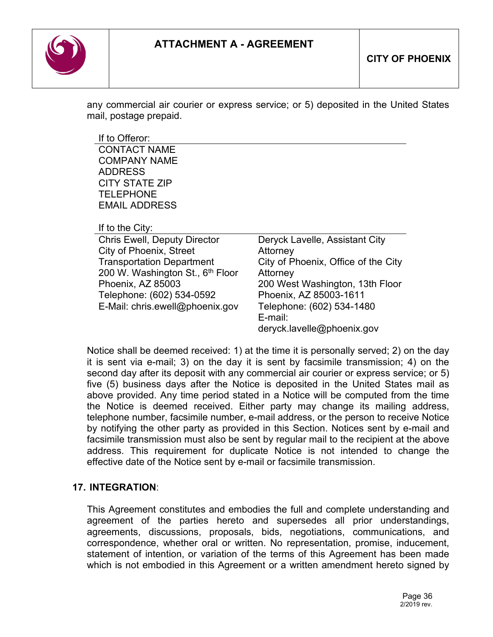# **ATTACHMENT A - AGREEMENT**



any commercial air courier or express service; or 5) deposited in the United States mail, postage prepaid.

If to Offeror:

CONTACT NAME COMPANY NAME ADDRESS CITY STATE ZIP TELEPHONE EMAIL ADDRESS

If to the City:

| <b>Chris Ewell, Deputy Director</b>          | Deryck Lavelle, Assistant City      |
|----------------------------------------------|-------------------------------------|
| City of Phoenix, Street                      | Attorney                            |
| <b>Transportation Department</b>             | City of Phoenix, Office of the City |
| 200 W. Washington St., 6 <sup>th</sup> Floor | Attorney                            |
| Phoenix, AZ 85003                            | 200 West Washington, 13th Floor     |
| Telephone: (602) 534-0592                    | Phoenix, AZ 85003-1611              |
| E-Mail: chris.ewell@phoenix.gov              | Telephone: (602) 534-1480           |
|                                              | E-mail:                             |
|                                              | deryck.lavelle@phoenix.gov          |
|                                              |                                     |

Notice shall be deemed received: 1) at the time it is personally served; 2) on the day it is sent via e-mail; 3) on the day it is sent by facsimile transmission; 4) on the second day after its deposit with any commercial air courier or express service; or 5) five (5) business days after the Notice is deposited in the United States mail as above provided. Any time period stated in a Notice will be computed from the time the Notice is deemed received. Either party may change its mailing address, telephone number, facsimile number, e-mail address, or the person to receive Notice by notifying the other party as provided in this Section. Notices sent by e-mail and facsimile transmission must also be sent by regular mail to the recipient at the above address. This requirement for duplicate Notice is not intended to change the effective date of the Notice sent by e-mail or facsimile transmission.

# **17. INTEGRATION**:

This Agreement constitutes and embodies the full and complete understanding and agreement of the parties hereto and supersedes all prior understandings, agreements, discussions, proposals, bids, negotiations, communications, and correspondence, whether oral or written. No representation, promise, inducement, statement of intention, or variation of the terms of this Agreement has been made which is not embodied in this Agreement or a written amendment hereto signed by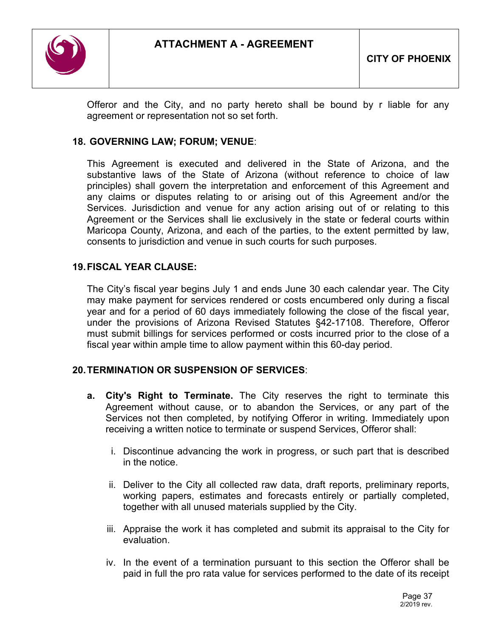

Offeror and the City, and no party hereto shall be bound by r liable for any agreement or representation not so set forth.

### **18. GOVERNING LAW; FORUM; VENUE**:

This Agreement is executed and delivered in the State of Arizona, and the substantive laws of the State of Arizona (without reference to choice of law principles) shall govern the interpretation and enforcement of this Agreement and any claims or disputes relating to or arising out of this Agreement and/or the Services. Jurisdiction and venue for any action arising out of or relating to this Agreement or the Services shall lie exclusively in the state or federal courts within Maricopa County, Arizona, and each of the parties, to the extent permitted by law, consents to jurisdiction and venue in such courts for such purposes.

### **19.FISCAL YEAR CLAUSE:**

The City's fiscal year begins July 1 and ends June 30 each calendar year. The City may make payment for services rendered or costs encumbered only during a fiscal year and for a period of 60 days immediately following the close of the fiscal year, under the provisions of Arizona Revised Statutes §42-17108. Therefore, Offeror must submit billings for services performed or costs incurred prior to the close of a fiscal year within ample time to allow payment within this 60-day period.

### **20.TERMINATION OR SUSPENSION OF SERVICES**:

- **a. City's Right to Terminate.** The City reserves the right to terminate this Agreement without cause, or to abandon the Services, or any part of the Services not then completed, by notifying Offeror in writing. Immediately upon receiving a written notice to terminate or suspend Services, Offeror shall:
	- i. Discontinue advancing the work in progress, or such part that is described in the notice.
	- ii. Deliver to the City all collected raw data, draft reports, preliminary reports, working papers, estimates and forecasts entirely or partially completed, together with all unused materials supplied by the City.
	- iii. Appraise the work it has completed and submit its appraisal to the City for evaluation.
	- iv. In the event of a termination pursuant to this section the Offeror shall be paid in full the pro rata value for services performed to the date of its receipt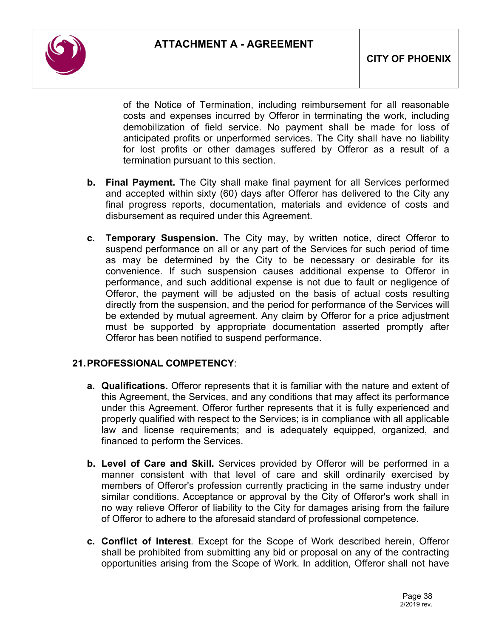

of the Notice of Termination, including reimbursement for all reasonable costs and expenses incurred by Offeror in terminating the work, including demobilization of field service. No payment shall be made for loss of anticipated profits or unperformed services. The City shall have no liability for lost profits or other damages suffered by Offeror as a result of a termination pursuant to this section.

- **b. Final Payment.** The City shall make final payment for all Services performed and accepted within sixty (60) days after Offeror has delivered to the City any final progress reports, documentation, materials and evidence of costs and disbursement as required under this Agreement.
- **c. Temporary Suspension.** The City may, by written notice, direct Offeror to suspend performance on all or any part of the Services for such period of time as may be determined by the City to be necessary or desirable for its convenience. If such suspension causes additional expense to Offeror in performance, and such additional expense is not due to fault or negligence of Offeror, the payment will be adjusted on the basis of actual costs resulting directly from the suspension, and the period for performance of the Services will be extended by mutual agreement. Any claim by Offeror for a price adjustment must be supported by appropriate documentation asserted promptly after Offeror has been notified to suspend performance.

### **21.PROFESSIONAL COMPETENCY**:

- **a. Qualifications.** Offeror represents that it is familiar with the nature and extent of this Agreement, the Services, and any conditions that may affect its performance under this Agreement. Offeror further represents that it is fully experienced and properly qualified with respect to the Services; is in compliance with all applicable law and license requirements; and is adequately equipped, organized, and financed to perform the Services.
- **b. Level of Care and Skill.** Services provided by Offeror will be performed in a manner consistent with that level of care and skill ordinarily exercised by members of Offeror's profession currently practicing in the same industry under similar conditions. Acceptance or approval by the City of Offeror's work shall in no way relieve Offeror of liability to the City for damages arising from the failure of Offeror to adhere to the aforesaid standard of professional competence.
- **c. Conflict of Interest**. Except for the Scope of Work described herein, Offeror shall be prohibited from submitting any bid or proposal on any of the contracting opportunities arising from the Scope of Work. In addition, Offeror shall not have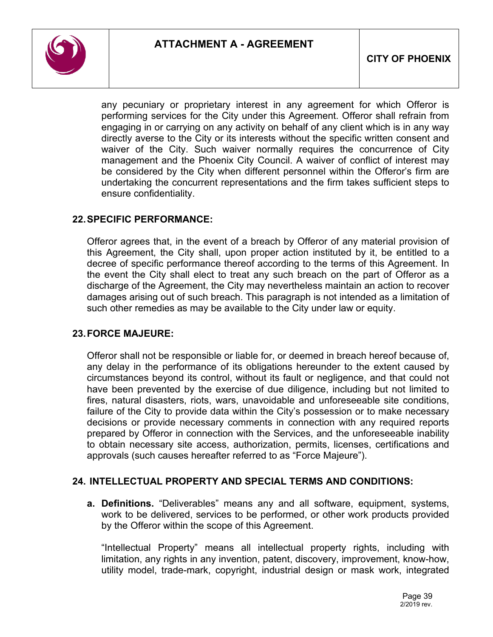

any pecuniary or proprietary interest in any agreement for which Offeror is performing services for the City under this Agreement. Offeror shall refrain from engaging in or carrying on any activity on behalf of any client which is in any way directly averse to the City or its interests without the specific written consent and waiver of the City. Such waiver normally requires the concurrence of City management and the Phoenix City Council. A waiver of conflict of interest may be considered by the City when different personnel within the Offeror's firm are undertaking the concurrent representations and the firm takes sufficient steps to ensure confidentiality.

### **22.SPECIFIC PERFORMANCE:**

Offeror agrees that, in the event of a breach by Offeror of any material provision of this Agreement, the City shall, upon proper action instituted by it, be entitled to a decree of specific performance thereof according to the terms of this Agreement. In the event the City shall elect to treat any such breach on the part of Offeror as a discharge of the Agreement, the City may nevertheless maintain an action to recover damages arising out of such breach. This paragraph is not intended as a limitation of such other remedies as may be available to the City under law or equity.

### **23.FORCE MAJEURE:**

Offeror shall not be responsible or liable for, or deemed in breach hereof because of, any delay in the performance of its obligations hereunder to the extent caused by circumstances beyond its control, without its fault or negligence, and that could not have been prevented by the exercise of due diligence, including but not limited to fires, natural disasters, riots, wars, unavoidable and unforeseeable site conditions, failure of the City to provide data within the City's possession or to make necessary decisions or provide necessary comments in connection with any required reports prepared by Offeror in connection with the Services, and the unforeseeable inability to obtain necessary site access, authorization, permits, licenses, certifications and approvals (such causes hereafter referred to as "Force Majeure").

### **24. INTELLECTUAL PROPERTY AND SPECIAL TERMS AND CONDITIONS:**

**a. Definitions.** "Deliverables" means any and all software, equipment, systems, work to be delivered, services to be performed, or other work products provided by the Offeror within the scope of this Agreement.

"Intellectual Property" means all intellectual property rights, including with limitation, any rights in any invention, patent, discovery, improvement, know-how, utility model, trade-mark, copyright, industrial design or mask work, integrated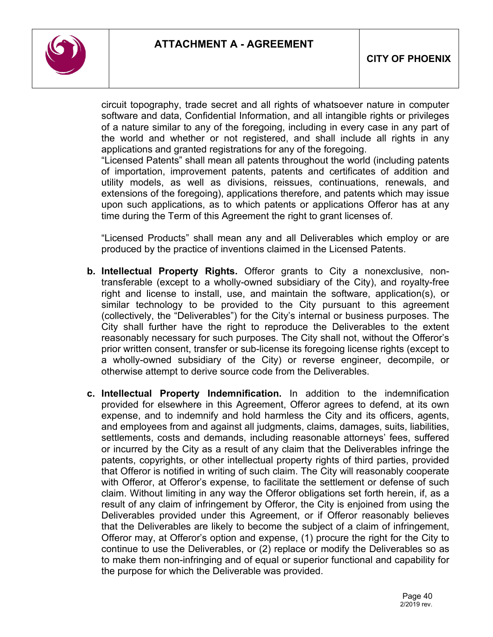

circuit topography, trade secret and all rights of whatsoever nature in computer software and data, Confidential Information, and all intangible rights or privileges of a nature similar to any of the foregoing, including in every case in any part of the world and whether or not registered, and shall include all rights in any applications and granted registrations for any of the foregoing.

"Licensed Patents" shall mean all patents throughout the world (including patents of importation, improvement patents, patents and certificates of addition and utility models, as well as divisions, reissues, continuations, renewals, and extensions of the foregoing), applications therefore, and patents which may issue upon such applications, as to which patents or applications Offeror has at any time during the Term of this Agreement the right to grant licenses of.

"Licensed Products" shall mean any and all Deliverables which employ or are produced by the practice of inventions claimed in the Licensed Patents.

- **b. Intellectual Property Rights.** Offeror grants to City a nonexclusive, nontransferable (except to a wholly-owned subsidiary of the City), and royalty-free right and license to install, use, and maintain the software, application(s), or similar technology to be provided to the City pursuant to this agreement (collectively, the "Deliverables") for the City's internal or business purposes. The City shall further have the right to reproduce the Deliverables to the extent reasonably necessary for such purposes. The City shall not, without the Offeror's prior written consent, transfer or sub-license its foregoing license rights (except to a wholly-owned subsidiary of the City) or reverse engineer, decompile, or otherwise attempt to derive source code from the Deliverables.
- **c. Intellectual Property Indemnification.** In addition to the indemnification provided for elsewhere in this Agreement, Offeror agrees to defend, at its own expense, and to indemnify and hold harmless the City and its officers, agents, and employees from and against all judgments, claims, damages, suits, liabilities, settlements, costs and demands, including reasonable attorneys' fees, suffered or incurred by the City as a result of any claim that the Deliverables infringe the patents, copyrights, or other intellectual property rights of third parties, provided that Offeror is notified in writing of such claim. The City will reasonably cooperate with Offeror, at Offeror's expense, to facilitate the settlement or defense of such claim. Without limiting in any way the Offeror obligations set forth herein, if, as a result of any claim of infringement by Offeror, the City is enjoined from using the Deliverables provided under this Agreement, or if Offeror reasonably believes that the Deliverables are likely to become the subject of a claim of infringement, Offeror may, at Offeror's option and expense, (1) procure the right for the City to continue to use the Deliverables, or (2) replace or modify the Deliverables so as to make them non-infringing and of equal or superior functional and capability for the purpose for which the Deliverable was provided.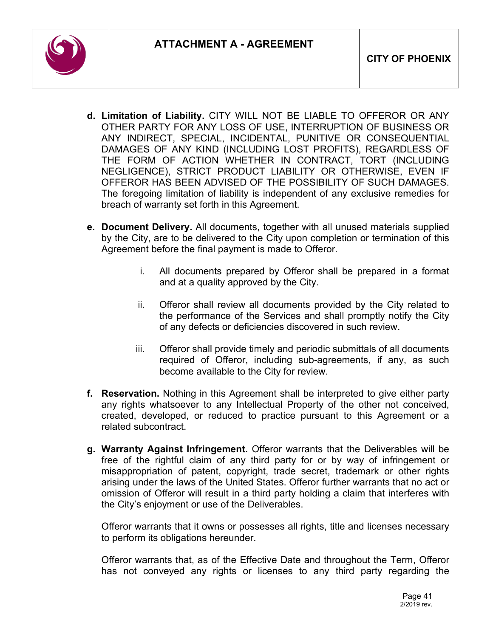

- **d. Limitation of Liability.** CITY WILL NOT BE LIABLE TO OFFEROR OR ANY OTHER PARTY FOR ANY LOSS OF USE, INTERRUPTION OF BUSINESS OR ANY INDIRECT, SPECIAL, INCIDENTAL, PUNITIVE OR CONSEQUENTIAL DAMAGES OF ANY KIND (INCLUDING LOST PROFITS), REGARDLESS OF THE FORM OF ACTION WHETHER IN CONTRACT, TORT (INCLUDING NEGLIGENCE), STRICT PRODUCT LIABILITY OR OTHERWISE, EVEN IF OFFEROR HAS BEEN ADVISED OF THE POSSIBILITY OF SUCH DAMAGES. The foregoing limitation of liability is independent of any exclusive remedies for breach of warranty set forth in this Agreement.
- **e. Document Delivery.** All documents, together with all unused materials supplied by the City, are to be delivered to the City upon completion or termination of this Agreement before the final payment is made to Offeror.
	- i. All documents prepared by Offeror shall be prepared in a format and at a quality approved by the City.
	- ii. Offeror shall review all documents provided by the City related to the performance of the Services and shall promptly notify the City of any defects or deficiencies discovered in such review.
	- iii. Offeror shall provide timely and periodic submittals of all documents required of Offeror, including sub-agreements, if any, as such become available to the City for review.
- **f. Reservation.** Nothing in this Agreement shall be interpreted to give either party any rights whatsoever to any Intellectual Property of the other not conceived, created, developed, or reduced to practice pursuant to this Agreement or a related subcontract.
- **g. Warranty Against Infringement.** Offeror warrants that the Deliverables will be free of the rightful claim of any third party for or by way of infringement or misappropriation of patent, copyright, trade secret, trademark or other rights arising under the laws of the United States. Offeror further warrants that no act or omission of Offeror will result in a third party holding a claim that interferes with the City's enjoyment or use of the Deliverables.

Offeror warrants that it owns or possesses all rights, title and licenses necessary to perform its obligations hereunder.

Offeror warrants that, as of the Effective Date and throughout the Term, Offeror has not conveyed any rights or licenses to any third party regarding the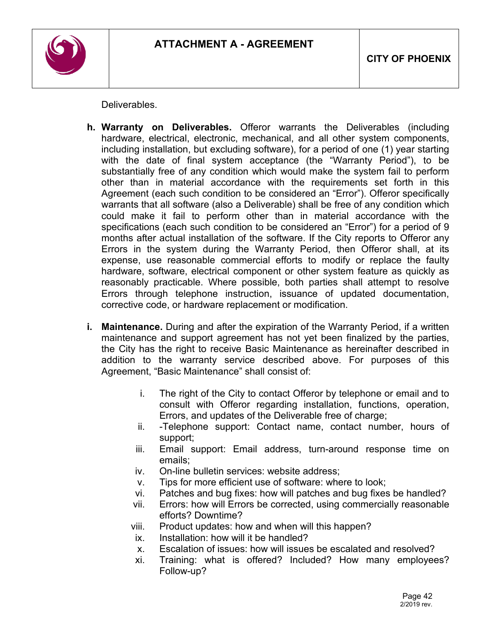

**Deliverables** 

- **h. Warranty on Deliverables.** Offeror warrants the Deliverables (including hardware, electrical, electronic, mechanical, and all other system components, including installation, but excluding software), for a period of one (1) year starting with the date of final system acceptance (the "Warranty Period"), to be substantially free of any condition which would make the system fail to perform other than in material accordance with the requirements set forth in this Agreement (each such condition to be considered an "Error"). Offeror specifically warrants that all software (also a Deliverable) shall be free of any condition which could make it fail to perform other than in material accordance with the specifications (each such condition to be considered an "Error") for a period of 9 months after actual installation of the software. If the City reports to Offeror any Errors in the system during the Warranty Period, then Offeror shall, at its expense, use reasonable commercial efforts to modify or replace the faulty hardware, software, electrical component or other system feature as quickly as reasonably practicable. Where possible, both parties shall attempt to resolve Errors through telephone instruction, issuance of updated documentation, corrective code, or hardware replacement or modification.
- **i. Maintenance.** During and after the expiration of the Warranty Period, if a written maintenance and support agreement has not yet been finalized by the parties, the City has the right to receive Basic Maintenance as hereinafter described in addition to the warranty service described above. For purposes of this Agreement, "Basic Maintenance" shall consist of:
	- i. The right of the City to contact Offeror by telephone or email and to consult with Offeror regarding installation, functions, operation, Errors, and updates of the Deliverable free of charge;
	- ii. -Telephone support: Contact name, contact number, hours of support;
	- iii. Email support: Email address, turn-around response time on emails;
	- iv. On-line bulletin services: website address;
	- v. Tips for more efficient use of software: where to look;
	- vi. Patches and bug fixes: how will patches and bug fixes be handled?
	- vii. Errors: how will Errors be corrected, using commercially reasonable efforts? Downtime?
	- viii. Product updates: how and when will this happen?
	- ix. Installation: how will it be handled?
	- x. Escalation of issues: how will issues be escalated and resolved?
	- xi. Training: what is offered? Included? How many employees? Follow-up?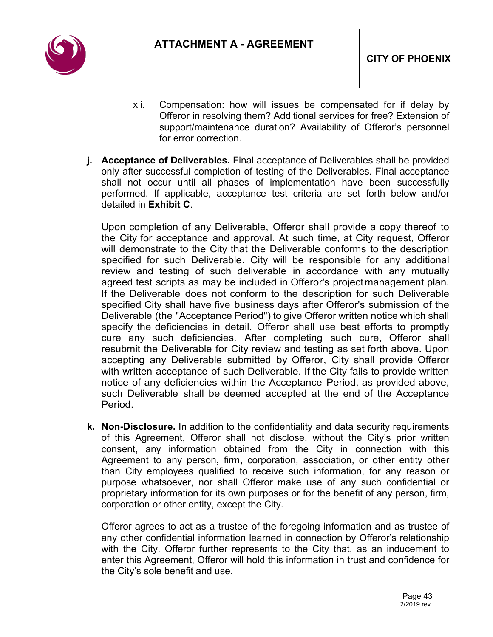

- xii. Compensation: how will issues be compensated for if delay by Offeror in resolving them? Additional services for free? Extension of support/maintenance duration? Availability of Offeror's personnel for error correction.
- **j. Acceptance of Deliverables.** Final acceptance of Deliverables shall be provided only after successful completion of testing of the Deliverables. Final acceptance shall not occur until all phases of implementation have been successfully performed. If applicable, acceptance test criteria are set forth below and/or detailed in **Exhibit C**.

Upon completion of any Deliverable, Offeror shall provide a copy thereof to the City for acceptance and approval. At such time, at City request, Offeror will demonstrate to the City that the Deliverable conforms to the description specified for such Deliverable. City will be responsible for any additional review and testing of such deliverable in accordance with any mutually agreed test scripts as may be included in Offeror's project management plan. If the Deliverable does not conform to the description for such Deliverable specified City shall have five business days after Offeror's submission of the Deliverable (the "Acceptance Period") to give Offeror written notice which shall specify the deficiencies in detail. Offeror shall use best efforts to promptly cure any such deficiencies. After completing such cure, Offeror shall resubmit the Deliverable for City review and testing as set forth above. Upon accepting any Deliverable submitted by Offeror, City shall provide Offeror with written acceptance of such Deliverable. If the City fails to provide written notice of any deficiencies within the Acceptance Period, as provided above, such Deliverable shall be deemed accepted at the end of the Acceptance Period.

**k. Non-Disclosure.** In addition to the confidentiality and data security requirements of this Agreement, Offeror shall not disclose, without the City's prior written consent, any information obtained from the City in connection with this Agreement to any person, firm, corporation, association, or other entity other than City employees qualified to receive such information, for any reason or purpose whatsoever, nor shall Offeror make use of any such confidential or proprietary information for its own purposes or for the benefit of any person, firm, corporation or other entity, except the City.

Offeror agrees to act as a trustee of the foregoing information and as trustee of any other confidential information learned in connection by Offeror's relationship with the City. Offeror further represents to the City that, as an inducement to enter this Agreement, Offeror will hold this information in trust and confidence for the City's sole benefit and use.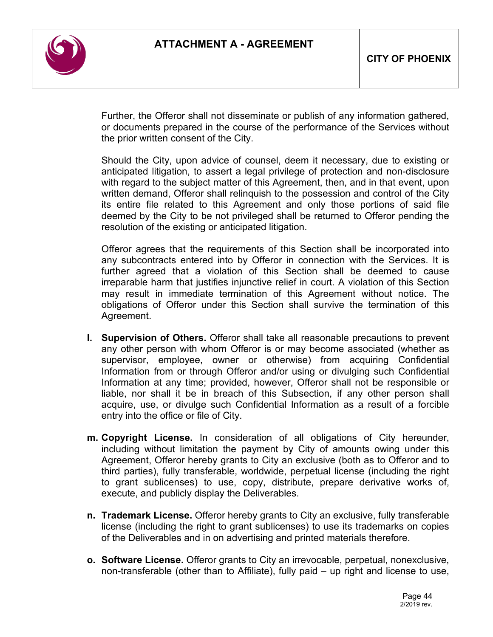

Further, the Offeror shall not disseminate or publish of any information gathered, or documents prepared in the course of the performance of the Services without the prior written consent of the City.

Should the City, upon advice of counsel, deem it necessary, due to existing or anticipated litigation, to assert a legal privilege of protection and non-disclosure with regard to the subject matter of this Agreement, then, and in that event, upon written demand, Offeror shall relinquish to the possession and control of the City its entire file related to this Agreement and only those portions of said file deemed by the City to be not privileged shall be returned to Offeror pending the resolution of the existing or anticipated litigation.

Offeror agrees that the requirements of this Section shall be incorporated into any subcontracts entered into by Offeror in connection with the Services. It is further agreed that a violation of this Section shall be deemed to cause irreparable harm that justifies injunctive relief in court. A violation of this Section may result in immediate termination of this Agreement without notice. The obligations of Offeror under this Section shall survive the termination of this Agreement.

- **l. Supervision of Others.** Offeror shall take all reasonable precautions to prevent any other person with whom Offeror is or may become associated (whether as supervisor, employee, owner or otherwise) from acquiring Confidential Information from or through Offeror and/or using or divulging such Confidential Information at any time; provided, however, Offeror shall not be responsible or liable, nor shall it be in breach of this Subsection, if any other person shall acquire, use, or divulge such Confidential Information as a result of a forcible entry into the office or file of City.
- **m. Copyright License.** In consideration of all obligations of City hereunder, including without limitation the payment by City of amounts owing under this Agreement, Offeror hereby grants to City an exclusive (both as to Offeror and to third parties), fully transferable, worldwide, perpetual license (including the right to grant sublicenses) to use, copy, distribute, prepare derivative works of, execute, and publicly display the Deliverables.
- **n. Trademark License.** Offeror hereby grants to City an exclusive, fully transferable license (including the right to grant sublicenses) to use its trademarks on copies of the Deliverables and in on advertising and printed materials therefore.
- **o. Software License.** Offeror grants to City an irrevocable, perpetual, nonexclusive, non-transferable (other than to Affiliate), fully paid – up right and license to use,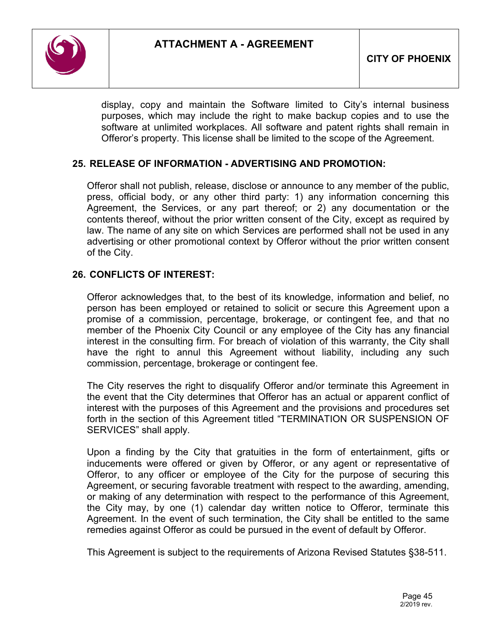

display, copy and maintain the Software limited to City's internal business purposes, which may include the right to make backup copies and to use the software at unlimited workplaces. All software and patent rights shall remain in Offeror's property. This license shall be limited to the scope of the Agreement.

### **25. RELEASE OF INFORMATION - ADVERTISING AND PROMOTION:**

Offeror shall not publish, release, disclose or announce to any member of the public, press, official body, or any other third party: 1) any information concerning this Agreement, the Services, or any part thereof; or 2) any documentation or the contents thereof, without the prior written consent of the City, except as required by law. The name of any site on which Services are performed shall not be used in any advertising or other promotional context by Offeror without the prior written consent of the City.

### **26. CONFLICTS OF INTEREST:**

Offeror acknowledges that, to the best of its knowledge, information and belief, no person has been employed or retained to solicit or secure this Agreement upon a promise of a commission, percentage, brokerage, or contingent fee, and that no member of the Phoenix City Council or any employee of the City has any financial interest in the consulting firm. For breach of violation of this warranty, the City shall have the right to annul this Agreement without liability, including any such commission, percentage, brokerage or contingent fee.

The City reserves the right to disqualify Offeror and/or terminate this Agreement in the event that the City determines that Offeror has an actual or apparent conflict of interest with the purposes of this Agreement and the provisions and procedures set forth in the section of this Agreement titled "TERMINATION OR SUSPENSION OF SERVICES" shall apply.

Upon a finding by the City that gratuities in the form of entertainment, gifts or inducements were offered or given by Offeror, or any agent or representative of Offeror, to any officer or employee of the City for the purpose of securing this Agreement, or securing favorable treatment with respect to the awarding, amending, or making of any determination with respect to the performance of this Agreement, the City may, by one (1) calendar day written notice to Offeror, terminate this Agreement. In the event of such termination, the City shall be entitled to the same remedies against Offeror as could be pursued in the event of default by Offeror.

This Agreement is subject to the requirements of Arizona Revised Statutes §38-511.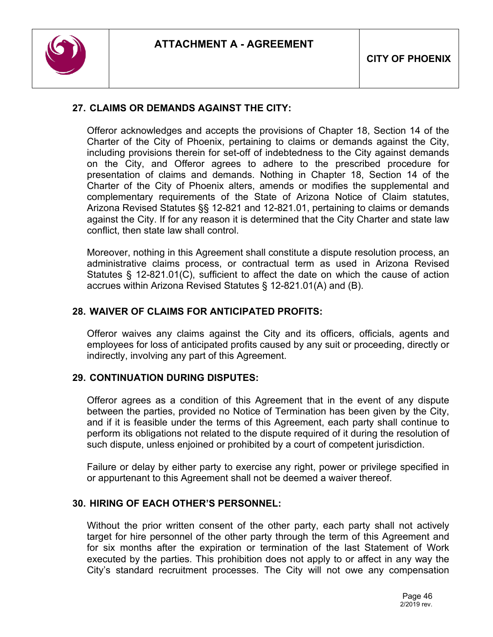

## **27. CLAIMS OR DEMANDS AGAINST THE CITY:**

Offeror acknowledges and accepts the provisions of Chapter 18, Section 14 of the Charter of the City of Phoenix, pertaining to claims or demands against the City, including provisions therein for set-off of indebtedness to the City against demands on the City, and Offeror agrees to adhere to the prescribed procedure for presentation of claims and demands. Nothing in Chapter 18, Section 14 of the Charter of the City of Phoenix alters, amends or modifies the supplemental and complementary requirements of the State of Arizona Notice of Claim statutes, Arizona Revised Statutes §§ 12-821 and 12-821.01, pertaining to claims or demands against the City. If for any reason it is determined that the City Charter and state law conflict, then state law shall control.

Moreover, nothing in this Agreement shall constitute a dispute resolution process, an administrative claims process, or contractual term as used in Arizona Revised Statutes § 12-821.01(C), sufficient to affect the date on which the cause of action accrues within Arizona Revised Statutes § 12-821.01(A) and (B).

### **28. WAIVER OF CLAIMS FOR ANTICIPATED PROFITS:**

Offeror waives any claims against the City and its officers, officials, agents and employees for loss of anticipated profits caused by any suit or proceeding, directly or indirectly, involving any part of this Agreement.

### **29. CONTINUATION DURING DISPUTES:**

Offeror agrees as a condition of this Agreement that in the event of any dispute between the parties, provided no Notice of Termination has been given by the City, and if it is feasible under the terms of this Agreement, each party shall continue to perform its obligations not related to the dispute required of it during the resolution of such dispute, unless enjoined or prohibited by a court of competent jurisdiction.

Failure or delay by either party to exercise any right, power or privilege specified in or appurtenant to this Agreement shall not be deemed a waiver thereof.

### **30. HIRING OF EACH OTHER'S PERSONNEL:**

Without the prior written consent of the other party, each party shall not actively target for hire personnel of the other party through the term of this Agreement and for six months after the expiration or termination of the last Statement of Work executed by the parties. This prohibition does not apply to or affect in any way the City's standard recruitment processes. The City will not owe any compensation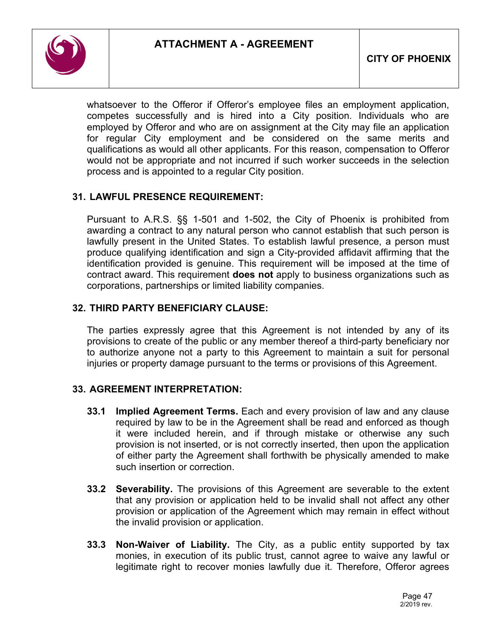

whatsoever to the Offeror if Offeror's employee files an employment application, competes successfully and is hired into a City position. Individuals who are employed by Offeror and who are on assignment at the City may file an application for regular City employment and be considered on the same merits and qualifications as would all other applicants. For this reason, compensation to Offeror would not be appropriate and not incurred if such worker succeeds in the selection process and is appointed to a regular City position.

## **31. LAWFUL PRESENCE REQUIREMENT:**

Pursuant to A.R.S. §§ 1-501 and 1-502, the City of Phoenix is prohibited from awarding a contract to any natural person who cannot establish that such person is lawfully present in the United States. To establish lawful presence, a person must produce qualifying identification and sign a City-provided affidavit affirming that the identification provided is genuine. This requirement will be imposed at the time of contract award. This requirement **does not** apply to business organizations such as corporations, partnerships or limited liability companies.

### **32. THIRD PARTY BENEFICIARY CLAUSE:**

The parties expressly agree that this Agreement is not intended by any of its provisions to create of the public or any member thereof a third-party beneficiary nor to authorize anyone not a party to this Agreement to maintain a suit for personal injuries or property damage pursuant to the terms or provisions of this Agreement.

### **33. AGREEMENT INTERPRETATION:**

- **33.1 Implied Agreement Terms.** Each and every provision of law and any clause required by law to be in the Agreement shall be read and enforced as though it were included herein, and if through mistake or otherwise any such provision is not inserted, or is not correctly inserted, then upon the application of either party the Agreement shall forthwith be physically amended to make such insertion or correction.
- **33.2 Severability.** The provisions of this Agreement are severable to the extent that any provision or application held to be invalid shall not affect any other provision or application of the Agreement which may remain in effect without the invalid provision or application.
- **33.3 Non-Waiver of Liability.** The City, as a public entity supported by tax monies, in execution of its public trust, cannot agree to waive any lawful or legitimate right to recover monies lawfully due it. Therefore, Offeror agrees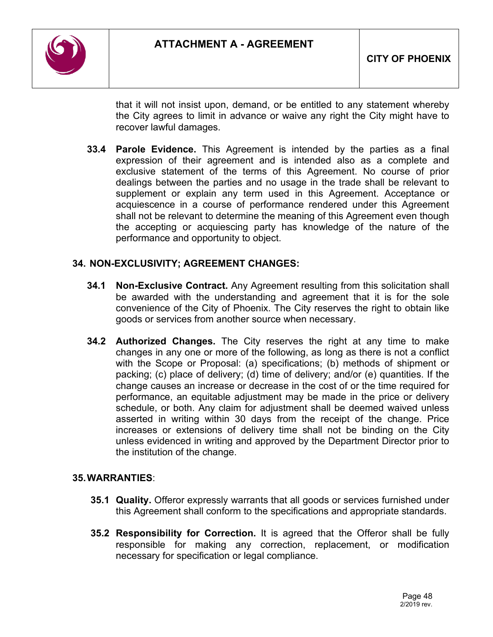

that it will not insist upon, demand, or be entitled to any statement whereby the City agrees to limit in advance or waive any right the City might have to recover lawful damages.

**33.4 Parole Evidence.** This Agreement is intended by the parties as a final expression of their agreement and is intended also as a complete and exclusive statement of the terms of this Agreement. No course of prior dealings between the parties and no usage in the trade shall be relevant to supplement or explain any term used in this Agreement. Acceptance or acquiescence in a course of performance rendered under this Agreement shall not be relevant to determine the meaning of this Agreement even though the accepting or acquiescing party has knowledge of the nature of the performance and opportunity to object.

## **34. NON-EXCLUSIVITY; AGREEMENT CHANGES:**

- **34.1 Non-Exclusive Contract.** Any Agreement resulting from this solicitation shall be awarded with the understanding and agreement that it is for the sole convenience of the City of Phoenix. The City reserves the right to obtain like goods or services from another source when necessary.
- **34.2 Authorized Changes.** The City reserves the right at any time to make changes in any one or more of the following, as long as there is not a conflict with the Scope or Proposal: (a) specifications; (b) methods of shipment or packing; (c) place of delivery; (d) time of delivery; and/or (e) quantities. If the change causes an increase or decrease in the cost of or the time required for performance, an equitable adjustment may be made in the price or delivery schedule, or both. Any claim for adjustment shall be deemed waived unless asserted in writing within 30 days from the receipt of the change. Price increases or extensions of delivery time shall not be binding on the City unless evidenced in writing and approved by the Department Director prior to the institution of the change.

### **35.WARRANTIES**:

- **35.1 Quality.** Offeror expressly warrants that all goods or services furnished under this Agreement shall conform to the specifications and appropriate standards.
- **35.2 Responsibility for Correction.** It is agreed that the Offeror shall be fully responsible for making any correction, replacement, or modification necessary for specification or legal compliance.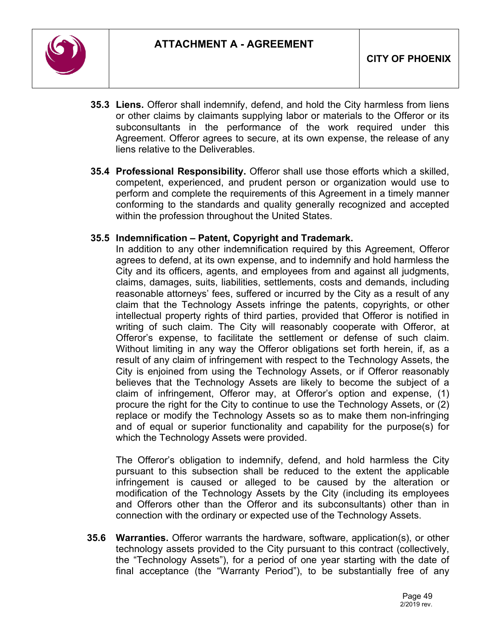

- **35.3 Liens.** Offeror shall indemnify, defend, and hold the City harmless from liens or other claims by claimants supplying labor or materials to the Offeror or its subconsultants in the performance of the work required under this Agreement. Offeror agrees to secure, at its own expense, the release of any liens relative to the Deliverables.
- **35.4 Professional Responsibility.** Offeror shall use those efforts which a skilled, competent, experienced, and prudent person or organization would use to perform and complete the requirements of this Agreement in a timely manner conforming to the standards and quality generally recognized and accepted within the profession throughout the United States.

### **35.5 Indemnification – Patent, Copyright and Trademark.**

In addition to any other indemnification required by this Agreement, Offeror agrees to defend, at its own expense, and to indemnify and hold harmless the City and its officers, agents, and employees from and against all judgments, claims, damages, suits, liabilities, settlements, costs and demands, including reasonable attorneys' fees, suffered or incurred by the City as a result of any claim that the Technology Assets infringe the patents, copyrights, or other intellectual property rights of third parties, provided that Offeror is notified in writing of such claim. The City will reasonably cooperate with Offeror, at Offeror's expense, to facilitate the settlement or defense of such claim. Without limiting in any way the Offeror obligations set forth herein, if, as a result of any claim of infringement with respect to the Technology Assets, the City is enjoined from using the Technology Assets, or if Offeror reasonably believes that the Technology Assets are likely to become the subject of a claim of infringement, Offeror may, at Offeror's option and expense, (1) procure the right for the City to continue to use the Technology Assets, or (2) replace or modify the Technology Assets so as to make them non-infringing and of equal or superior functionality and capability for the purpose(s) for which the Technology Assets were provided.

The Offeror's obligation to indemnify, defend, and hold harmless the City pursuant to this subsection shall be reduced to the extent the applicable infringement is caused or alleged to be caused by the alteration or modification of the Technology Assets by the City (including its employees and Offerors other than the Offeror and its subconsultants) other than in connection with the ordinary or expected use of the Technology Assets.

**35.6 Warranties.** Offeror warrants the hardware, software, application(s), or other technology assets provided to the City pursuant to this contract (collectively, the "Technology Assets"), for a period of one year starting with the date of final acceptance (the "Warranty Period"), to be substantially free of any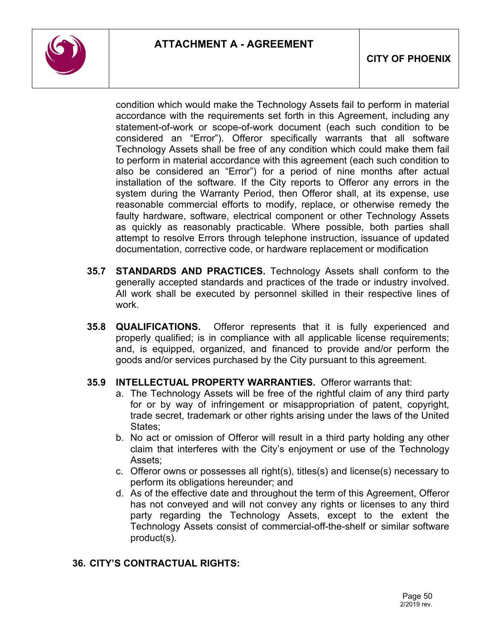

condition which would make the Technology Assets fail to perform in material accordance with the requirements set forth in this Agreement, including any statement-of-work or scope-of-work document (each such condition to be considered an "Error"). Offeror specifically warrants that all software Technology Assets shall be free of any condition which could make them fail to perform in material accordance with this agreement (each such condition to also be considered an "Error") for a period of nine months after actual installation of the software. If the City reports to Offeror any errors in the system during the Warranty Period, then Offeror shall, at its expense, use reasonable commercial efforts to modify, replace, or otherwise remedy the faulty hardware, software, electrical component or other Technology Assets as quickly as reasonably practicable. Where possible, both parties shall attempt to resolve Errors through telephone instruction, issuance of updated documentation, corrective code, or hardware replacement or modification

- **35.7 STANDARDS AND PRACTICES.** Technology Assets shall conform to the generally accepted standards and practices of the trade or industry involved. All work shall be executed by personnel skilled in their respective lines of work.
- **35.8 QUALIFICATIONS.** Offeror represents that it is fully experienced and properly qualified; is in compliance with all applicable license requirements; and, is equipped, organized, and financed to provide and/or perform the goods and/or services purchased by the City pursuant to this agreement.

### **35.9 INTELLECTUAL PROPERTY WARRANTIES.** Offeror warrants that:

- a. The Technology Assets will be free of the rightful claim of any third party for or by way of infringement or misappropriation of patent, copyright, trade secret, trademark or other rights arising under the laws of the United States:
- b. No act or omission of Offeror will result in a third party holding any other claim that interferes with the City's enjoyment or use of the Technology Assets;
- c. Offeror owns or possesses all right(s), titles(s) and license(s) necessary to perform its obligations hereunder; and
- d. As of the effective date and throughout the term of this Agreement, Offeror has not conveyed and will not convey any rights or licenses to any third party regarding the Technology Assets, except to the extent the Technology Assets consist of commercial-off-the-shelf or similar software product(s).

## **36. CITY'S CONTRACTUAL RIGHTS:**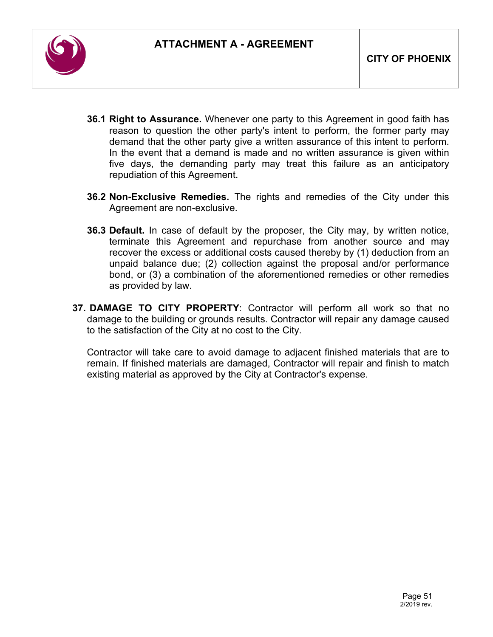

- **36.1 Right to Assurance.** Whenever one party to this Agreement in good faith has reason to question the other party's intent to perform, the former party may demand that the other party give a written assurance of this intent to perform. In the event that a demand is made and no written assurance is given within five days, the demanding party may treat this failure as an anticipatory repudiation of this Agreement.
- **36.2 Non-Exclusive Remedies.** The rights and remedies of the City under this Agreement are non-exclusive.
- **36.3 Default.** In case of default by the proposer, the City may, by written notice, terminate this Agreement and repurchase from another source and may recover the excess or additional costs caused thereby by (1) deduction from an unpaid balance due; (2) collection against the proposal and/or performance bond, or (3) a combination of the aforementioned remedies or other remedies as provided by law.
- **37. DAMAGE TO CITY PROPERTY**: Contractor will perform all work so that no damage to the building or grounds results. Contractor will repair any damage caused to the satisfaction of the City at no cost to the City.

Contractor will take care to avoid damage to adjacent finished materials that are to remain. If finished materials are damaged, Contractor will repair and finish to match existing material as approved by the City at Contractor's expense.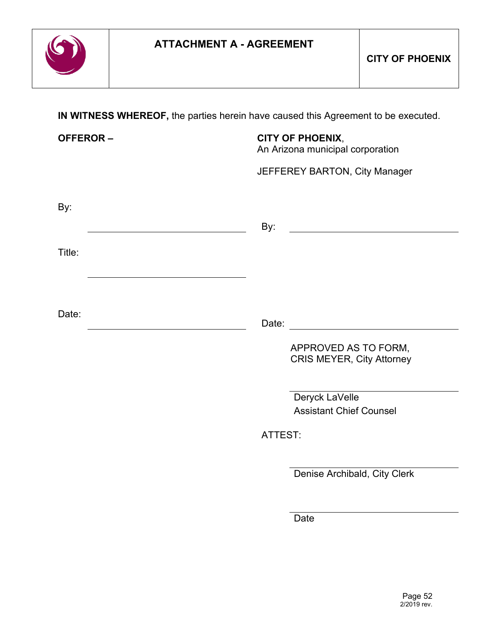

**IN WITNESS WHEREOF,** the parties herein have caused this Agreement to be executed.

| <b>OFFEROR-</b> | <b>CITY OF PHOENIX,</b><br>An Arizona municipal corporation |
|-----------------|-------------------------------------------------------------|
|                 | JEFFEREY BARTON, City Manager                               |
| By:             |                                                             |
|                 | By:                                                         |
| Title:          |                                                             |
|                 |                                                             |
| Date:           |                                                             |
|                 | APPROVED AS TO FORM,<br><b>CRIS MEYER, City Attorney</b>    |
|                 | Deryck LaVelle<br><b>Assistant Chief Counsel</b>            |
|                 | ATTEST:                                                     |
|                 | Denise Archibald, City Clerk                                |

**Date**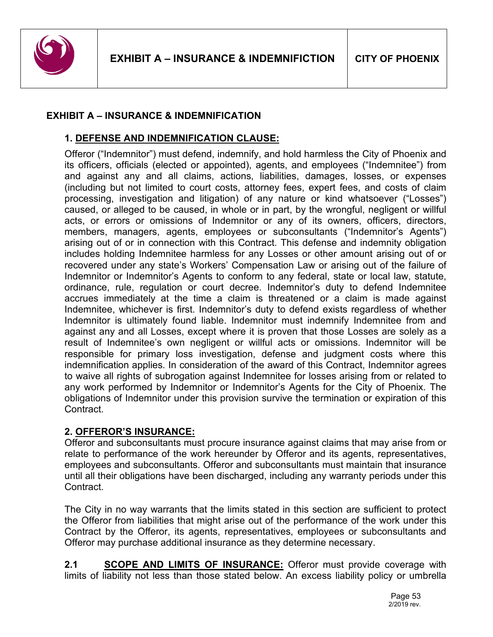

### **EXHIBIT A – INSURANCE & INDEMNIFICATION**

### **1. DEFENSE AND INDEMNIFICATION CLAUSE:**

Offeror ("Indemnitor") must defend, indemnify, and hold harmless the City of Phoenix and its officers, officials (elected or appointed), agents, and employees ("Indemnitee") from and against any and all claims, actions, liabilities, damages, losses, or expenses (including but not limited to court costs, attorney fees, expert fees, and costs of claim processing, investigation and litigation) of any nature or kind whatsoever ("Losses") caused, or alleged to be caused, in whole or in part, by the wrongful, negligent or willful acts, or errors or omissions of Indemnitor or any of its owners, officers, directors, members, managers, agents, employees or subconsultants ("Indemnitor's Agents") arising out of or in connection with this Contract. This defense and indemnity obligation includes holding Indemnitee harmless for any Losses or other amount arising out of or recovered under any state's Workers' Compensation Law or arising out of the failure of Indemnitor or Indemnitor's Agents to conform to any federal, state or local law, statute, ordinance, rule, regulation or court decree. Indemnitor's duty to defend Indemnitee accrues immediately at the time a claim is threatened or a claim is made against Indemnitee, whichever is first. Indemnitor's duty to defend exists regardless of whether Indemnitor is ultimately found liable. Indemnitor must indemnify Indemnitee from and against any and all Losses, except where it is proven that those Losses are solely as a result of Indemnitee's own negligent or willful acts or omissions. Indemnitor will be responsible for primary loss investigation, defense and judgment costs where this indemnification applies. In consideration of the award of this Contract, Indemnitor agrees to waive all rights of subrogation against Indemnitee for losses arising from or related to any work performed by Indemnitor or Indemnitor's Agents for the City of Phoenix. The obligations of Indemnitor under this provision survive the termination or expiration of this Contract.

### **2. OFFEROR'S INSURANCE:**

Offeror and subconsultants must procure insurance against claims that may arise from or relate to performance of the work hereunder by Offeror and its agents, representatives, employees and subconsultants. Offeror and subconsultants must maintain that insurance until all their obligations have been discharged, including any warranty periods under this Contract.

The City in no way warrants that the limits stated in this section are sufficient to protect the Offeror from liabilities that might arise out of the performance of the work under this Contract by the Offeror, its agents, representatives, employees or subconsultants and Offeror may purchase additional insurance as they determine necessary.

**2.1 SCOPE AND LIMITS OF INSURANCE:** Offeror must provide coverage with limits of liability not less than those stated below. An excess liability policy or umbrella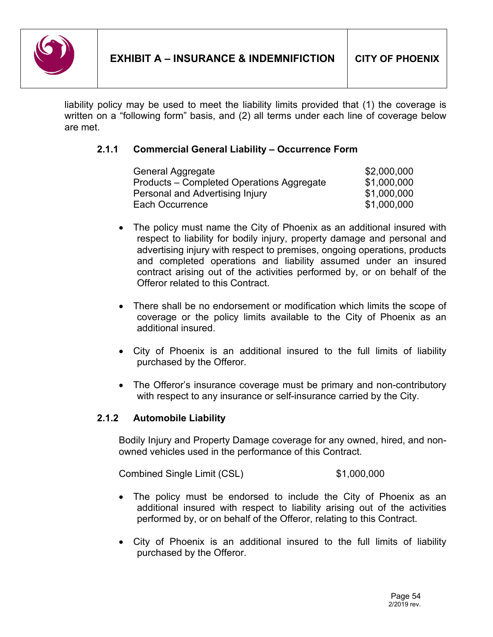

liability policy may be used to meet the liability limits provided that (1) the coverage is written on a "following form" basis, and (2) all terms under each line of coverage below are met.

# **2.1.1 Commercial General Liability – Occurrence Form**

| General Aggregate                         | \$2,000,000 |
|-------------------------------------------|-------------|
| Products – Completed Operations Aggregate | \$1,000,000 |
| Personal and Advertising Injury           | \$1,000,000 |
| Each Occurrence                           | \$1,000,000 |

- The policy must name the City of Phoenix as an additional insured with respect to liability for bodily injury, property damage and personal and advertising injury with respect to premises, ongoing operations, products and completed operations and liability assumed under an insured contract arising out of the activities performed by, or on behalf of the Offeror related to this Contract.
- There shall be no endorsement or modification which limits the scope of coverage or the policy limits available to the City of Phoenix as an additional insured.
- City of Phoenix is an additional insured to the full limits of liability purchased by the Offeror.
- The Offeror's insurance coverage must be primary and non-contributory with respect to any insurance or self-insurance carried by the City.

## **2.1.2 Automobile Liability**

Bodily Injury and Property Damage coverage for any owned, hired, and nonowned vehicles used in the performance of this Contract.

Combined Single Limit (CSL) \$1,000,000

- The policy must be endorsed to include the City of Phoenix as an additional insured with respect to liability arising out of the activities performed by, or on behalf of the Offeror, relating to this Contract.
- City of Phoenix is an additional insured to the full limits of liability purchased by the Offeror.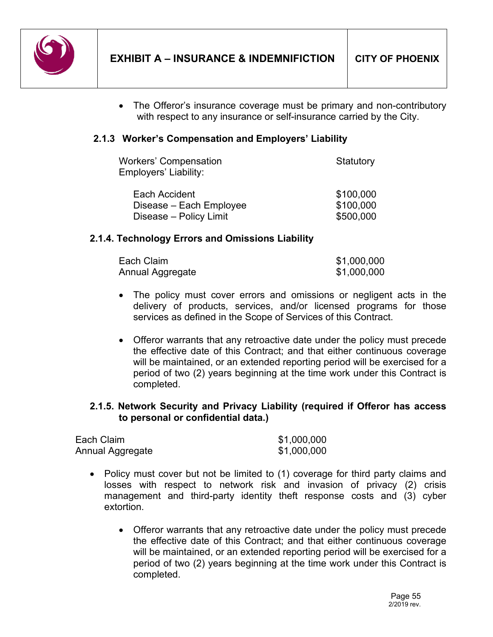

• The Offeror's insurance coverage must be primary and non-contributory with respect to any insurance or self-insurance carried by the City.

## **2.1.3 Worker's Compensation and Employers' Liability**

| Workers' Compensation<br>Employers' Liability: | Statutory |
|------------------------------------------------|-----------|
| Each Accident                                  | \$100,000 |
| Disease – Each Employee                        | \$100,000 |
| Disease - Policy Limit                         | \$500,000 |

### **2.1.4. Technology Errors and Omissions Liability**

| Each Claim       | \$1,000,000 |
|------------------|-------------|
| Annual Aggregate | \$1,000,000 |

- The policy must cover errors and omissions or negligent acts in the delivery of products, services, and/or licensed programs for those services as defined in the Scope of Services of this Contract.
- Offeror warrants that any retroactive date under the policy must precede the effective date of this Contract; and that either continuous coverage will be maintained, or an extended reporting period will be exercised for a period of two (2) years beginning at the time work under this Contract is completed.

### **2.1.5. Network Security and Privacy Liability (required if Offeror has access to personal or confidential data.)**

| Each Claim       | \$1,000,000 |
|------------------|-------------|
| Annual Aggregate | \$1,000,000 |

- Policy must cover but not be limited to (1) coverage for third party claims and losses with respect to network risk and invasion of privacy (2) crisis management and third-party identity theft response costs and (3) cyber extortion.
	- Offeror warrants that any retroactive date under the policy must precede the effective date of this Contract; and that either continuous coverage will be maintained, or an extended reporting period will be exercised for a period of two (2) years beginning at the time work under this Contract is completed.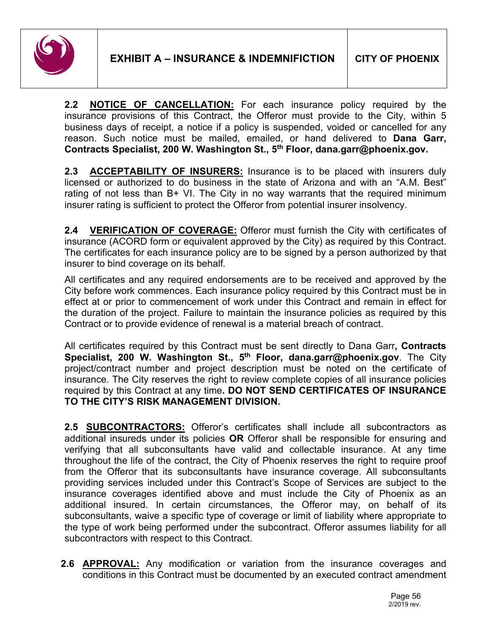

**2.2 NOTICE OF CANCELLATION:** For each insurance policy required by the insurance provisions of this Contract, the Offeror must provide to the City, within 5 business days of receipt, a notice if a policy is suspended, voided or cancelled for any reason. Such notice must be mailed, emailed, or hand delivered to **Dana Garr, Contracts Specialist, 200 W. Washington St., 5th Floor, dana.garr@phoenix.gov.**

**2.3 ACCEPTABILITY OF INSURERS:** Insurance is to be placed with insurers duly licensed or authorized to do business in the state of Arizona and with an "A.M. Best" rating of not less than B+ VI. The City in no way warrants that the required minimum insurer rating is sufficient to protect the Offeror from potential insurer insolvency.

**2.4 VERIFICATION OF COVERAGE:** Offeror must furnish the City with certificates of insurance (ACORD form or equivalent approved by the City) as required by this Contract. The certificates for each insurance policy are to be signed by a person authorized by that insurer to bind coverage on its behalf*.*

All certificates and any required endorsements are to be received and approved by the City before work commences. Each insurance policy required by this Contract must be in effect at or prior to commencement of work under this Contract and remain in effect for the duration of the project. Failure to maintain the insurance policies as required by this Contract or to provide evidence of renewal is a material breach of contract.

All certificates required by this Contract must be sent directly to Dana Garr**, Contracts Specialist, 200 W. Washington St., 5th Floor, dana.garr@phoenix.gov**. The City project/contract number and project description must be noted on the certificate of insurance. The City reserves the right to review complete copies of all insurance policies required by this Contract at any time**. DO NOT SEND CERTIFICATES OF INSURANCE TO THE CITY'S RISK MANAGEMENT DIVISION.**

**2.5 SUBCONTRACTORS:** Offeror's certificates shall include all subcontractors as additional insureds under its policies **OR** Offeror shall be responsible for ensuring and verifying that all subconsultants have valid and collectable insurance. At any time throughout the life of the contract, the City of Phoenix reserves the right to require proof from the Offeror that its subconsultants have insurance coverage. All subconsultants providing services included under this Contract's Scope of Services are subject to the insurance coverages identified above and must include the City of Phoenix as an additional insured. In certain circumstances, the Offeror may, on behalf of its subconsultants, waive a specific type of coverage or limit of liability where appropriate to the type of work being performed under the subcontract. Offeror assumes liability for all subcontractors with respect to this Contract.

**2.6 APPROVAL:** Any modification or variation from the insurance coverages and conditions in this Contract must be documented by an executed contract amendment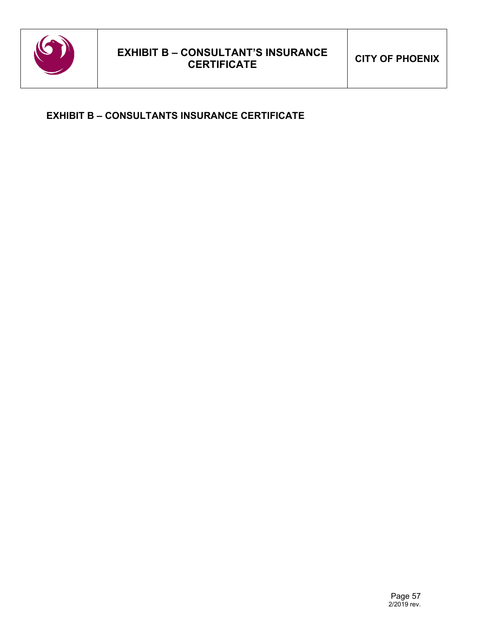

# **EXHIBIT B – CONSULTANTS INSURANCE CERTIFICATE**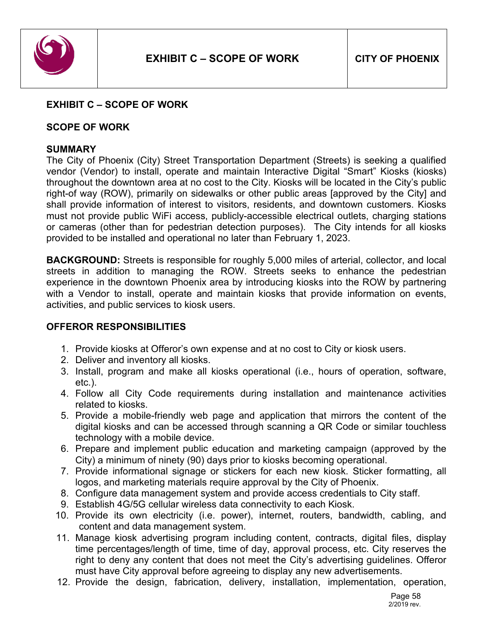

#### **EXHIBIT C – SCOPE OF WORK**

#### **SCOPE OF WORK**

#### **SUMMARY**

The City of Phoenix (City) Street Transportation Department (Streets) is seeking a qualified vendor (Vendor) to install, operate and maintain Interactive Digital "Smart" Kiosks (kiosks) throughout the downtown area at no cost to the City. Kiosks will be located in the City's public right-of way (ROW), primarily on sidewalks or other public areas [approved by the City] and shall provide information of interest to visitors, residents, and downtown customers. Kiosks must not provide public WiFi access, publicly-accessible electrical outlets, charging stations or cameras (other than for pedestrian detection purposes). The City intends for all kiosks provided to be installed and operational no later than February 1, 2023.

**BACKGROUND:** Streets is responsible for roughly 5,000 miles of arterial, collector, and local streets in addition to managing the ROW. Streets seeks to enhance the pedestrian experience in the downtown Phoenix area by introducing kiosks into the ROW by partnering with a Vendor to install, operate and maintain kiosks that provide information on events, activities, and public services to kiosk users.

#### **OFFEROR RESPONSIBILITIES**

- 1. Provide kiosks at Offeror's own expense and at no cost to City or kiosk users.
- 2. Deliver and inventory all kiosks.
- 3. Install, program and make all kiosks operational (i.e., hours of operation, software, etc.).
- 4. Follow all City Code requirements during installation and maintenance activities related to kiosks.
- 5. Provide a mobile-friendly web page and application that mirrors the content of the digital kiosks and can be accessed through scanning a QR Code or similar touchless technology with a mobile device.
- 6. Prepare and implement public education and marketing campaign (approved by the City) a minimum of ninety (90) days prior to kiosks becoming operational.
- 7. Provide informational signage or stickers for each new kiosk. Sticker formatting, all logos, and marketing materials require approval by the City of Phoenix.
- 8. Configure data management system and provide access credentials to City staff.
- 9. Establish 4G/5G cellular wireless data connectivity to each Kiosk.
- 10. Provide its own electricity (i.e. power), internet, routers, bandwidth, cabling, and content and data management system.
- 11. Manage kiosk advertising program including content, contracts, digital files, display time percentages/length of time, time of day, approval process, etc. City reserves the right to deny any content that does not meet the City's advertising guidelines. Offeror must have City approval before agreeing to display any new advertisements.
- 12. Provide the design, fabrication, delivery, installation, implementation, operation,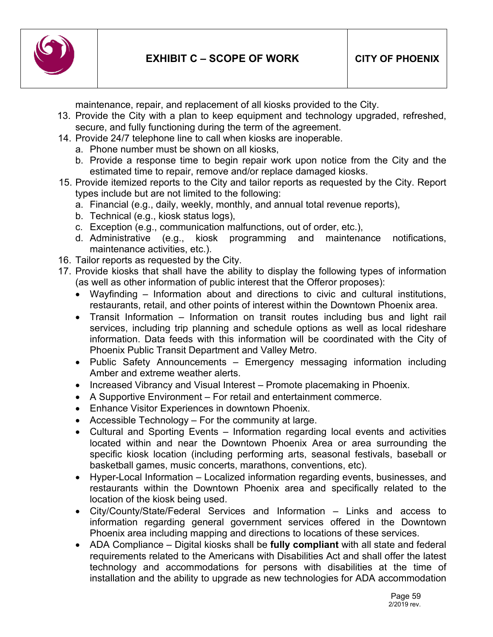

maintenance, repair, and replacement of all kiosks provided to the City.

- 13. Provide the City with a plan to keep equipment and technology upgraded, refreshed, secure, and fully functioning during the term of the agreement.
- 14. Provide 24/7 telephone line to call when kiosks are inoperable.
	- a. Phone number must be shown on all kiosks,
	- b. Provide a response time to begin repair work upon notice from the City and the estimated time to repair, remove and/or replace damaged kiosks.
- 15. Provide itemized reports to the City and tailor reports as requested by the City. Report types include but are not limited to the following:
	- a. Financial (e.g., daily, weekly, monthly, and annual total revenue reports),
	- b. Technical (e.g., kiosk status logs),
	- c. Exception (e.g., communication malfunctions, out of order, etc.),
	- d. Administrative (e.g., kiosk programming and maintenance notifications, maintenance activities, etc.).
- 16. Tailor reports as requested by the City.
- 17. Provide kiosks that shall have the ability to display the following types of information (as well as other information of public interest that the Offeror proposes):
	- Wayfinding Information about and directions to civic and cultural institutions, restaurants, retail, and other points of interest within the Downtown Phoenix area.
	- Transit Information Information on transit routes including bus and light rail services, including trip planning and schedule options as well as local rideshare information. Data feeds with this information will be coordinated with the City of Phoenix Public Transit Department and Valley Metro.
	- Public Safety Announcements Emergency messaging information including Amber and extreme weather alerts.
	- Increased Vibrancy and Visual Interest Promote placemaking in Phoenix.
	- A Supportive Environment For retail and entertainment commerce.
	- Enhance Visitor Experiences in downtown Phoenix.
	- Accessible Technology For the community at large.
	- Cultural and Sporting Events Information regarding local events and activities located within and near the Downtown Phoenix Area or area surrounding the specific kiosk location (including performing arts, seasonal festivals, baseball or basketball games, music concerts, marathons, conventions, etc).
	- Hyper-Local Information Localized information regarding events, businesses, and restaurants within the Downtown Phoenix area and specifically related to the location of the kiosk being used.
	- City/County/State/Federal Services and Information Links and access to information regarding general government services offered in the Downtown Phoenix area including mapping and directions to locations of these services.
	- ADA Compliance Digital kiosks shall be **fully compliant** with all state and federal requirements related to the Americans with Disabilities Act and shall offer the latest technology and accommodations for persons with disabilities at the time of installation and the ability to upgrade as new technologies for ADA accommodation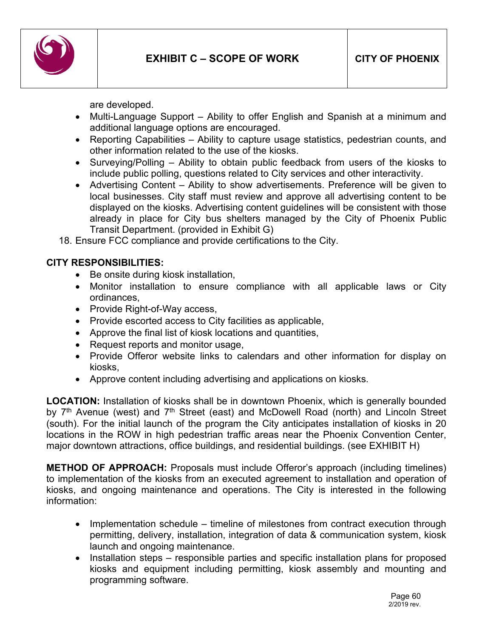

are developed.

- Multi-Language Support Ability to offer English and Spanish at a minimum and additional language options are encouraged.
- Reporting Capabilities Ability to capture usage statistics, pedestrian counts, and other information related to the use of the kiosks.
- Surveying/Polling Ability to obtain public feedback from users of the kiosks to include public polling, questions related to City services and other interactivity.
- Advertising Content Ability to show advertisements. Preference will be given to local businesses. City staff must review and approve all advertising content to be displayed on the kiosks. Advertising content guidelines will be consistent with those already in place for City bus shelters managed by the City of Phoenix Public Transit Department. (provided in Exhibit G)

18. Ensure FCC compliance and provide certifications to the City.

### **CITY RESPONSIBILITIES:**

- Be onsite during kiosk installation,
- Monitor installation to ensure compliance with all applicable laws or City ordinances,
- Provide Right-of-Way access,
- Provide escorted access to City facilities as applicable,
- Approve the final list of kiosk locations and quantities,
- Request reports and monitor usage,
- Provide Offeror website links to calendars and other information for display on kiosks,
- Approve content including advertising and applications on kiosks.

**LOCATION:** Installation of kiosks shall be in downtown Phoenix, which is generally bounded by 7<sup>th</sup> Avenue (west) and 7<sup>th</sup> Street (east) and McDowell Road (north) and Lincoln Street (south). For the initial launch of the program the City anticipates installation of kiosks in 20 locations in the ROW in high pedestrian traffic areas near the Phoenix Convention Center, major downtown attractions, office buildings, and residential buildings. (see EXHIBIT H)

**METHOD OF APPROACH:** Proposals must include Offeror's approach (including timelines) to implementation of the kiosks from an executed agreement to installation and operation of kiosks, and ongoing maintenance and operations. The City is interested in the following information:

- Implementation schedule timeline of milestones from contract execution through permitting, delivery, installation, integration of data & communication system, kiosk launch and ongoing maintenance.
- Installation steps responsible parties and specific installation plans for proposed kiosks and equipment including permitting, kiosk assembly and mounting and programming software.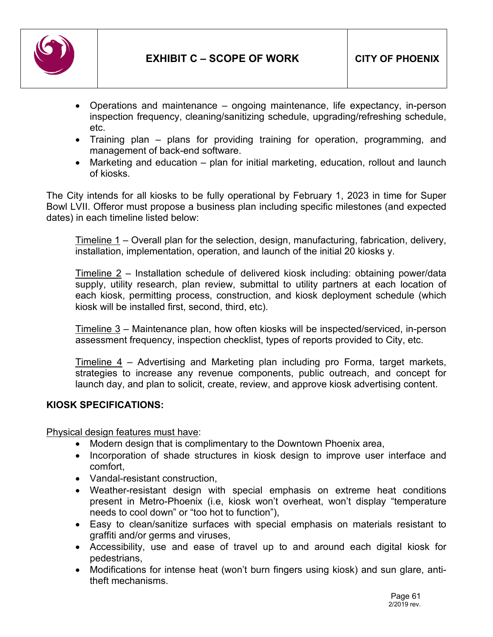

- Operations and maintenance ongoing maintenance, life expectancy, in-person inspection frequency, cleaning/sanitizing schedule, upgrading/refreshing schedule, etc.
- Training plan plans for providing training for operation, programming, and management of back-end software.
- Marketing and education plan for initial marketing, education, rollout and launch of kiosks.

The City intends for all kiosks to be fully operational by February 1, 2023 in time for Super Bowl LVII. Offeror must propose a business plan including specific milestones (and expected dates) in each timeline listed below:

Timeline 1 – Overall plan for the selection, design, manufacturing, fabrication, delivery, installation, implementation, operation, and launch of the initial 20 kiosks y.

Timeline 2 – Installation schedule of delivered kiosk including: obtaining power/data supply, utility research, plan review, submittal to utility partners at each location of each kiosk, permitting process, construction, and kiosk deployment schedule (which kiosk will be installed first, second, third, etc).

Timeline 3 – Maintenance plan, how often kiosks will be inspected/serviced, in-person assessment frequency, inspection checklist, types of reports provided to City, etc.

Timeline 4 – Advertising and Marketing plan including pro Forma, target markets, strategies to increase any revenue components, public outreach, and concept for launch day, and plan to solicit, create, review, and approve kiosk advertising content.

### **KIOSK SPECIFICATIONS:**

Physical design features must have:

- Modern design that is complimentary to the Downtown Phoenix area,
- Incorporation of shade structures in kiosk design to improve user interface and comfort,
- Vandal-resistant construction,
- Weather-resistant design with special emphasis on extreme heat conditions present in Metro-Phoenix (i.e, kiosk won't overheat, won't display "temperature needs to cool down" or "too hot to function"),
- Easy to clean/sanitize surfaces with special emphasis on materials resistant to graffiti and/or germs and viruses,
- Accessibility, use and ease of travel up to and around each digital kiosk for pedestrians,
- Modifications for intense heat (won't burn fingers using kiosk) and sun glare, antitheft mechanisms.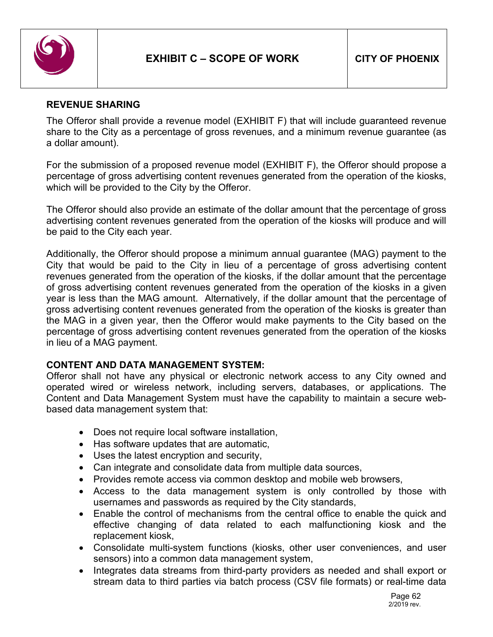

### **REVENUE SHARING**

The Offeror shall provide a revenue model (EXHIBIT F) that will include guaranteed revenue share to the City as a percentage of gross revenues, and a minimum revenue guarantee (as a dollar amount).

For the submission of a proposed revenue model (EXHIBIT F), the Offeror should propose a percentage of gross advertising content revenues generated from the operation of the kiosks, which will be provided to the City by the Offeror.

The Offeror should also provide an estimate of the dollar amount that the percentage of gross advertising content revenues generated from the operation of the kiosks will produce and will be paid to the City each year.

Additionally, the Offeror should propose a minimum annual guarantee (MAG) payment to the City that would be paid to the City in lieu of a percentage of gross advertising content revenues generated from the operation of the kiosks, if the dollar amount that the percentage of gross advertising content revenues generated from the operation of the kiosks in a given year is less than the MAG amount. Alternatively, if the dollar amount that the percentage of gross advertising content revenues generated from the operation of the kiosks is greater than the MAG in a given year, then the Offeror would make payments to the City based on the percentage of gross advertising content revenues generated from the operation of the kiosks in lieu of a MAG payment.

### **CONTENT AND DATA MANAGEMENT SYSTEM:**

Offeror shall not have any physical or electronic network access to any City owned and operated wired or wireless network, including servers, databases, or applications. The Content and Data Management System must have the capability to maintain a secure webbased data management system that:

- Does not require local software installation,
- Has software updates that are automatic,
- Uses the latest encryption and security,
- Can integrate and consolidate data from multiple data sources,
- Provides remote access via common desktop and mobile web browsers,
- Access to the data management system is only controlled by those with usernames and passwords as required by the City standards,
- Enable the control of mechanisms from the central office to enable the quick and effective changing of data related to each malfunctioning kiosk and the replacement kiosk,
- Consolidate multi-system functions (kiosks, other user conveniences, and user sensors) into a common data management system,
- Integrates data streams from third-party providers as needed and shall export or stream data to third parties via batch process (CSV file formats) or real-time data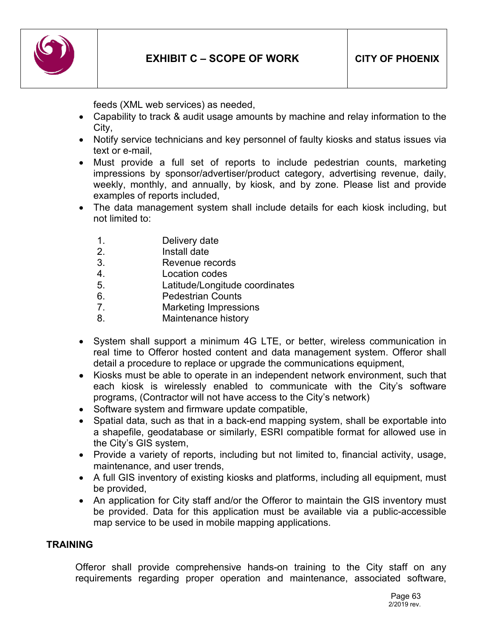

feeds (XML web services) as needed,

- Capability to track & audit usage amounts by machine and relay information to the City,
- Notify service technicians and key personnel of faulty kiosks and status issues via text or e-mail,
- Must provide a full set of reports to include pedestrian counts, marketing impressions by sponsor/advertiser/product category, advertising revenue, daily, weekly, monthly, and annually, by kiosk, and by zone. Please list and provide examples of reports included,
- The data management system shall include details for each kiosk including, but not limited to:
	- 1. Delivery date
	- 2. Install date
	- 3. Revenue records
	- 4. Location codes
	- 5. Latitude/Longitude coordinates
	- 6. Pedestrian Counts
	- 7. Marketing Impressions
	- 8. Maintenance history
- System shall support a minimum 4G LTE, or better, wireless communication in real time to Offeror hosted content and data management system. Offeror shall detail a procedure to replace or upgrade the communications equipment,
- Kiosks must be able to operate in an independent network environment, such that each kiosk is wirelessly enabled to communicate with the City's software programs, (Contractor will not have access to the City's network)
- Software system and firmware update compatible,
- Spatial data, such as that in a back-end mapping system, shall be exportable into a shapefile, geodatabase or similarly, ESRI compatible format for allowed use in the City's GIS system,
- Provide a variety of reports, including but not limited to, financial activity, usage, maintenance, and user trends,
- A full GIS inventory of existing kiosks and platforms, including all equipment, must be provided,
- An application for City staff and/or the Offeror to maintain the GIS inventory must be provided. Data for this application must be available via a public-accessible map service to be used in mobile mapping applications.

### **TRAINING**

Offeror shall provide comprehensive hands-on training to the City staff on any requirements regarding proper operation and maintenance, associated software,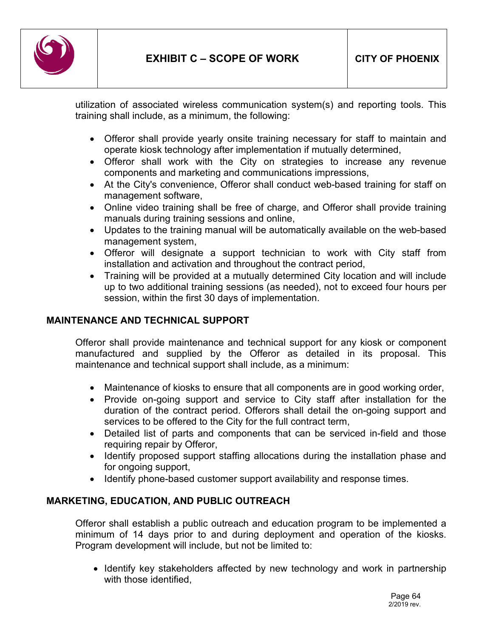

utilization of associated wireless communication system(s) and reporting tools. This training shall include, as a minimum, the following:

- Offeror shall provide yearly onsite training necessary for staff to maintain and operate kiosk technology after implementation if mutually determined,
- Offeror shall work with the City on strategies to increase any revenue components and marketing and communications impressions,
- At the City's convenience, Offeror shall conduct web-based training for staff on management software,
- Online video training shall be free of charge, and Offeror shall provide training manuals during training sessions and online,
- Updates to the training manual will be automatically available on the web-based management system,
- Offeror will designate a support technician to work with City staff from installation and activation and throughout the contract period,
- Training will be provided at a mutually determined City location and will include up to two additional training sessions (as needed), not to exceed four hours per session, within the first 30 days of implementation.

## **MAINTENANCE AND TECHNICAL SUPPORT**

Offeror shall provide maintenance and technical support for any kiosk or component manufactured and supplied by the Offeror as detailed in its proposal. This maintenance and technical support shall include, as a minimum:

- Maintenance of kiosks to ensure that all components are in good working order,
- Provide on-going support and service to City staff after installation for the duration of the contract period. Offerors shall detail the on-going support and services to be offered to the City for the full contract term,
- Detailed list of parts and components that can be serviced in-field and those requiring repair by Offeror,
- Identify proposed support staffing allocations during the installation phase and for ongoing support,
- Identify phone-based customer support availability and response times.

## **MARKETING, EDUCATION, AND PUBLIC OUTREACH**

Offeror shall establish a public outreach and education program to be implemented a minimum of 14 days prior to and during deployment and operation of the kiosks. Program development will include, but not be limited to:

• Identify key stakeholders affected by new technology and work in partnership with those identified,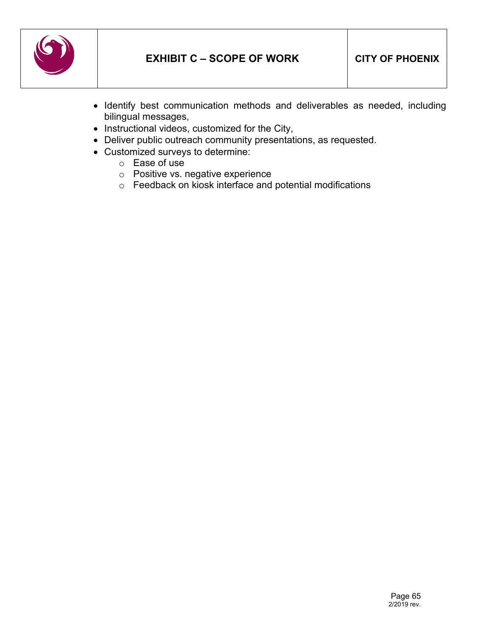

- Identify best communication methods and deliverables as needed, including bilingual messages,
- Instructional videos, customized for the City,
- Deliver public outreach community presentations, as requested.
- Customized surveys to determine:
	- o Ease of use
	- o Positive vs. negative experience
	- o Feedback on kiosk interface and potential modifications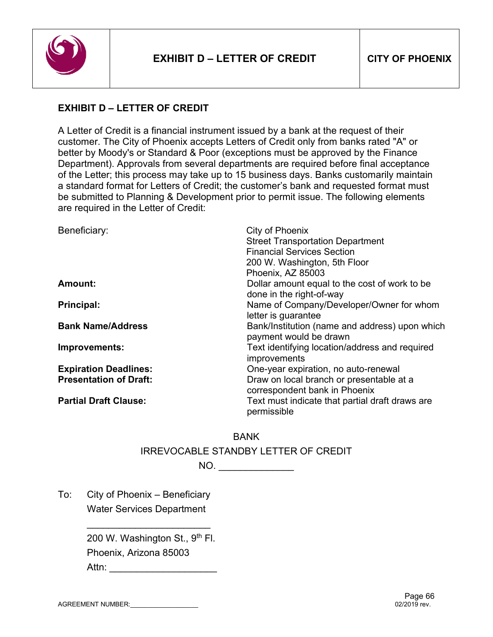

# **EXHIBIT D – LETTER OF CREDIT**

A Letter of Credit is a financial instrument issued by a bank at the request of their customer. The City of Phoenix accepts Letters of Credit only from banks rated "A" or better by Moody's or Standard & Poor (exceptions must be approved by the Finance Department). Approvals from several departments are required before final acceptance of the Letter; this process may take up to 15 business days. Banks customarily maintain a standard format for Letters of Credit; the customer's bank and requested format must be submitted to Planning & Development prior to permit issue. The following elements are required in the Letter of Credit:

| Beneficiary:                  | City of Phoenix<br><b>Street Transportation Department</b><br><b>Financial Services Section</b><br>200 W. Washington, 5th Floor<br>Phoenix, AZ 85003 |
|-------------------------------|------------------------------------------------------------------------------------------------------------------------------------------------------|
| <b>Amount:</b>                | Dollar amount equal to the cost of work to be<br>done in the right-of-way                                                                            |
| <b>Principal:</b>             | Name of Company/Developer/Owner for whom<br>letter is guarantee                                                                                      |
| <b>Bank Name/Address</b>      | Bank/Institution (name and address) upon which<br>payment would be drawn                                                                             |
| Improvements:                 | Text identifying location/address and required<br>improvements                                                                                       |
| <b>Expiration Deadlines:</b>  | One-year expiration, no auto-renewal                                                                                                                 |
| <b>Presentation of Draft:</b> | Draw on local branch or presentable at a<br>correspondent bank in Phoenix                                                                            |
| <b>Partial Draft Clause:</b>  | Text must indicate that partial draft draws are<br>permissible                                                                                       |

BANK IRREVOCABLE STANDBY LETTER OF CREDIT

NO. \_\_\_\_\_\_\_\_\_\_\_\_\_\_

To: City of Phoenix – Beneficiary Water Services Department

> 200 W. Washington St., 9th Fl. Phoenix, Arizona 85003 Attn: **and a**

\_\_\_\_\_\_\_\_\_\_\_\_\_\_\_\_\_\_\_\_\_\_\_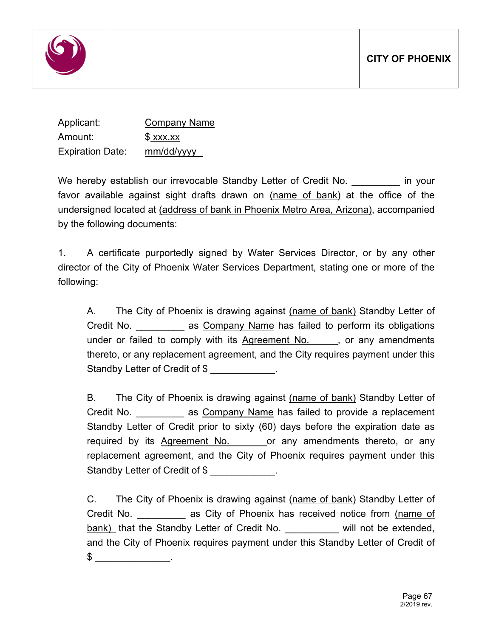

| Applicant:              | <b>Company Name</b> |
|-------------------------|---------------------|
| Amount:                 | $$$ xxx.xx          |
| <b>Expiration Date:</b> | mm/dd/yyyy          |

We hereby establish our irrevocable Standby Letter of Credit No. **Example 2** in your favor available against sight drafts drawn on (name of bank) at the office of the undersigned located at (address of bank in Phoenix Metro Area, Arizona), accompanied by the following documents:

1. A certificate purportedly signed by Water Services Director, or by any other director of the City of Phoenix Water Services Department, stating one or more of the following:

A. The City of Phoenix is drawing against (name of bank) Standby Letter of Credit No. **Example 2** as Company Name has failed to perform its obligations under or failed to comply with its Agreement No. , or any amendments thereto, or any replacement agreement, and the City requires payment under this Standby Letter of Credit of \$ \_\_\_\_\_\_\_\_\_\_.

B. The City of Phoenix is drawing against (name of bank) Standby Letter of Credit No. **Example 2** as Company Name has failed to provide a replacement Standby Letter of Credit prior to sixty (60) days before the expiration date as required by its Agreement No. or any amendments thereto, or any replacement agreement, and the City of Phoenix requires payment under this Standby Letter of Credit of \$ \_\_\_\_\_\_\_\_\_.

C. The City of Phoenix is drawing against (name of bank) Standby Letter of Credit No. **Example 2** as City of Phoenix has received notice from (name of bank) that the Standby Letter of Credit No. \_\_\_\_\_\_\_\_\_\_ will not be extended, and the City of Phoenix requires payment under this Standby Letter of Credit of  $\textcircled{\texttt{s}}$  .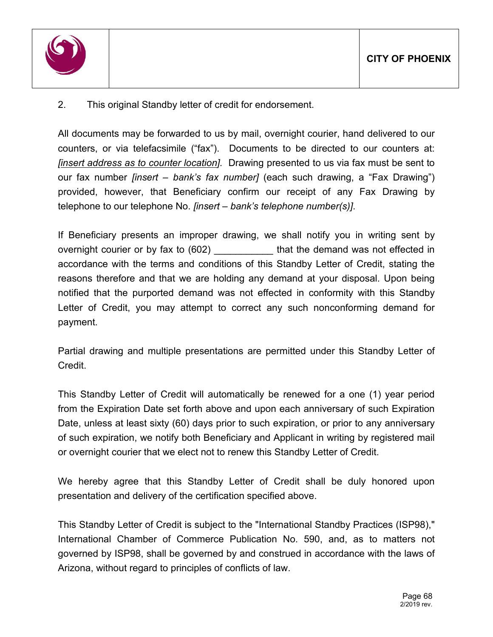

# 2. This original Standby letter of credit for endorsement.

All documents may be forwarded to us by mail, overnight courier, hand delivered to our counters, or via telefacsimile ("fax"). Documents to be directed to our counters at: *[insert address as to counter location].* Drawing presented to us via fax must be sent to our fax number *[insert – bank's fax number]* (each such drawing, a "Fax Drawing") provided, however, that Beneficiary confirm our receipt of any Fax Drawing by telephone to our telephone No. *[insert – bank's telephone number(s)]*.

If Beneficiary presents an improper drawing, we shall notify you in writing sent by overnight courier or by fax to (602) \_\_\_\_\_\_\_\_\_\_\_ that the demand was not effected in accordance with the terms and conditions of this Standby Letter of Credit, stating the reasons therefore and that we are holding any demand at your disposal. Upon being notified that the purported demand was not effected in conformity with this Standby Letter of Credit, you may attempt to correct any such nonconforming demand for payment.

Partial drawing and multiple presentations are permitted under this Standby Letter of **Credit** 

This Standby Letter of Credit will automatically be renewed for a one (1) year period from the Expiration Date set forth above and upon each anniversary of such Expiration Date, unless at least sixty (60) days prior to such expiration, or prior to any anniversary of such expiration, we notify both Beneficiary and Applicant in writing by registered mail or overnight courier that we elect not to renew this Standby Letter of Credit.

We hereby agree that this Standby Letter of Credit shall be duly honored upon presentation and delivery of the certification specified above.

This Standby Letter of Credit is subject to the "International Standby Practices (ISP98)," International Chamber of Commerce Publication No. 590, and, as to matters not governed by ISP98, shall be governed by and construed in accordance with the laws of Arizona, without regard to principles of conflicts of law.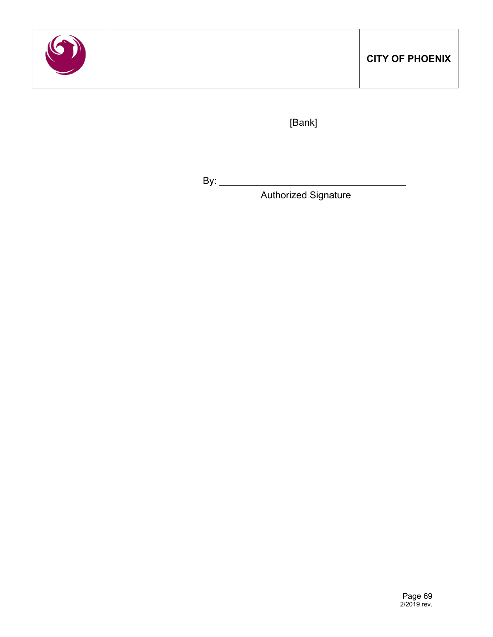

[Bank]

By:  $\qquad \qquad$ 

Authorized Signature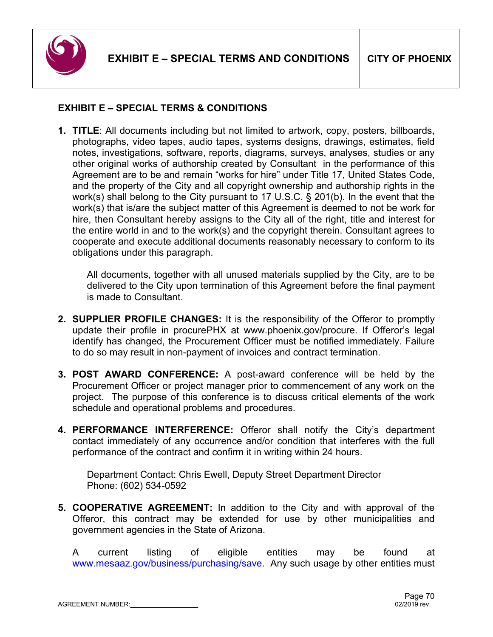

# **EXHIBIT E – SPECIAL TERMS & CONDITIONS**

**1. TITLE**: All documents including but not limited to artwork, copy, posters, billboards, photographs, video tapes, audio tapes, systems designs, drawings, estimates, field notes, investigations, software, reports, diagrams, surveys, analyses, studies or any other original works of authorship created by Consultant in the performance of this Agreement are to be and remain "works for hire" under Title 17, United States Code, and the property of the City and all copyright ownership and authorship rights in the work(s) shall belong to the City pursuant to 17 U.S.C. § 201(b). In the event that the work(s) that is/are the subject matter of this Agreement is deemed to not be work for hire, then Consultant hereby assigns to the City all of the right, title and interest for the entire world in and to the work(s) and the copyright therein. Consultant agrees to cooperate and execute additional documents reasonably necessary to conform to its obligations under this paragraph.

All documents, together with all unused materials supplied by the City, are to be delivered to the City upon termination of this Agreement before the final payment is made to Consultant.

- **2. SUPPLIER PROFILE CHANGES:** It is the responsibility of the Offeror to promptly update their profile in procurePHX at www.phoenix.gov/procure. If Offeror's legal identify has changed, the Procurement Officer must be notified immediately. Failure to do so may result in non-payment of invoices and contract termination.
- **3. POST AWARD CONFERENCE:** A post-award conference will be held by the Procurement Officer or project manager prior to commencement of any work on the project. The purpose of this conference is to discuss critical elements of the work schedule and operational problems and procedures.
- **4. PERFORMANCE INTERFERENCE:** Offeror shall notify the City's department contact immediately of any occurrence and/or condition that interferes with the full performance of the contract and confirm it in writing within 24 hours.

Department Contact: Chris Ewell, Deputy Street Department Director Phone: (602) 534-0592

**5. COOPERATIVE AGREEMENT:** In addition to the City and with approval of the Offeror, this contract may be extended for use by other municipalities and government agencies in the State of Arizona.

A current listing of eligible entities may be found at [www.mesaaz.gov/business/purchasing/save.](http://www.mesaaz.gov/business/purchasing/save) Any such usage by other entities must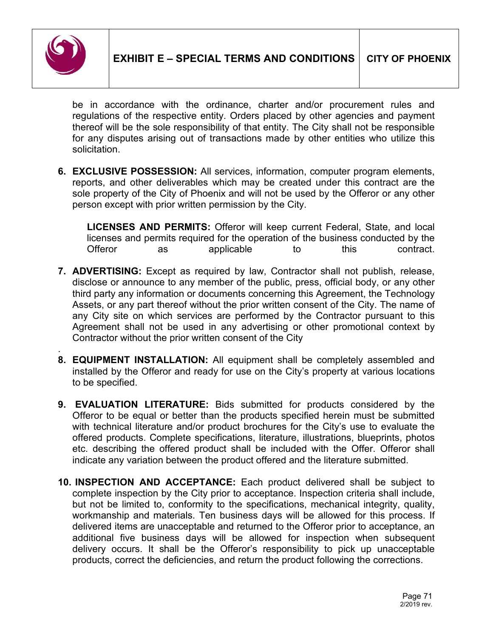

be in accordance with the ordinance, charter and/or procurement rules and regulations of the respective entity. Orders placed by other agencies and payment thereof will be the sole responsibility of that entity. The City shall not be responsible for any disputes arising out of transactions made by other entities who utilize this solicitation.

**6. EXCLUSIVE POSSESSION:** All services, information, computer program elements, reports, and other deliverables which may be created under this contract are the sole property of the City of Phoenix and will not be used by the Offeror or any other person except with prior written permission by the City.

**LICENSES AND PERMITS:** Offeror will keep current Federal, State, and local licenses and permits required for the operation of the business conducted by the Offeror as applicable to this contract.

- **7. ADVERTISING:** Except as required by law, Contractor shall not publish, release, disclose or announce to any member of the public, press, official body, or any other third party any information or documents concerning this Agreement, the Technology Assets, or any part thereof without the prior written consent of the City. The name of any City site on which services are performed by the Contractor pursuant to this Agreement shall not be used in any advertising or other promotional context by Contractor without the prior written consent of the City
- . **8. EQUIPMENT INSTALLATION:** All equipment shall be completely assembled and installed by the Offeror and ready for use on the City's property at various locations to be specified.
- **9. EVALUATION LITERATURE:** Bids submitted for products considered by the Offeror to be equal or better than the products specified herein must be submitted with technical literature and/or product brochures for the City's use to evaluate the offered products. Complete specifications, literature, illustrations, blueprints, photos etc. describing the offered product shall be included with the Offer. Offeror shall indicate any variation between the product offered and the literature submitted.
- **10. INSPECTION AND ACCEPTANCE:** Each product delivered shall be subject to complete inspection by the City prior to acceptance. Inspection criteria shall include, but not be limited to, conformity to the specifications, mechanical integrity, quality, workmanship and materials. Ten business days will be allowed for this process. If delivered items are unacceptable and returned to the Offeror prior to acceptance, an additional five business days will be allowed for inspection when subsequent delivery occurs. It shall be the Offeror's responsibility to pick up unacceptable products, correct the deficiencies, and return the product following the corrections.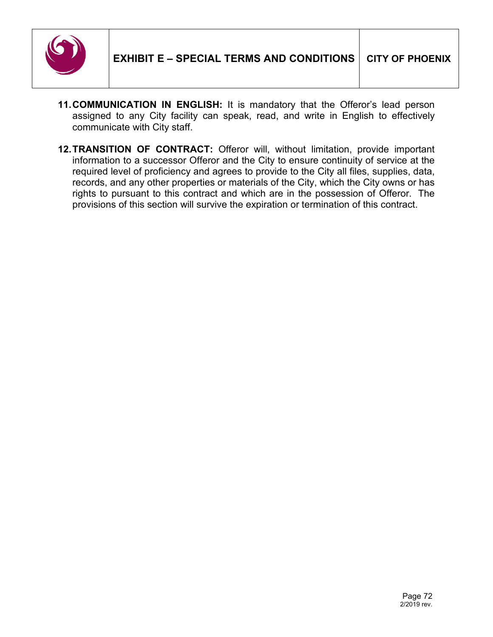

- **11.COMMUNICATION IN ENGLISH:** It is mandatory that the Offeror's lead person assigned to any City facility can speak, read, and write in English to effectively communicate with City staff.
- **12.TRANSITION OF CONTRACT:** Offeror will, without limitation, provide important information to a successor Offeror and the City to ensure continuity of service at the required level of proficiency and agrees to provide to the City all files, supplies, data, records, and any other properties or materials of the City, which the City owns or has rights to pursuant to this contract and which are in the possession of Offeror. The provisions of this section will survive the expiration or termination of this contract.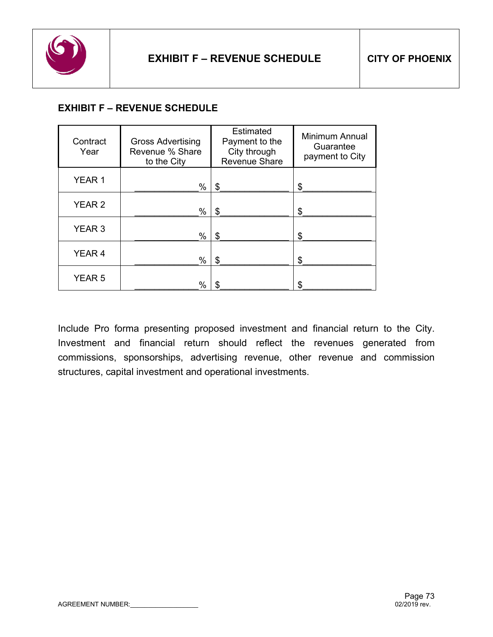

# **EXHIBIT F – REVENUE SCHEDULE**

| Contract<br>Year  | <b>Gross Advertising</b><br>Revenue % Share<br>to the City | <b>Estimated</b><br>Payment to the<br>City through<br><b>Revenue Share</b> | <b>Minimum Annual</b><br>Guarantee<br>payment to City |
|-------------------|------------------------------------------------------------|----------------------------------------------------------------------------|-------------------------------------------------------|
| YEAR 1            | %                                                          | \$                                                                         | \$                                                    |
| YEAR <sub>2</sub> | %                                                          | S                                                                          | \$                                                    |
| YEAR <sub>3</sub> | $\%$                                                       | S                                                                          | \$                                                    |
| YEAR <sub>4</sub> | $\%$                                                       | S                                                                          | \$                                                    |
| YEAR <sub>5</sub> | %                                                          |                                                                            | \$                                                    |

Include Pro forma presenting proposed investment and financial return to the City. Investment and financial return should reflect the revenues generated from commissions, sponsorships, advertising revenue, other revenue and commission structures, capital investment and operational investments.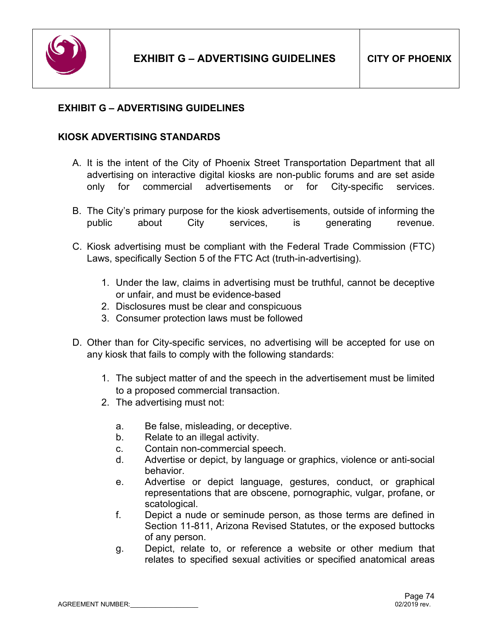

## **EXHIBIT G – ADVERTISING GUIDELINES**

## **KIOSK ADVERTISING STANDARDS**

- A. It is the intent of the City of Phoenix Street Transportation Department that all advertising on interactive digital kiosks are non-public forums and are set aside only for commercial advertisements or for City-specific services.
- B. The City's primary purpose for the kiosk advertisements, outside of informing the public about City services, is generating revenue.
- C. Kiosk advertising must be compliant with the Federal Trade Commission (FTC) Laws, specifically Section 5 of the FTC Act (truth-in-advertising).
	- 1. Under the law, claims in advertising must be truthful, cannot be deceptive or unfair, and must be evidence-based
	- 2. Disclosures must be clear and conspicuous
	- 3. Consumer protection laws must be followed
- D. Other than for City-specific services, no advertising will be accepted for use on any kiosk that fails to comply with the following standards:
	- 1. The subject matter of and the speech in the advertisement must be limited to a proposed commercial transaction.
	- 2. The advertising must not:
		- a. Be false, misleading, or deceptive.
		- b. Relate to an illegal activity.
		- c. Contain non-commercial speech.
		- d. Advertise or depict, by language or graphics, violence or anti-social behavior.
		- e. Advertise or depict language, gestures, conduct, or graphical representations that are obscene, pornographic, vulgar, profane, or scatological.
		- f. Depict a nude or seminude person, as those terms are defined in Section 11-811, Arizona Revised Statutes, or the exposed buttocks of any person.
		- g. Depict, relate to, or reference a website or other medium that relates to specified sexual activities or specified anatomical areas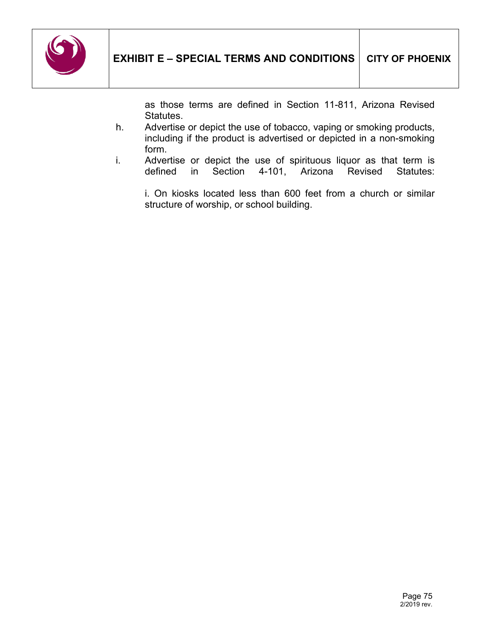

as those terms are defined in Section 11-811, Arizona Revised Statutes.

- h. Advertise or depict the use of tobacco, vaping or smoking products, including if the product is advertised or depicted in a non-smoking form.
- i. Advertise or depict the use of spirituous liquor as that term is defined in Section 4-101, Arizona Revised Statutes: defined in Section 4-101, Arizona Revised Statutes:

i. On kiosks located less than 600 feet from a church or similar structure of worship, or school building.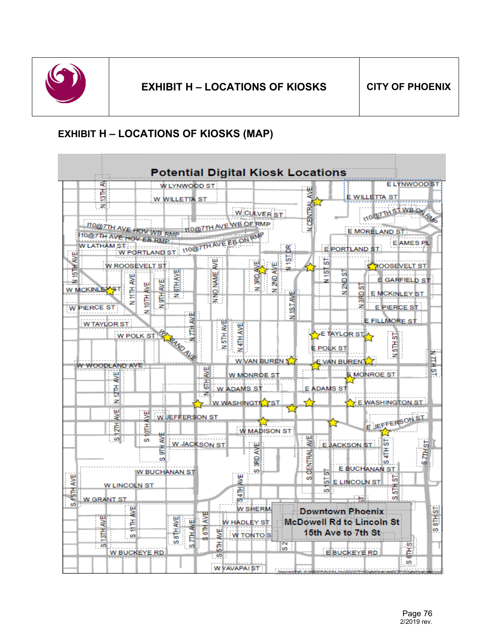

# **EXHIBIT H – LOCATIONS OF KIOSKS (MAP)**

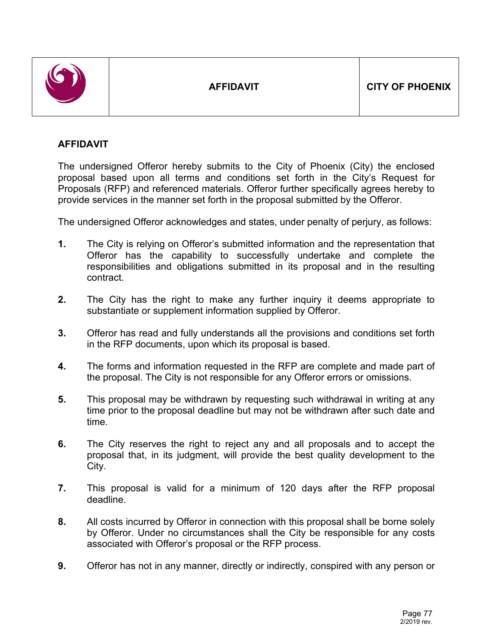

## **AFFIDAVIT**

The undersigned Offeror hereby submits to the City of Phoenix (City) the enclosed proposal based upon all terms and conditions set forth in the City's Request for Proposals (RFP) and referenced materials. Offeror further specifically agrees hereby to provide services in the manner set forth in the proposal submitted by the Offeror.

The undersigned Offeror acknowledges and states, under penalty of perjury, as follows:

- **1.** The City is relying on Offeror's submitted information and the representation that Offeror has the capability to successfully undertake and complete the responsibilities and obligations submitted in its proposal and in the resulting contract.
- **2.** The City has the right to make any further inquiry it deems appropriate to substantiate or supplement information supplied by Offeror.
- **3.** Offeror has read and fully understands all the provisions and conditions set forth in the RFP documents, upon which its proposal is based.
- **4.** The forms and information requested in the RFP are complete and made part of the proposal. The City is not responsible for any Offeror errors or omissions.
- **5.** This proposal may be withdrawn by requesting such withdrawal in writing at any time prior to the proposal deadline but may not be withdrawn after such date and time.
- **6.** The City reserves the right to reject any and all proposals and to accept the proposal that, in its judgment, will provide the best quality development to the City.
- **7.** This proposal is valid for a minimum of 120 days after the RFP proposal deadline.
- **8.** All costs incurred by Offeror in connection with this proposal shall be borne solely by Offeror. Under no circumstances shall the City be responsible for any costs associated with Offeror's proposal or the RFP process.
- **9.** Offeror has not in any manner, directly or indirectly, conspired with any person or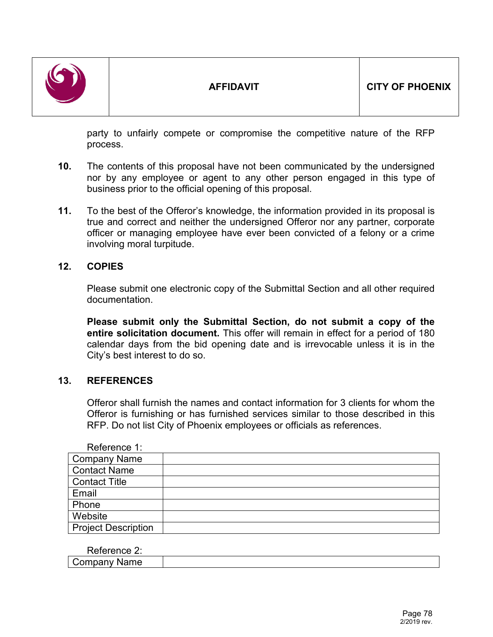

party to unfairly compete or compromise the competitive nature of the RFP process.

- **10.** The contents of this proposal have not been communicated by the undersigned nor by any employee or agent to any other person engaged in this type of business prior to the official opening of this proposal.
- **11.** To the best of the Offeror's knowledge, the information provided in its proposal is true and correct and neither the undersigned Offeror nor any partner, corporate officer or managing employee have ever been convicted of a felony or a crime involving moral turpitude.

## **12. COPIES**

Please submit one electronic copy of the Submittal Section and all other required documentation.

**Please submit only the Submittal Section, do not submit a copy of the entire solicitation document.** This offer will remain in effect for a period of 180 calendar days from the bid opening date and is irrevocable unless it is in the City's best interest to do so.

## **13. REFERENCES**

Offeror shall furnish the names and contact information for 3 clients for whom the Offeror is furnishing or has furnished services similar to those described in this RFP. Do not list City of Phoenix employees or officials as references.

| Reference 1:               |  |
|----------------------------|--|
| <b>Company Name</b>        |  |
| <b>Contact Name</b>        |  |
| <b>Contact Title</b>       |  |
| Email                      |  |
| Phone                      |  |
| Website                    |  |
| <b>Project Description</b> |  |

| D.<br>`ArANCA<br>.<br>.<br>.<br>$\overline{a}$ |  |
|------------------------------------------------|--|
| Company Name                                   |  |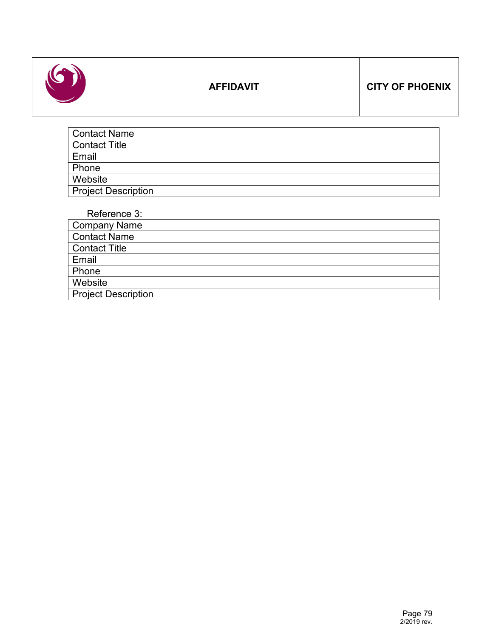

# **AFFIDAVIT CITY OF PHOENIX**

| <b>Contact Name</b>        |  |
|----------------------------|--|
| <b>Contact Title</b>       |  |
| Email                      |  |
| Phone                      |  |
| Website                    |  |
| <b>Project Description</b> |  |

Reference 3:

| <b>Company Name</b>        |  |
|----------------------------|--|
| <b>Contact Name</b>        |  |
| <b>Contact Title</b>       |  |
| Email                      |  |
| Phone                      |  |
| Website                    |  |
| <b>Project Description</b> |  |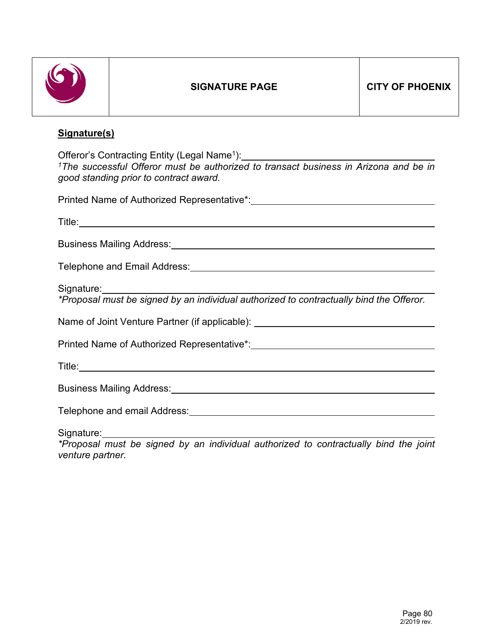

## **Signature(s)**

Offeror's Contracting Entity (Legal Name<sup>1</sup>): *1The successful Offeror must be authorized to transact business in Arizona and be in good standing prior to contract award.*

Printed Name of Authorized Representative\*:

| Business Mailing Address: Manual Account of the Manual Account of the Manual Account of the Manual Account of |
|---------------------------------------------------------------------------------------------------------------|
| Telephone and Email Address: Manual According to the Address of Telephone and Email Address:                  |
| Signature: <u>Contract Communication</u>                                                                      |
| *Proposal must be signed by an individual authorized to contractually bind the Offeror.                       |
| Name of Joint Venture Partner (if applicable): _________________________________                              |
|                                                                                                               |
|                                                                                                               |
|                                                                                                               |
| Telephone and email Address: Manual According to the Address of Telephone and email Address:                  |
|                                                                                                               |

*\*Proposal must be signed by an individual authorized to contractually bind the joint venture partner.*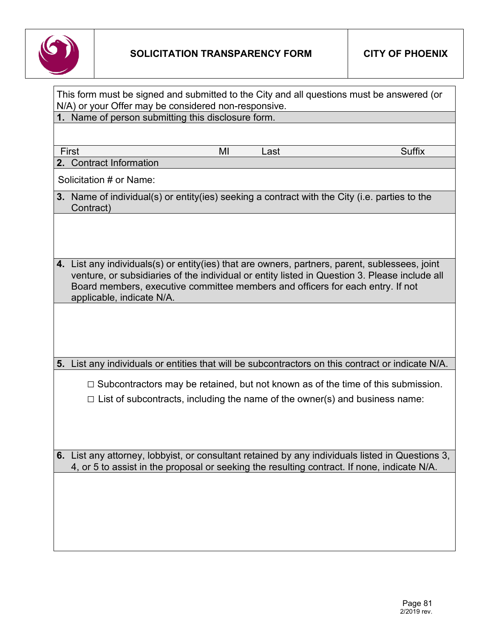

|                                                                                                                                                                                                               |    |      | This form must be signed and submitted to the City and all questions must be answered (or                                                                                     |
|---------------------------------------------------------------------------------------------------------------------------------------------------------------------------------------------------------------|----|------|-------------------------------------------------------------------------------------------------------------------------------------------------------------------------------|
| N/A) or your Offer may be considered non-responsive.<br>1. Name of person submitting this disclosure form.                                                                                                    |    |      |                                                                                                                                                                               |
|                                                                                                                                                                                                               |    |      |                                                                                                                                                                               |
| First                                                                                                                                                                                                         | MI | Last | <b>Suffix</b>                                                                                                                                                                 |
| 2. Contract Information                                                                                                                                                                                       |    |      |                                                                                                                                                                               |
| Solicitation # or Name:                                                                                                                                                                                       |    |      |                                                                                                                                                                               |
| 3. Name of individual(s) or entity(ies) seeking a contract with the City (i.e. parties to the<br>Contract)                                                                                                    |    |      |                                                                                                                                                                               |
|                                                                                                                                                                                                               |    |      |                                                                                                                                                                               |
| 4. List any individuals(s) or entity(ies) that are owners, partners, parent, sublessees, joint<br>Board members, executive committee members and officers for each entry. If not<br>applicable, indicate N/A. |    |      | venture, or subsidiaries of the individual or entity listed in Question 3. Please include all                                                                                 |
|                                                                                                                                                                                                               |    |      |                                                                                                                                                                               |
|                                                                                                                                                                                                               |    |      | 5. List any individuals or entities that will be subcontractors on this contract or indicate N/A.                                                                             |
|                                                                                                                                                                                                               |    |      | $\Box$ Subcontractors may be retained, but not known as of the time of this submission.<br>$\Box$ List of subcontracts, including the name of the owner(s) and business name: |
| 4, or 5 to assist in the proposal or seeking the resulting contract. If none, indicate N/A.                                                                                                                   |    |      | 6. List any attorney, lobbyist, or consultant retained by any individuals listed in Questions 3,                                                                              |
|                                                                                                                                                                                                               |    |      |                                                                                                                                                                               |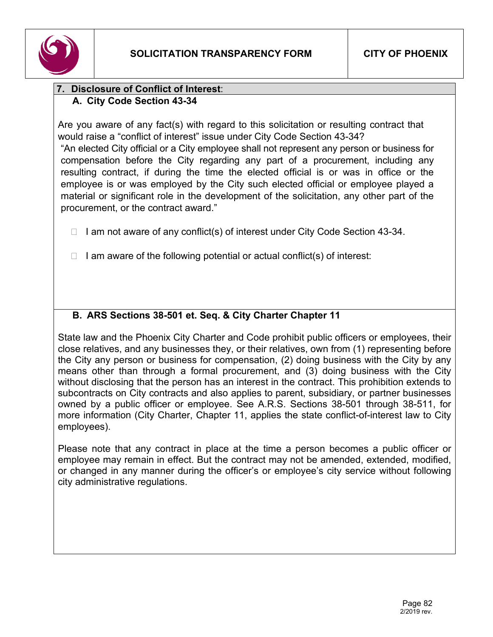

## **7. Disclosure of Conflict of Interest**: **A. City Code Section 43-34**

Are you aware of any fact(s) with regard to this solicitation or resulting contract that would raise a "conflict of interest" issue under City Code Section 43-34?

"An elected City official or a City employee shall not represent any person or business for compensation before the City regarding any part of a procurement, including any resulting contract, if during the time the elected official is or was in office or the employee is or was employed by the City such elected official or employee played a material or significant role in the development of the solicitation, any other part of the procurement, or the contract award."

- $\Box$  I am not aware of any conflict(s) of interest under City Code Section 43-34.
- $\Box$  I am aware of the following potential or actual conflict(s) of interest:

# **B. ARS Sections 38-501 et. Seq. & City Charter Chapter 11**

State law and the Phoenix City Charter and Code prohibit public officers or employees, their close relatives, and any businesses they, or their relatives, own from (1) representing before the City any person or business for compensation, (2) doing business with the City by any means other than through a formal procurement, and (3) doing business with the City without disclosing that the person has an interest in the contract. This prohibition extends to subcontracts on City contracts and also applies to parent, subsidiary, or partner businesses owned by a public officer or employee. See A.R.S. Sections 38-501 through 38-511, for more information (City Charter, Chapter 11, applies the state conflict-of-interest law to City employees).

Please note that any contract in place at the time a person becomes a public officer or employee may remain in effect. But the contract may not be amended, extended, modified, or changed in any manner during the officer's or employee's city service without following city administrative regulations.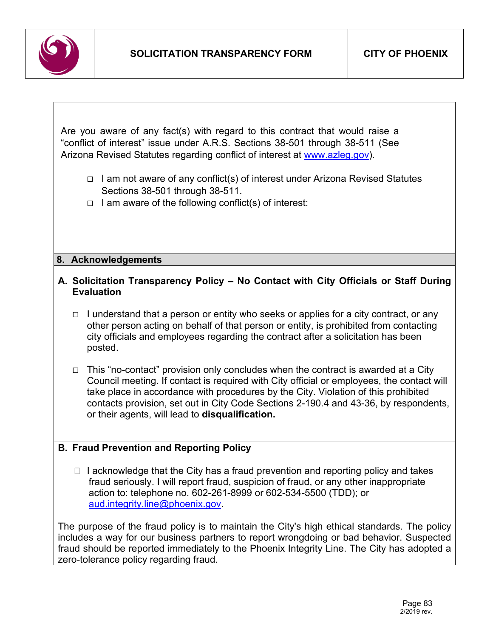

Are you aware of any fact(s) with regard to this contract that would raise a "conflict of interest" issue under A.R.S. Sections 38-501 through 38-511 (See Arizona Revised Statutes regarding conflict of interest at [www.azleg.gov\)](http://www.azleg.gov/).

- $\Box$  I am not aware of any conflict(s) of interest under Arizona Revised Statutes Sections 38-501 through 38-511.
- $\Box$  I am aware of the following conflict(s) of interest:

#### **8. Acknowledgements**

## **A. Solicitation Transparency Policy – No Contact with City Officials or Staff During Evaluation**

- $\Box$  I understand that a person or entity who seeks or applies for a city contract, or any other person acting on behalf of that person or entity, is prohibited from contacting city officials and employees regarding the contract after a solicitation has been posted.
- This "no-contact" provision only concludes when the contract is awarded at a City Council meeting. If contact is required with City official or employees, the contact will take place in accordance with procedures by the City. Violation of this prohibited contacts provision, set out in City Code Sections 2-190.4 and 43-36, by respondents, or their agents, will lead to **disqualification.**

## **B. Fraud Prevention and Reporting Policy**

 $\Box$  I acknowledge that the City has a fraud prevention and reporting policy and takes fraud seriously. I will report fraud, suspicion of fraud, or any other inappropriate action to: telephone no. 602-261-8999 or 602-534-5500 (TDD); or [aud.integrity.line@phoenix.gov.](mailto:aud.integrity.line@phoenix.gov)

The purpose of the fraud policy is to maintain the City's high ethical standards. The policy includes a way for our business partners to report wrongdoing or bad behavior. Suspected fraud should be reported immediately to the Phoenix Integrity Line. The City has adopted a zero-tolerance policy regarding fraud.